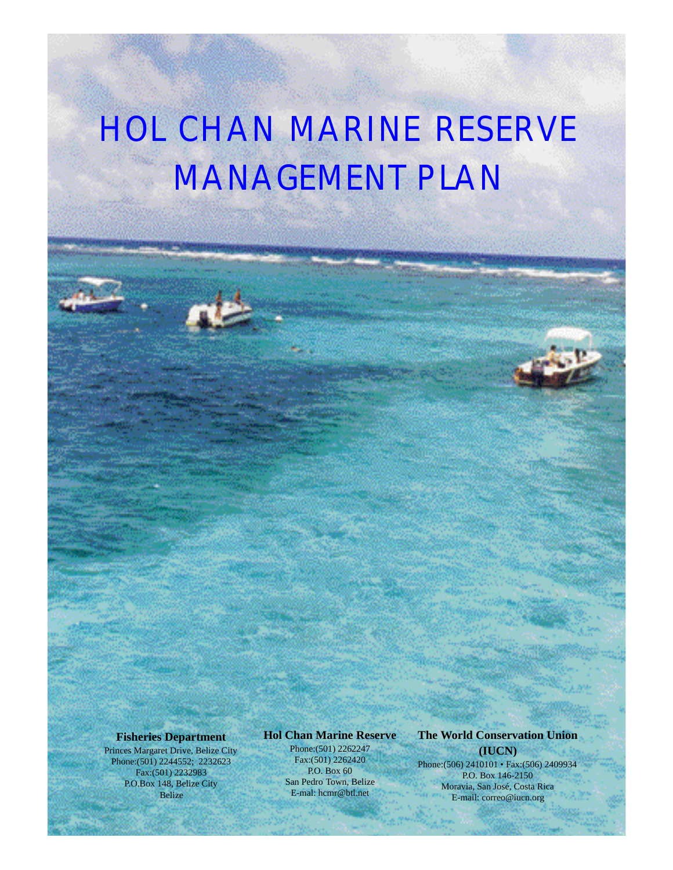# HOL CHAN MARINE RESERVE MANAGEMENT PLAN

#### **Fisheries Department**

Princes Margaret Drive, Belize City Phone:(501) 2244552; 2232623 Fax:(501) 2232983 P.O.Box 148, Belize City Belize

#### **Hol Chan Marine Reserve**

Phone:(501) 2262247 Fax:(501) 2262420 P.O. Box 60 San Pedro Town, Belize E-mal: hcmr@btl.net

#### **The World Conservation Union (IUCN)**

Phone:(506) 2410101 • Fax:(506) 2409934 P.O. Box 146-2150 Moravia, San José, Costa Rica E-mail: correo@iucn.org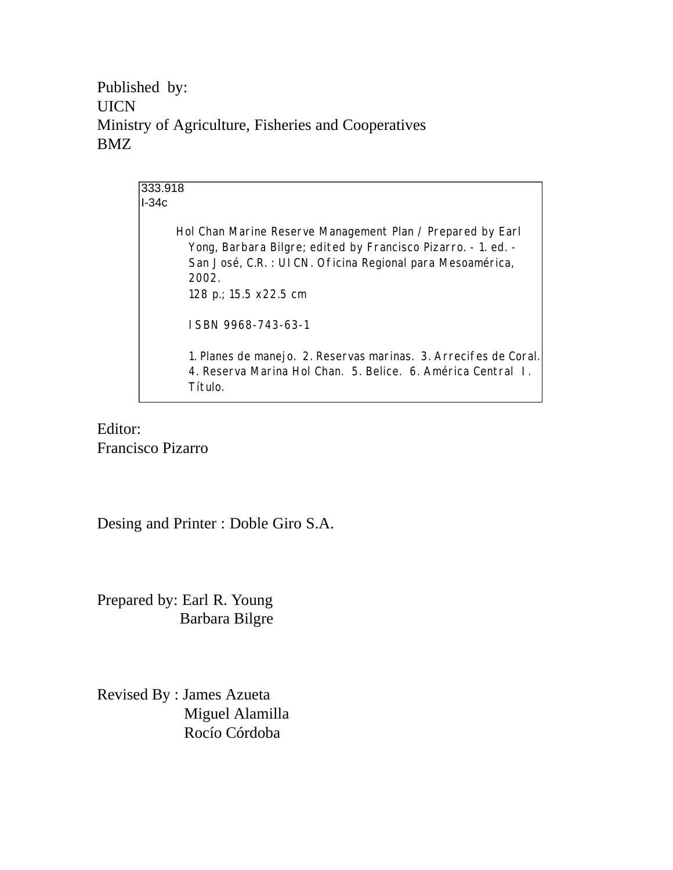Published by: UICN Ministry of Agriculture, Fisheries and Cooperatives BMZ

> 333.918 I-34c Hol Chan Marine Reserve Management Plan / Prepared by Earl Yong, Barbara Bilgre; edited by Francisco Pizarro. - 1. ed. - San José, C.R. : UICN. Oficina Regional para Mesoamérica, 2002. 128 p.; 15.5 x22.5 cm ISBN 9968-743-63-1 1. Planes de manejo. 2. Reservas marinas. 3. Arrecifes de Coral. 4. Reserva Marina Hol Chan. 5. Belice. 6. América Central I. Título.

Editor: Francisco Pizarro

Desing and Printer : Doble Giro S.A.

Prepared by: Earl R. Young Barbara Bilgre

Revised By : James Azueta Miguel Alamilla Rocío Córdoba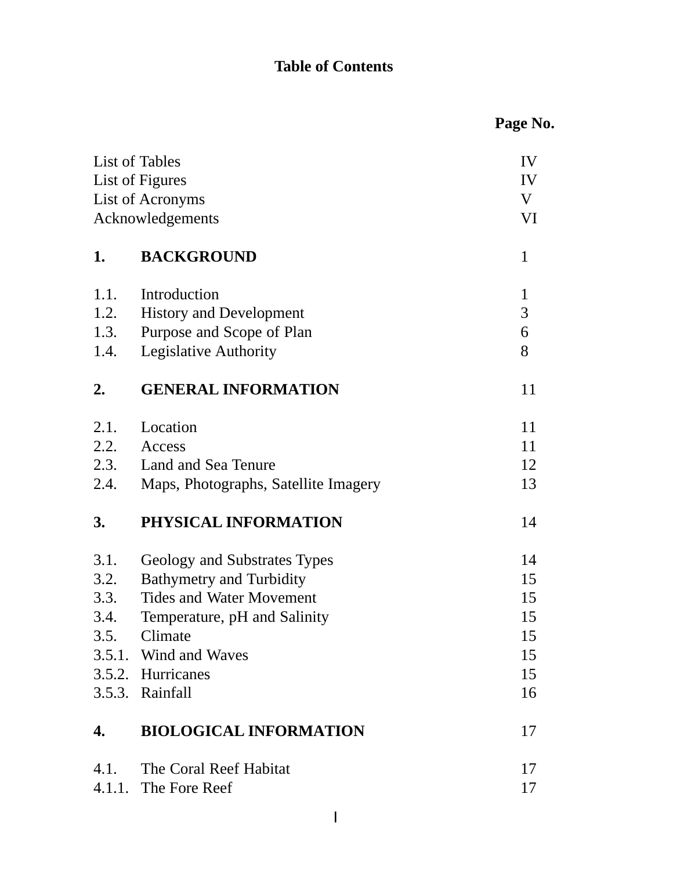# **Table of Contents**

|                  |                                      | Page No.     |
|------------------|--------------------------------------|--------------|
|                  | List of Tables                       | IV           |
| List of Figures  |                                      | IV           |
| List of Acronyms |                                      | V            |
| Acknowledgements |                                      | VI           |
| 1.               | <b>BACKGROUND</b>                    | $\mathbf{1}$ |
| 1.1.             | Introduction                         | $\mathbf{1}$ |
| 1.2.             | <b>History and Development</b>       | 3            |
| 1.3.             | Purpose and Scope of Plan            | 6            |
| 1.4.             | Legislative Authority                | 8            |
| 2.               | <b>GENERAL INFORMATION</b>           | 11           |
| 2.1.             | Location                             | 11           |
| 2.2.             | Access                               | 11           |
| 2.3.             | Land and Sea Tenure                  | 12           |
| 2.4.             | Maps, Photographs, Satellite Imagery | 13           |
| 3.               | PHYSICAL INFORMATION                 | 14           |
| 3.1.             | Geology and Substrates Types         | 14           |
| 3.2.             | <b>Bathymetry and Turbidity</b>      | 15           |
| 3.3.             | <b>Tides and Water Movement</b>      | 15           |
| 3.4.             | Temperature, pH and Salinity         | 15           |
| 3.5.             | Climate                              | 15           |
|                  | 3.5.1. Wind and Waves                | 15           |
|                  | 3.5.2. Hurricanes                    | 15           |
|                  | 3.5.3. Rainfall                      | 16           |
| 4.               | <b>BIOLOGICAL INFORMATION</b>        | 17           |
| 4.1.             | The Coral Reef Habitat               | 17           |
|                  | 4.1.1. The Fore Reef                 | 17           |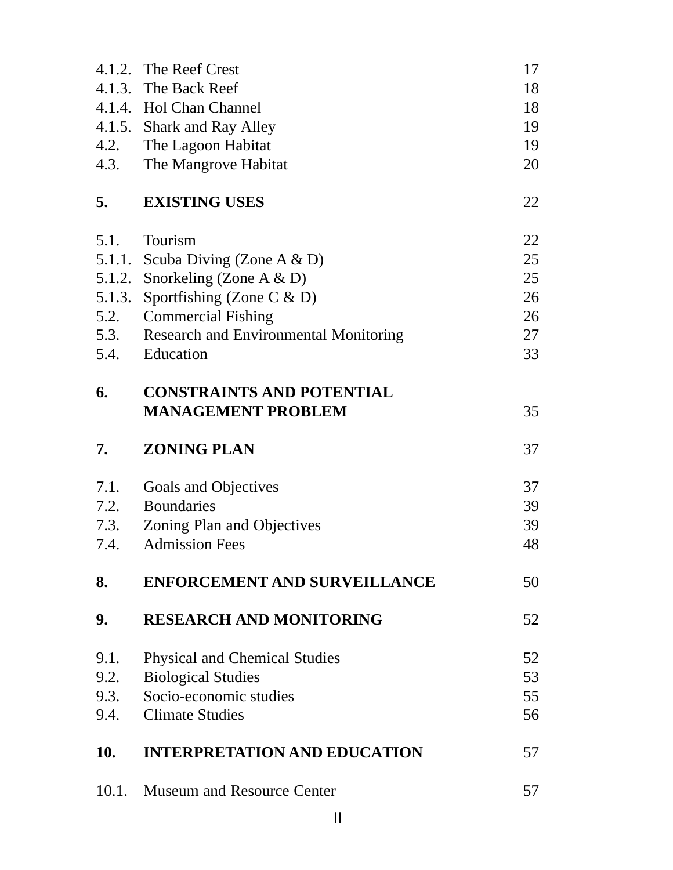|            | 4.1.2. The Reef Crest                               | 17 |
|------------|-----------------------------------------------------|----|
|            | 4.1.3. The Back Reef                                | 18 |
|            | 4.1.4. Hol Chan Channel                             | 18 |
|            | 4.1.5. Shark and Ray Alley                          | 19 |
| 4.2.       | The Lagoon Habitat                                  | 19 |
| 4.3.       | The Mangrove Habitat                                | 20 |
| 5.         | <b>EXISTING USES</b>                                | 22 |
| 5.1.       | Tourism                                             | 22 |
| 5.1.1.     | Scuba Diving (Zone A $\&$ D)                        | 25 |
| 5.1.2.     | Snorkeling (Zone A & D)                             | 25 |
| 5.1.3.     | Sportfishing (Zone C $\&$ D)                        | 26 |
| 5.2.       | <b>Commercial Fishing</b>                           | 26 |
| 5.3.       | <b>Research and Environmental Monitoring</b>        | 27 |
| 5.4.       | Education                                           | 33 |
| 6.         | <b>CONSTRAINTS AND POTENTIAL</b>                    |    |
|            | <b>MANAGEMENT PROBLEM</b>                           | 35 |
| 7.         | <b>ZONING PLAN</b>                                  | 37 |
|            |                                                     |    |
| 7.1.       |                                                     | 37 |
| 7.2.       | Goals and Objectives<br><b>Boundaries</b>           | 39 |
| 7.3.       |                                                     | 39 |
| 7.4.       | Zoning Plan and Objectives<br><b>Admission Fees</b> | 48 |
| 8.         | <b>ENFORCEMENT AND SURVEILLANCE</b>                 | 50 |
| 9.         | <b>RESEARCH AND MONITORING</b>                      | 52 |
| 9.1.       | <b>Physical and Chemical Studies</b>                | 52 |
| 9.2.       | <b>Biological Studies</b>                           | 53 |
| 9.3.       | Socio-economic studies                              | 55 |
| 9.4.       | <b>Climate Studies</b>                              | 56 |
| <b>10.</b> | <b>INTERPRETATION AND EDUCATION</b>                 | 57 |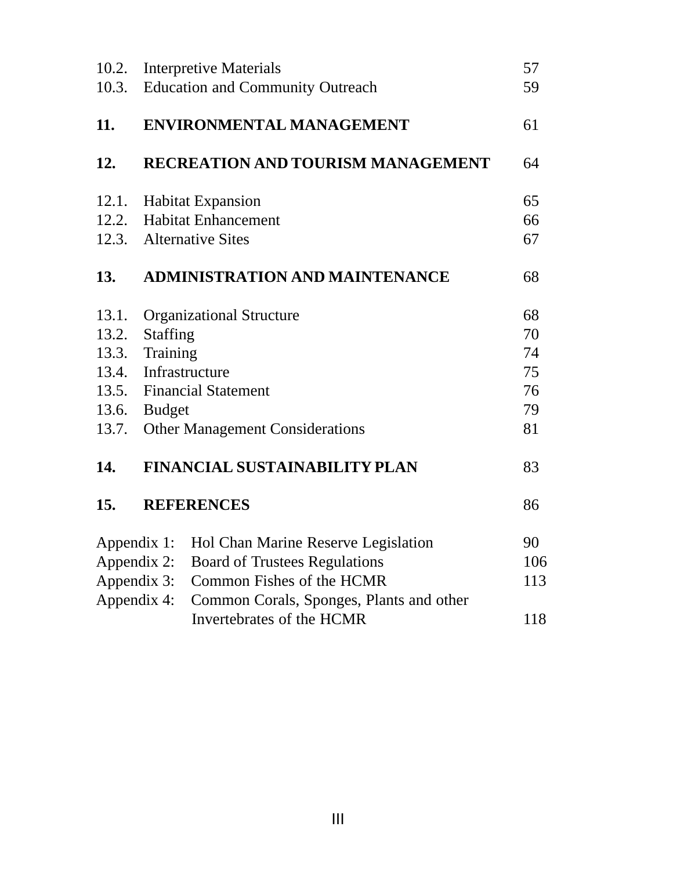| 10.2. | <b>Interpretive Materials</b>                           | 57  |
|-------|---------------------------------------------------------|-----|
| 10.3. | <b>Education and Community Outreach</b>                 | 59  |
| 11.   | <b>ENVIRONMENTAL MANAGEMENT</b>                         | 61  |
| 12.   | <b>RECREATION AND TOURISM MANAGEMENT</b>                | 64  |
| 12.1. | <b>Habitat Expansion</b>                                | 65  |
| 12.2. | <b>Habitat Enhancement</b>                              | 66  |
| 12.3. | <b>Alternative Sites</b>                                | 67  |
| 13.   | <b>ADMINISTRATION AND MAINTENANCE</b>                   | 68  |
| 13.1. | <b>Organizational Structure</b>                         | 68  |
| 13.2. | <b>Staffing</b>                                         | 70  |
| 13.3. | Training                                                | 74  |
| 13.4. | Infrastructure                                          |     |
| 13.5. | <b>Financial Statement</b>                              |     |
| 13.6. | <b>Budget</b>                                           |     |
| 13.7. | <b>Other Management Considerations</b>                  | 81  |
| 14.   | <b>FINANCIAL SUSTAINABILITY PLAN</b>                    | 83  |
| 15.   | <b>REFERENCES</b>                                       | 86  |
|       | Appendix 1:<br>Hol Chan Marine Reserve Legislation      | 90  |
|       | Appendix 2:<br><b>Board of Trustees Regulations</b>     | 106 |
|       | Common Fishes of the HCMR<br>Appendix 3:                | 113 |
|       | Appendix 4:<br>Common Corals, Sponges, Plants and other |     |
|       | Invertebrates of the HCMR                               | 118 |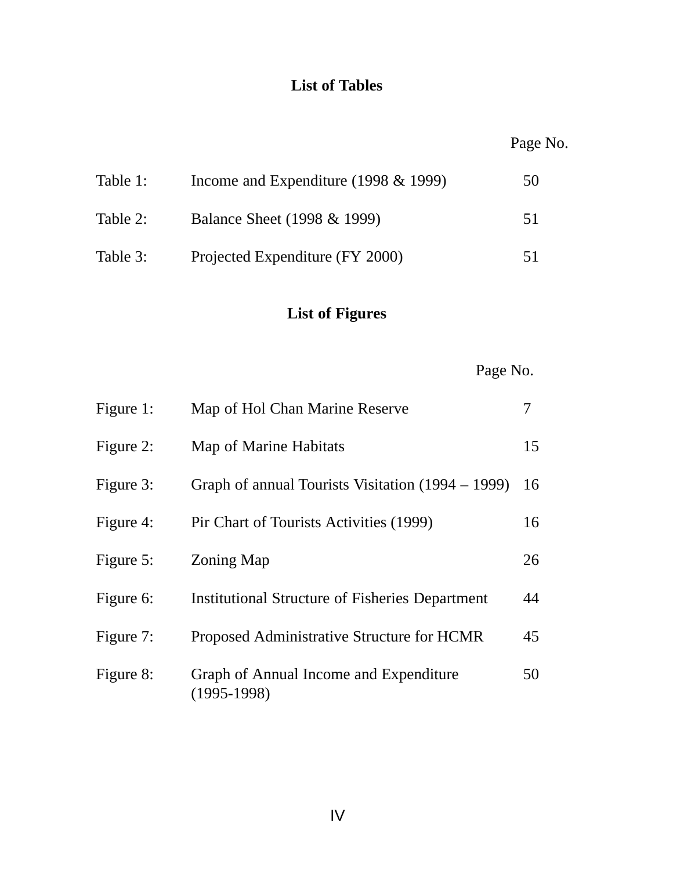## **List of Tables**

| Table 1: | Income and Expenditure (1998 $&$ 1999) | 50 |
|----------|----------------------------------------|----|
| Table 2: | Balance Sheet (1998 & 1999)            | 51 |
| Table 3: | Projected Expenditure (FY 2000)        | 51 |

# **List of Figures**

Page No.

| Figure 1: | Map of Hol Chan Marine Reserve                          | 7  |
|-----------|---------------------------------------------------------|----|
| Figure 2: | Map of Marine Habitats                                  | 15 |
| Figure 3: | Graph of annual Tourists Visitation (1994 – 1999)       | 16 |
| Figure 4: | Pir Chart of Tourists Activities (1999)                 | 16 |
| Figure 5: | <b>Zoning Map</b>                                       | 26 |
| Figure 6: | <b>Institutional Structure of Fisheries Department</b>  | 44 |
| Figure 7: | Proposed Administrative Structure for HCMR              | 45 |
| Figure 8: | Graph of Annual Income and Expenditure<br>$(1995-1998)$ | 50 |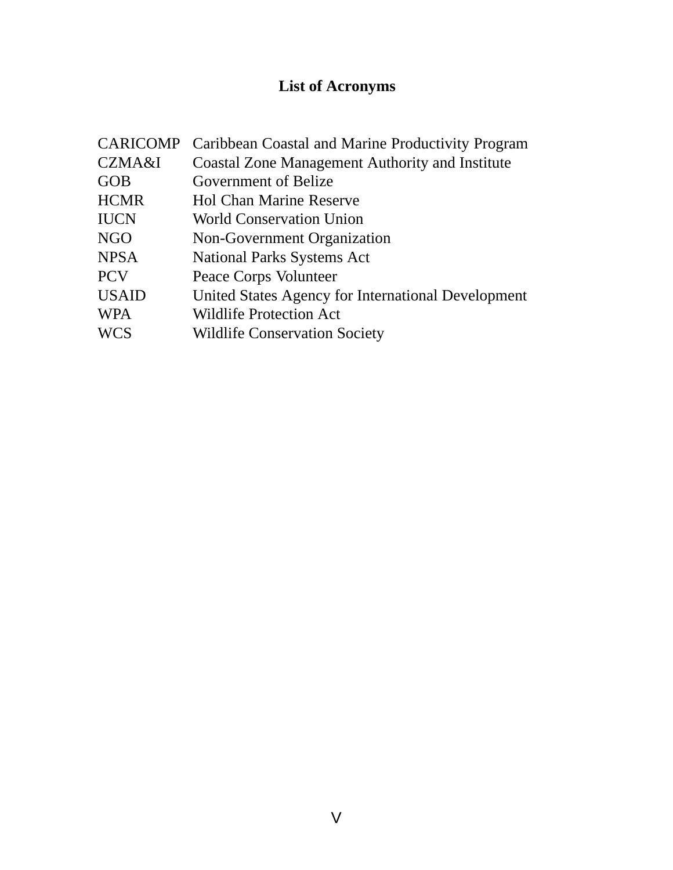# **List of Acronyms**

| <b>CARICOMP</b> | Caribbean Coastal and Marine Productivity Program      |
|-----------------|--------------------------------------------------------|
| CZMA&I          | <b>Coastal Zone Management Authority and Institute</b> |
| <b>GOB</b>      | Government of Belize                                   |
| <b>HCMR</b>     | <b>Hol Chan Marine Reserve</b>                         |
| <b>IUCN</b>     | <b>World Conservation Union</b>                        |
| <b>NGO</b>      | Non-Government Organization                            |
| <b>NPSA</b>     | <b>National Parks Systems Act</b>                      |
| <b>PCV</b>      | Peace Corps Volunteer                                  |
| <b>USAID</b>    | United States Agency for International Development     |
| <b>WPA</b>      | <b>Wildlife Protection Act</b>                         |
| <b>WCS</b>      | <b>Wildlife Conservation Society</b>                   |
|                 |                                                        |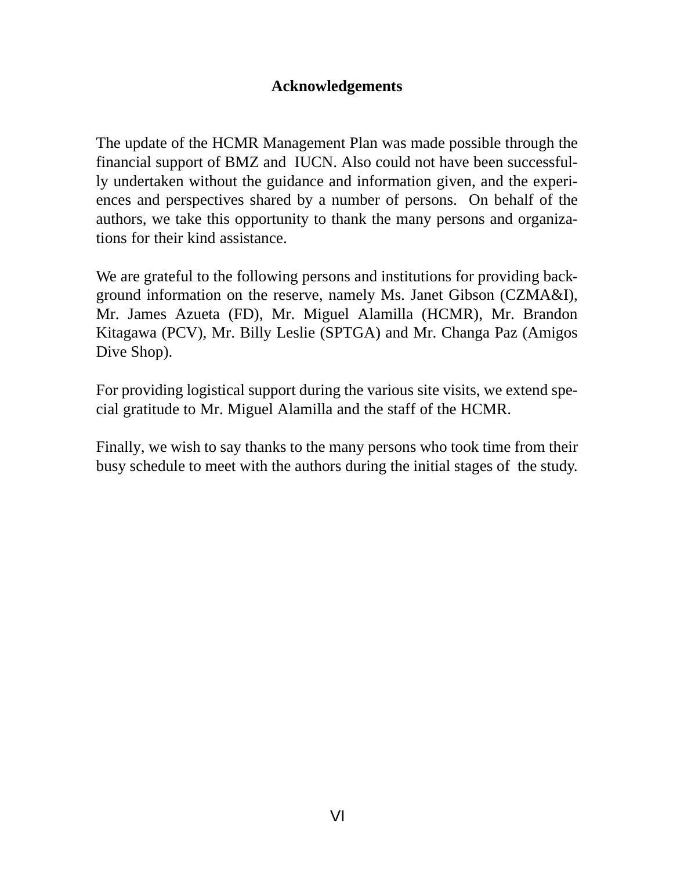#### **Acknowledgements**

The update of the HCMR Management Plan was made possible through the financial support of BMZ and IUCN. Also could not have been successfully undertaken without the guidance and information given, and the experiences and perspectives shared by a number of persons. On behalf of the authors, we take this opportunity to thank the many persons and organizations for their kind assistance.

We are grateful to the following persons and institutions for providing background information on the reserve, namely Ms. Janet Gibson (CZMA&I), Mr. James Azueta (FD), Mr. Miguel Alamilla (HCMR), Mr. Brandon Kitagawa (PCV), Mr. Billy Leslie (SPTGA) and Mr. Changa Paz (Amigos Dive Shop).

For providing logistical support during the various site visits, we extend special gratitude to Mr. Miguel Alamilla and the staff of the HCMR.

Finally, we wish to say thanks to the many persons who took time from their busy schedule to meet with the authors during the initial stages of the study.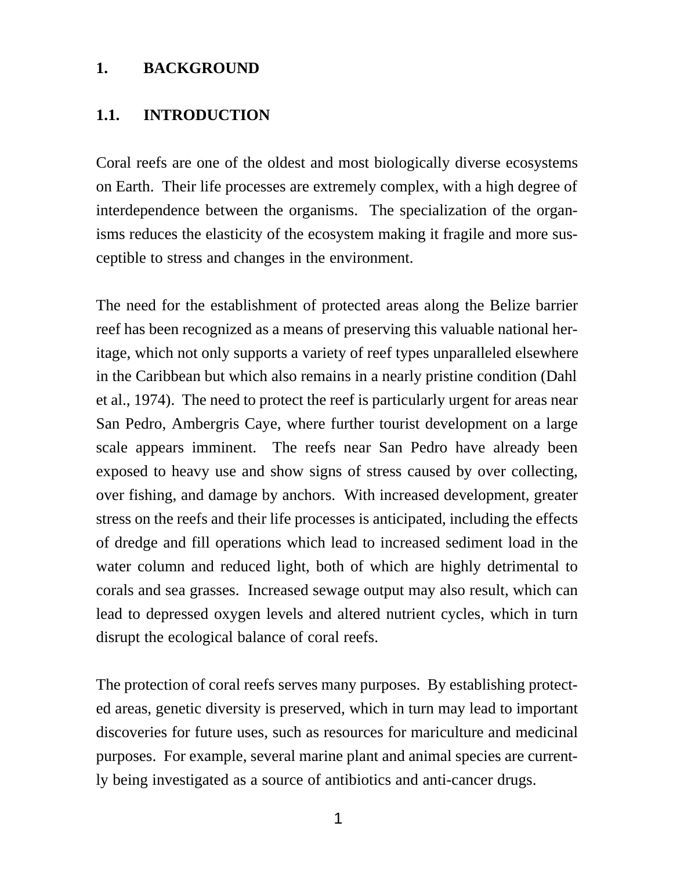#### **1. BACKGROUND**

#### **1.1. INTRODUCTION**

Coral reefs are one of the oldest and most biologically diverse ecosystems on Earth. Their life processes are extremely complex, with a high degree of interdependence between the organisms. The specialization of the organisms reduces the elasticity of the ecosystem making it fragile and more susceptible to stress and changes in the environment.

The need for the establishment of protected areas along the Belize barrier reef has been recognized as a means of preserving this valuable national heritage, which not only supports a variety of reef types unparalleled elsewhere in the Caribbean but which also remains in a nearly pristine condition (Dahl et al., 1974). The need to protect the reef is particularly urgent for areas near San Pedro, Ambergris Caye, where further tourist development on a large scale appears imminent. The reefs near San Pedro have already been exposed to heavy use and show signs of stress caused by over collecting, over fishing, and damage by anchors. With increased development, greater stress on the reefs and their life processes is anticipated, including the effects of dredge and fill operations which lead to increased sediment load in the water column and reduced light, both of which are highly detrimental to corals and sea grasses. Increased sewage output may also result, which can lead to depressed oxygen levels and altered nutrient cycles, which in turn disrupt the ecological balance of coral reefs.

The protection of coral reefs serves many purposes. By establishing protected areas, genetic diversity is preserved, which in turn may lead to important discoveries for future uses, such as resources for mariculture and medicinal purposes. For example, several marine plant and animal species are currently being investigated as a source of antibiotics and anti-cancer drugs.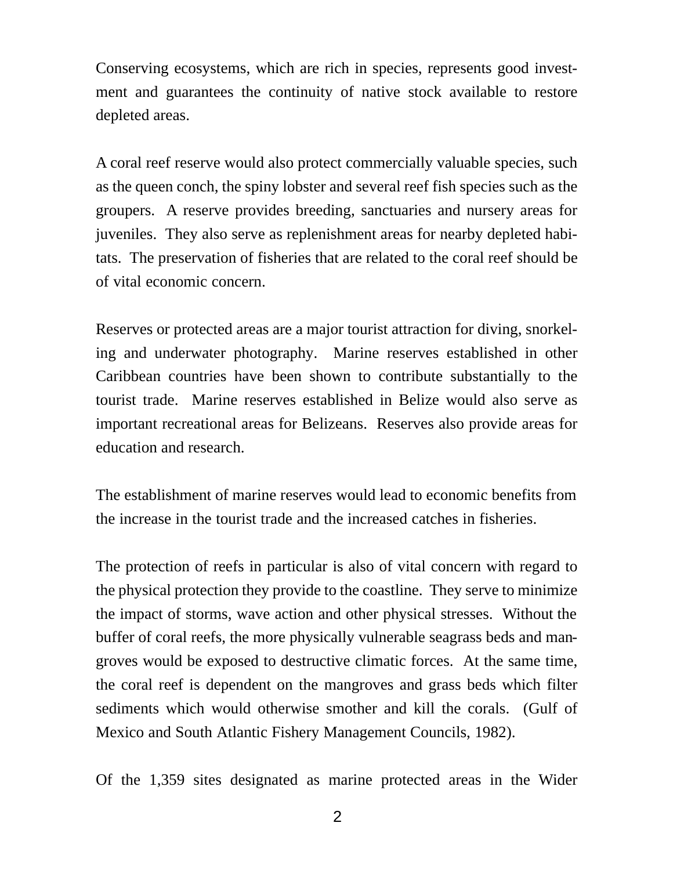Conserving ecosystems, which are rich in species, represents good investment and guarantees the continuity of native stock available to restore depleted areas.

A coral reef reserve would also protect commercially valuable species, such as the queen conch, the spiny lobster and several reef fish species such as the groupers. A reserve provides breeding, sanctuaries and nursery areas for juveniles. They also serve as replenishment areas for nearby depleted habitats. The preservation of fisheries that are related to the coral reef should be of vital economic concern.

Reserves or protected areas are a major tourist attraction for diving, snorkeling and underwater photography. Marine reserves established in other Caribbean countries have been shown to contribute substantially to the tourist trade. Marine reserves established in Belize would also serve as important recreational areas for Belizeans. Reserves also provide areas for education and research.

The establishment of marine reserves would lead to economic benefits from the increase in the tourist trade and the increased catches in fisheries.

The protection of reefs in particular is also of vital concern with regard to the physical protection they provide to the coastline. They serve to minimize the impact of storms, wave action and other physical stresses. Without the buffer of coral reefs, the more physically vulnerable seagrass beds and mangroves would be exposed to destructive climatic forces. At the same time, the coral reef is dependent on the mangroves and grass beds which filter sediments which would otherwise smother and kill the corals. (Gulf of Mexico and South Atlantic Fishery Management Councils, 1982).

Of the 1,359 sites designated as marine protected areas in the Wider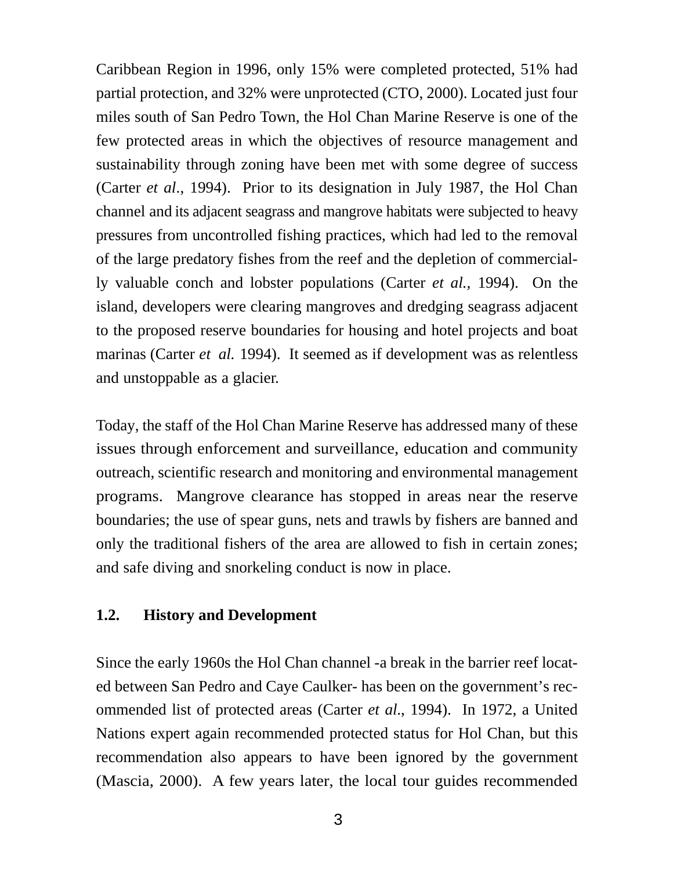Caribbean Region in 1996, only 15% were completed protected, 51% had partial protection, and 32% were unprotected (CTO, 2000). Located just four miles south of San Pedro Town, the Hol Chan Marine Reserve is one of the few protected areas in which the objectives of resource management and sustainability through zoning have been met with some degree of success (Carter *et al*., 1994). Prior to its designation in July 1987, the Hol Chan channel and its adjacent seagrass and mangrove habitats were subjected to heavy pressures from uncontrolled fishing practices, which had led to the removal of the large predatory fishes from the reef and the depletion of commercially valuable conch and lobster populations (Carter *et al.,* 1994). On the island, developers were clearing mangroves and dredging seagrass adjacent to the proposed reserve boundaries for housing and hotel projects and boat marinas (Carter *et al.* 1994). It seemed as if development was as relentless and unstoppable as a glacier.

Today, the staff of the Hol Chan Marine Reserve has addressed many of these issues through enforcement and surveillance, education and community outreach, scientific research and monitoring and environmental management programs. Mangrove clearance has stopped in areas near the reserve boundaries; the use of spear guns, nets and trawls by fishers are banned and only the traditional fishers of the area are allowed to fish in certain zones; and safe diving and snorkeling conduct is now in place.

#### **1.2. History and Development**

Since the early 1960s the Hol Chan channel -a break in the barrier reef located between San Pedro and Caye Caulker- has been on the government's recommended list of protected areas (Carter *et al*., 1994). In 1972, a United Nations expert again recommended protected status for Hol Chan, but this recommendation also appears to have been ignored by the government (Mascia, 2000). A few years later, the local tour guides recommended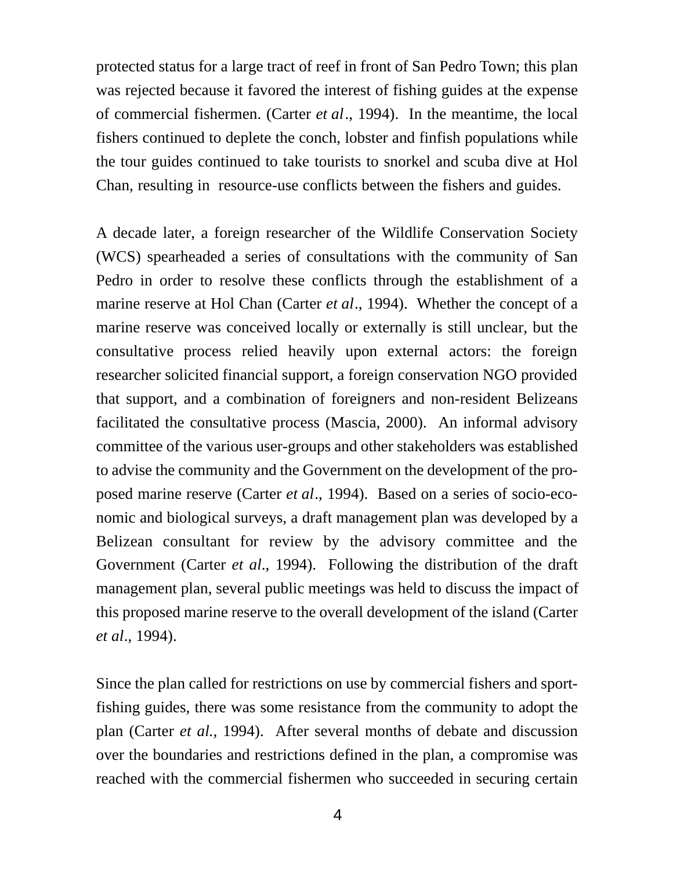protected status for a large tract of reef in front of San Pedro Town; this plan was rejected because it favored the interest of fishing guides at the expense of commercial fishermen. (Carter *et al*., 1994). In the meantime, the local fishers continued to deplete the conch, lobster and finfish populations while the tour guides continued to take tourists to snorkel and scuba dive at Hol Chan, resulting in resource-use conflicts between the fishers and guides.

A decade later, a foreign researcher of the Wildlife Conservation Society (WCS) spearheaded a series of consultations with the community of San Pedro in order to resolve these conflicts through the establishment of a marine reserve at Hol Chan (Carter *et al*., 1994). Whether the concept of a marine reserve was conceived locally or externally is still unclear, but the consultative process relied heavily upon external actors: the foreign researcher solicited financial support, a foreign conservation NGO provided that support, and a combination of foreigners and non-resident Belizeans facilitated the consultative process (Mascia, 2000). An informal advisory committee of the various user-groups and other stakeholders was established to advise the community and the Government on the development of the proposed marine reserve (Carter *et al*., 1994). Based on a series of socio-economic and biological surveys, a draft management plan was developed by a Belizean consultant for review by the advisory committee and the Government (Carter *et al*., 1994). Following the distribution of the draft management plan, several public meetings was held to discuss the impact of this proposed marine reserve to the overall development of the island (Carter *et al*., 1994).

Since the plan called for restrictions on use by commercial fishers and sportfishing guides, there was some resistance from the community to adopt the plan (Carter *et al.,* 1994). After several months of debate and discussion over the boundaries and restrictions defined in the plan, a compromise was reached with the commercial fishermen who succeeded in securing certain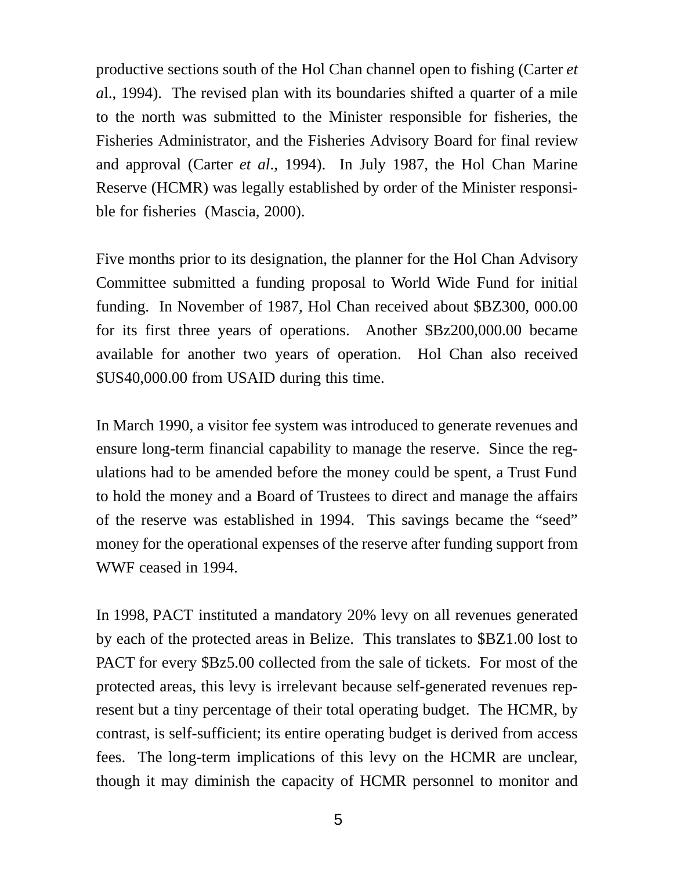productive sections south of the Hol Chan channel open to fishing (Carter *et a*l., 1994). The revised plan with its boundaries shifted a quarter of a mile to the north was submitted to the Minister responsible for fisheries, the Fisheries Administrator, and the Fisheries Advisory Board for final review and approval (Carter *et al*., 1994). In July 1987, the Hol Chan Marine Reserve (HCMR) was legally established by order of the Minister responsible for fisheries (Mascia, 2000).

Five months prior to its designation, the planner for the Hol Chan Advisory Committee submitted a funding proposal to World Wide Fund for initial funding. In November of 1987, Hol Chan received about \$BZ300, 000.00 for its first three years of operations. Another \$Bz200,000.00 became available for another two years of operation. Hol Chan also received \$US40,000.00 from USAID during this time.

In March 1990, a visitor fee system was introduced to generate revenues and ensure long-term financial capability to manage the reserve. Since the regulations had to be amended before the money could be spent, a Trust Fund to hold the money and a Board of Trustees to direct and manage the affairs of the reserve was established in 1994. This savings became the "seed" money for the operational expenses of the reserve after funding support from WWF ceased in 1994.

In 1998, PACT instituted a mandatory 20% levy on all revenues generated by each of the protected areas in Belize. This translates to \$BZ1.00 lost to PACT for every \$Bz5.00 collected from the sale of tickets. For most of the protected areas, this levy is irrelevant because self-generated revenues represent but a tiny percentage of their total operating budget. The HCMR, by contrast, is self-sufficient; its entire operating budget is derived from access fees. The long-term implications of this levy on the HCMR are unclear, though it may diminish the capacity of HCMR personnel to monitor and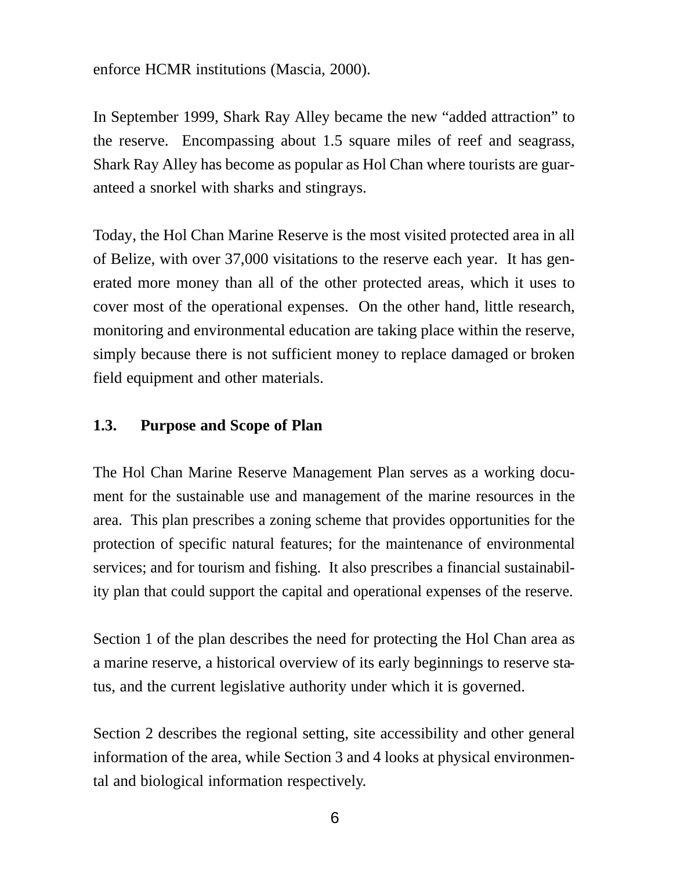#### enforce HCMR institutions (Mascia, 2000).

In September 1999, Shark Ray Alley became the new "added attraction" to the reserve. Encompassing about 1.5 square miles of reef and seagrass, Shark Ray Alley has become as popular as Hol Chan where tourists are guaranteed a snorkel with sharks and stingrays.

Today, the Hol Chan Marine Reserve is the most visited protected area in all of Belize, with over 37,000 visitations to the reserve each year. It has generated more money than all of the other protected areas, which it uses to cover most of the operational expenses. On the other hand, little research, monitoring and environmental education are taking place within the reserve, simply because there is not sufficient money to replace damaged or broken field equipment and other materials.

#### **1.3. Purpose and Scope of Plan**

The Hol Chan Marine Reserve Management Plan serves as a working document for the sustainable use and management of the marine resources in the area. This plan prescribes a zoning scheme that provides opportunities for the protection of specific natural features; for the maintenance of environmental services; and for tourism and fishing. It also prescribes a financial sustainability plan that could support the capital and operational expenses of the reserve.

Section 1 of the plan describes the need for protecting the Hol Chan area as a marine reserve, a historical overview of its early beginnings to reserve status, and the current legislative authority under which it is governed.

Section 2 describes the regional setting, site accessibility and other general information of the area, while Section 3 and 4 looks at physical environmental and biological information respectively.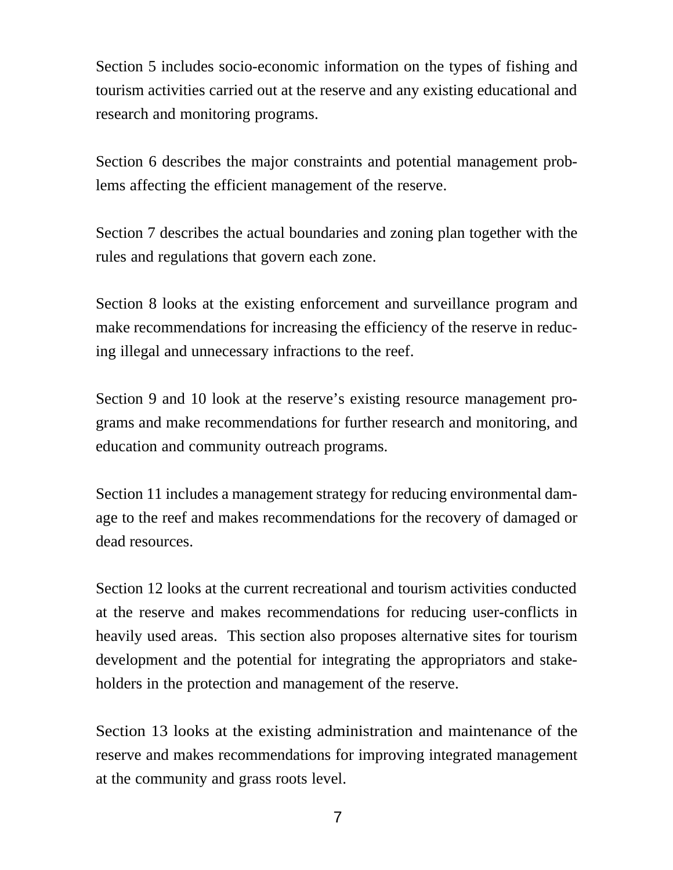Section 5 includes socio-economic information on the types of fishing and tourism activities carried out at the reserve and any existing educational and research and monitoring programs.

Section 6 describes the major constraints and potential management problems affecting the efficient management of the reserve.

Section 7 describes the actual boundaries and zoning plan together with the rules and regulations that govern each zone.

Section 8 looks at the existing enforcement and surveillance program and make recommendations for increasing the efficiency of the reserve in reducing illegal and unnecessary infractions to the reef.

Section 9 and 10 look at the reserve's existing resource management programs and make recommendations for further research and monitoring, and education and community outreach programs.

Section 11 includes a management strategy for reducing environmental damage to the reef and makes recommendations for the recovery of damaged or dead resources.

Section 12 looks at the current recreational and tourism activities conducted at the reserve and makes recommendations for reducing user-conflicts in heavily used areas. This section also proposes alternative sites for tourism development and the potential for integrating the appropriators and stakeholders in the protection and management of the reserve.

Section 13 looks at the existing administration and maintenance of the reserve and makes recommendations for improving integrated management at the community and grass roots level.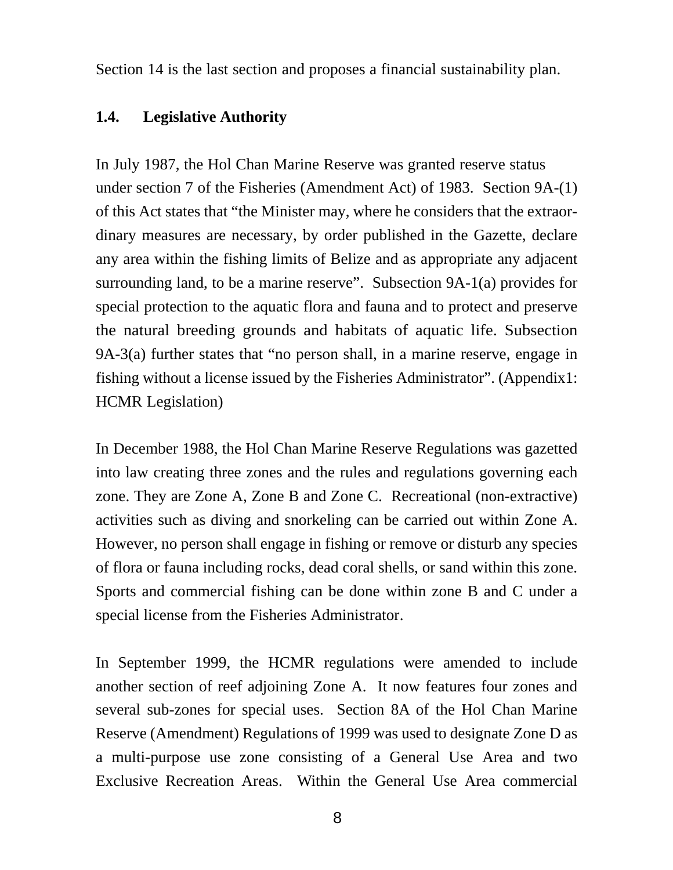Section 14 is the last section and proposes a financial sustainability plan.

#### **1.4. Legislative Authority**

In July 1987, the Hol Chan Marine Reserve was granted reserve status under section 7 of the Fisheries (Amendment Act) of 1983. Section 9A-(1) of this Act states that "the Minister may, where he considers that the extraordinary measures are necessary, by order published in the Gazette, declare any area within the fishing limits of Belize and as appropriate any adjacent surrounding land, to be a marine reserve". Subsection 9A-1(a) provides for special protection to the aquatic flora and fauna and to protect and preserve the natural breeding grounds and habitats of aquatic life. Subsection 9A-3(a) further states that "no person shall, in a marine reserve, engage in fishing without a license issued by the Fisheries Administrator". (Appendix1: HCMR Legislation)

In December 1988, the Hol Chan Marine Reserve Regulations was gazetted into law creating three zones and the rules and regulations governing each zone. They are Zone A, Zone B and Zone C. Recreational (non-extractive) activities such as diving and snorkeling can be carried out within Zone A. However, no person shall engage in fishing or remove or disturb any species of flora or fauna including rocks, dead coral shells, or sand within this zone. Sports and commercial fishing can be done within zone B and C under a special license from the Fisheries Administrator.

In September 1999, the HCMR regulations were amended to include another section of reef adjoining Zone A. It now features four zones and several sub-zones for special uses. Section 8A of the Hol Chan Marine Reserve (Amendment) Regulations of 1999 was used to designate Zone D as a multi-purpose use zone consisting of a General Use Area and two Exclusive Recreation Areas. Within the General Use Area commercial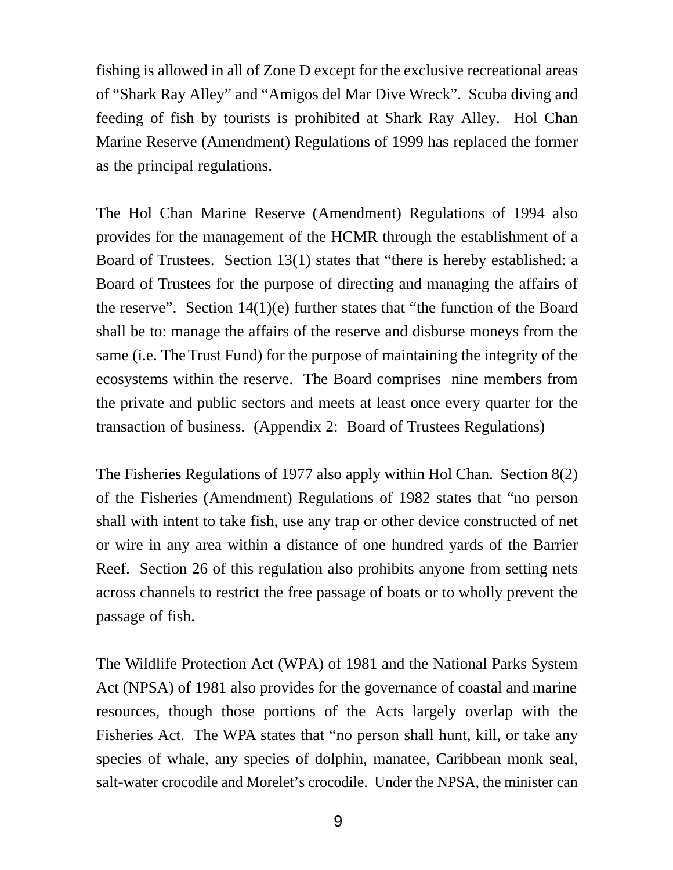fishing is allowed in all of Zone D except for the exclusive recreational areas of "Shark Ray Alley" and "Amigos del Mar Dive Wreck". Scuba diving and feeding of fish by tourists is prohibited at Shark Ray Alley. Hol Chan Marine Reserve (Amendment) Regulations of 1999 has replaced the former as the principal regulations.

The Hol Chan Marine Reserve (Amendment) Regulations of 1994 also provides for the management of the HCMR through the establishment of a Board of Trustees. Section 13(1) states that "there is hereby established: a Board of Trustees for the purpose of directing and managing the affairs of the reserve". Section  $14(1)(e)$  further states that "the function of the Board shall be to: manage the affairs of the reserve and disburse moneys from the same (i.e. The Trust Fund) for the purpose of maintaining the integrity of the ecosystems within the reserve. The Board comprises nine members from the private and public sectors and meets at least once every quarter for the transaction of business. (Appendix 2: Board of Trustees Regulations)

The Fisheries Regulations of 1977 also apply within Hol Chan. Section 8(2) of the Fisheries (Amendment) Regulations of 1982 states that "no person shall with intent to take fish, use any trap or other device constructed of net or wire in any area within a distance of one hundred yards of the Barrier Reef. Section 26 of this regulation also prohibits anyone from setting nets across channels to restrict the free passage of boats or to wholly prevent the passage of fish.

The Wildlife Protection Act (WPA) of 1981 and the National Parks System Act (NPSA) of 1981 also provides for the governance of coastal and marine resources, though those portions of the Acts largely overlap with the Fisheries Act. The WPA states that "no person shall hunt, kill, or take any species of whale, any species of dolphin, manatee, Caribbean monk seal, salt-water crocodile and Morelet's crocodile. Under the NPSA, the minister can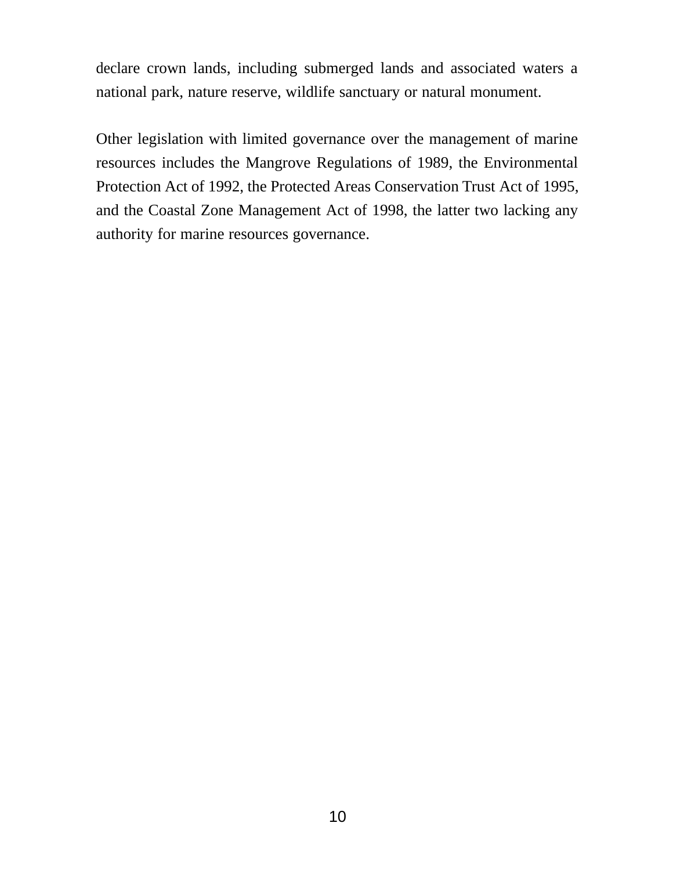declare crown lands, including submerged lands and associated waters a national park, nature reserve, wildlife sanctuary or natural monument.

Other legislation with limited governance over the management of marine resources includes the Mangrove Regulations of 1989, the Environmental Protection Act of 1992, the Protected Areas Conservation Trust Act of 1995, and the Coastal Zone Management Act of 1998, the latter two lacking any authority for marine resources governance.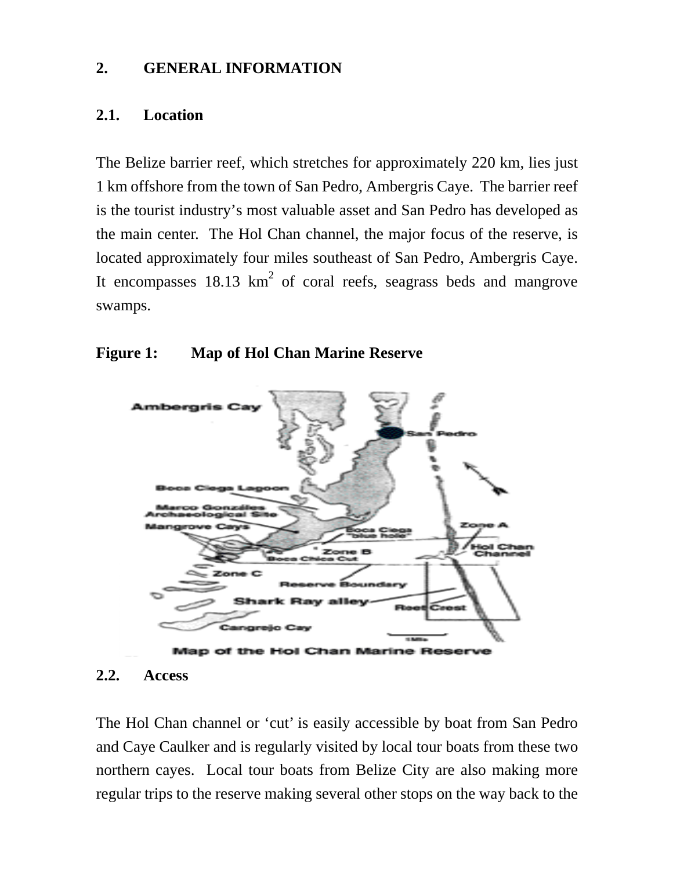#### **2. GENERAL INFORMATION**

#### **2.1. Location**

The Belize barrier reef, which stretches for approximately 220 km, lies just 1 km offshore from the town of San Pedro, Ambergris Caye. The barrier reef is the tourist industry's most valuable asset and San Pedro has developed as the main center. The Hol Chan channel, the major focus of the reserve, is located approximately four miles southeast of San Pedro, Ambergris Caye. It encompasses  $18.13 \text{ km}^2$  of coral reefs, seagrass beds and mangrove swamps.

#### **Figure 1: Map of Hol Chan Marine Reserve**





The Hol Chan channel or 'cut' is easily accessible by boat from San Pedro and Caye Caulker and is regularly visited by local tour boats from these two northern cayes. Local tour boats from Belize City are also making more regular trips to the reserve making several other stops on the way back to the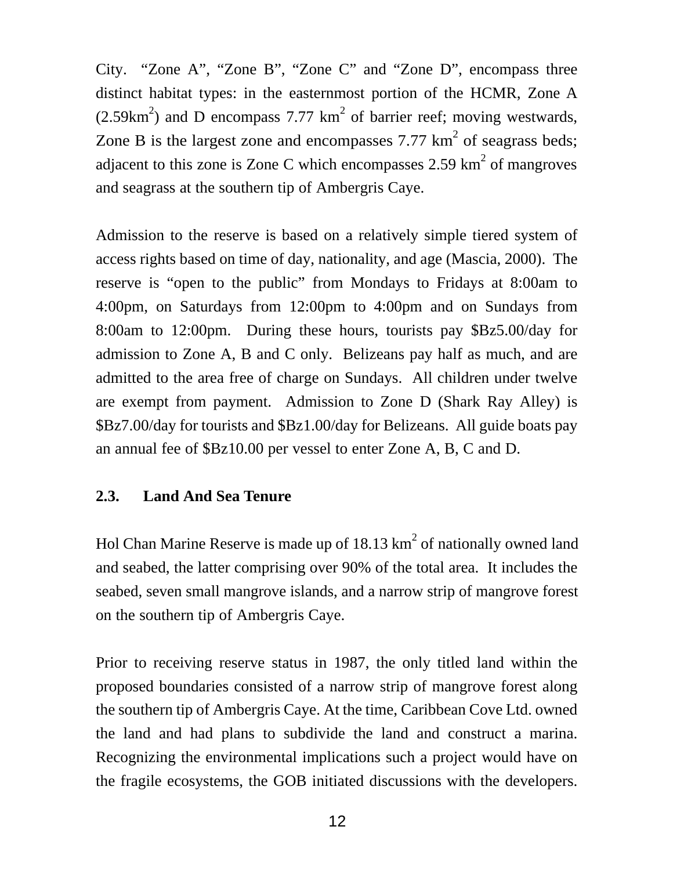City. "Zone A", "Zone B", "Zone C" and "Zone D", encompass three distinct habitat types: in the easternmost portion of the HCMR, Zone A  $(2.59 \text{km}^2)$  and D encompass 7.77 km<sup>2</sup> of barrier reef; moving westwards, Zone B is the largest zone and encompasses 7.77  $\text{km}^2$  of seagrass beds; adjacent to this zone is Zone C which encompasses 2.59  $\text{km}^2$  of mangroves and seagrass at the southern tip of Ambergris Caye.

Admission to the reserve is based on a relatively simple tiered system of access rights based on time of day, nationality, and age (Mascia, 2000). The reserve is "open to the public" from Mondays to Fridays at 8:00am to 4:00pm, on Saturdays from 12:00pm to 4:00pm and on Sundays from 8:00am to 12:00pm. During these hours, tourists pay \$Bz5.00/day for admission to Zone A, B and C only. Belizeans pay half as much, and are admitted to the area free of charge on Sundays. All children under twelve are exempt from payment. Admission to Zone D (Shark Ray Alley) is \$Bz7.00/day for tourists and \$Bz1.00/day for Belizeans. All guide boats pay an annual fee of \$Bz10.00 per vessel to enter Zone A, B, C and D.

## **2.3. Land And Sea Tenure**

Hol Chan Marine Reserve is made up of 18.13  $km^2$  of nationally owned land and seabed, the latter comprising over 90% of the total area. It includes the seabed, seven small mangrove islands, and a narrow strip of mangrove forest on the southern tip of Ambergris Caye.

Prior to receiving reserve status in 1987, the only titled land within the proposed boundaries consisted of a narrow strip of mangrove forest along the southern tip of Ambergris Caye. At the time, Caribbean Cove Ltd. owned the land and had plans to subdivide the land and construct a marina. Recognizing the environmental implications such a project would have on the fragile ecosystems, the GOB initiated discussions with the developers.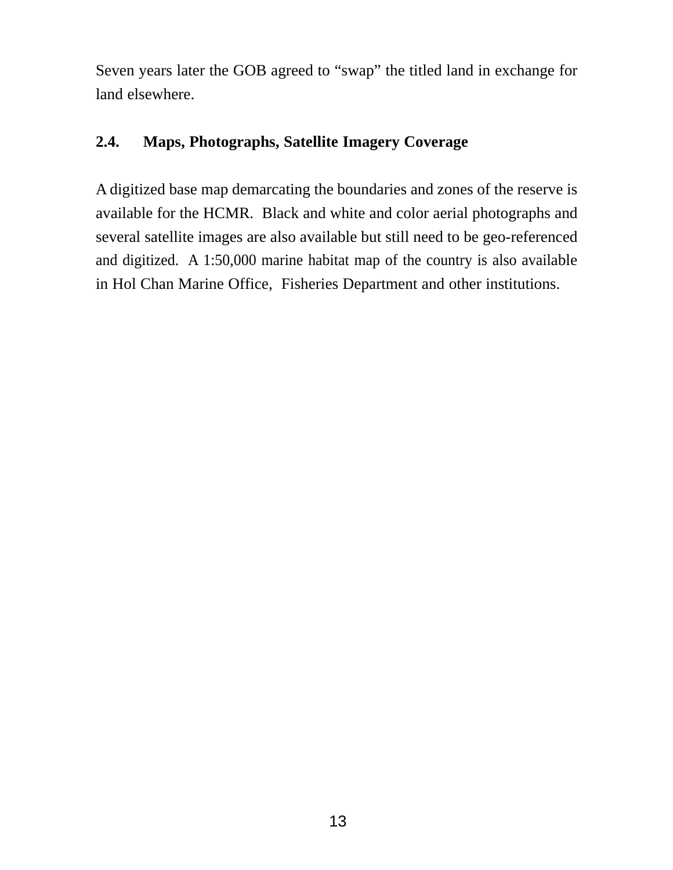Seven years later the GOB agreed to "swap" the titled land in exchange for land elsewhere.

## **2.4. Maps, Photographs, Satellite Imagery Coverage**

A digitized base map demarcating the boundaries and zones of the reserve is available for the HCMR. Black and white and color aerial photographs and several satellite images are also available but still need to be geo-referenced and digitized. A 1:50,000 marine habitat map of the country is also available in Hol Chan Marine Office, Fisheries Department and other institutions.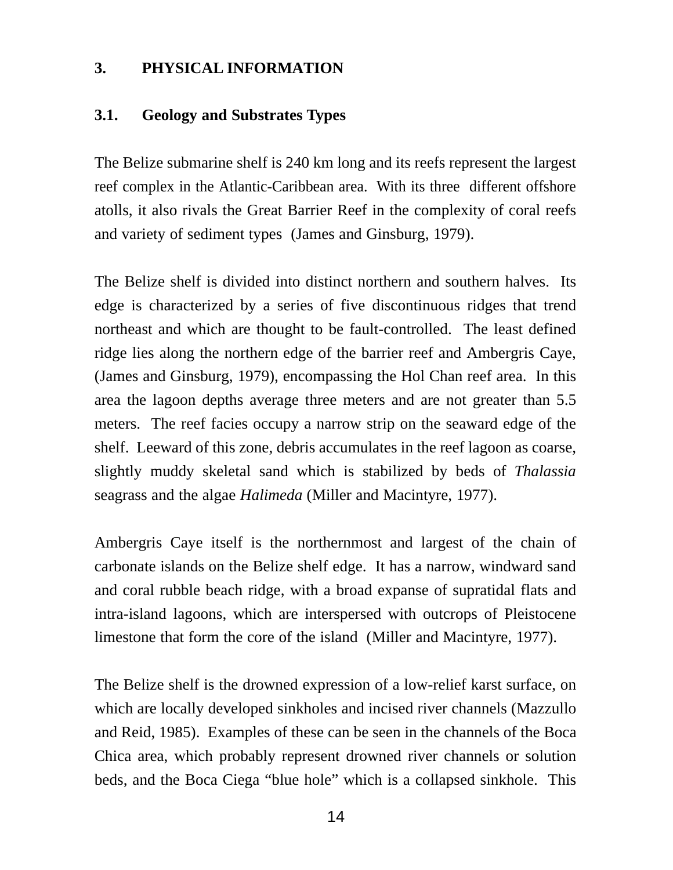#### **3. PHYSICAL INFORMATION**

#### **3.1. Geology and Substrates Types**

The Belize submarine shelf is 240 km long and its reefs represent the largest reef complex in the Atlantic-Caribbean area. With its three different offshore atolls, it also rivals the Great Barrier Reef in the complexity of coral reefs and variety of sediment types (James and Ginsburg, 1979).

The Belize shelf is divided into distinct northern and southern halves. Its edge is characterized by a series of five discontinuous ridges that trend northeast and which are thought to be fault-controlled. The least defined ridge lies along the northern edge of the barrier reef and Ambergris Caye, (James and Ginsburg, 1979), encompassing the Hol Chan reef area. In this area the lagoon depths average three meters and are not greater than 5.5 meters. The reef facies occupy a narrow strip on the seaward edge of the shelf. Leeward of this zone, debris accumulates in the reef lagoon as coarse, slightly muddy skeletal sand which is stabilized by beds of *Thalassia* seagrass and the algae *Halimeda* (Miller and Macintyre, 1977).

Ambergris Caye itself is the northernmost and largest of the chain of carbonate islands on the Belize shelf edge. It has a narrow, windward sand and coral rubble beach ridge, with a broad expanse of supratidal flats and intra-island lagoons, which are interspersed with outcrops of Pleistocene limestone that form the core of the island (Miller and Macintyre, 1977).

The Belize shelf is the drowned expression of a low-relief karst surface, on which are locally developed sinkholes and incised river channels (Mazzullo and Reid, 1985). Examples of these can be seen in the channels of the Boca Chica area, which probably represent drowned river channels or solution beds, and the Boca Ciega "blue hole" which is a collapsed sinkhole. This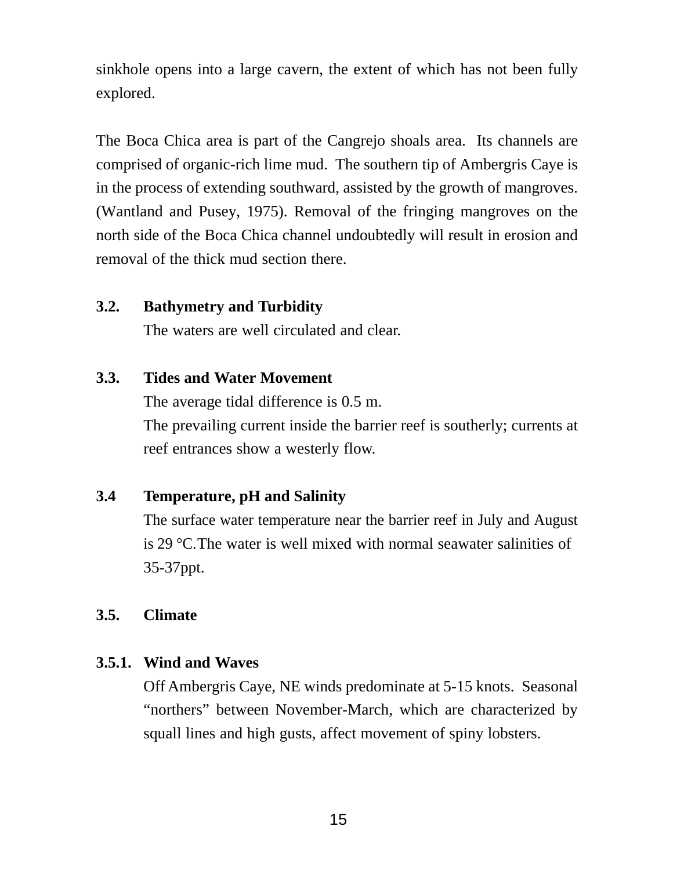sinkhole opens into a large cavern, the extent of which has not been fully explored.

The Boca Chica area is part of the Cangrejo shoals area. Its channels are comprised of organic-rich lime mud. The southern tip of Ambergris Caye is in the process of extending southward, assisted by the growth of mangroves. (Wantland and Pusey, 1975). Removal of the fringing mangroves on the north side of the Boca Chica channel undoubtedly will result in erosion and removal of the thick mud section there.

#### **3.2. Bathymetry and Turbidity**

The waters are well circulated and clear.

#### **3.3. Tides and Water Movement**

The average tidal difference is 0.5 m. The prevailing current inside the barrier reef is southerly; currents at reef entrances show a westerly flow.

## **3.4 Temperature, pH and Salinity**

The surface water temperature near the barrier reef in July and August is 29 °C.The water is well mixed with normal seawater salinities of 35-37ppt.

#### **3.5. Climate**

#### **3.5.1. Wind and Waves**

Off Ambergris Caye, NE winds predominate at 5-15 knots. Seasonal "northers" between November-March, which are characterized by squall lines and high gusts, affect movement of spiny lobsters.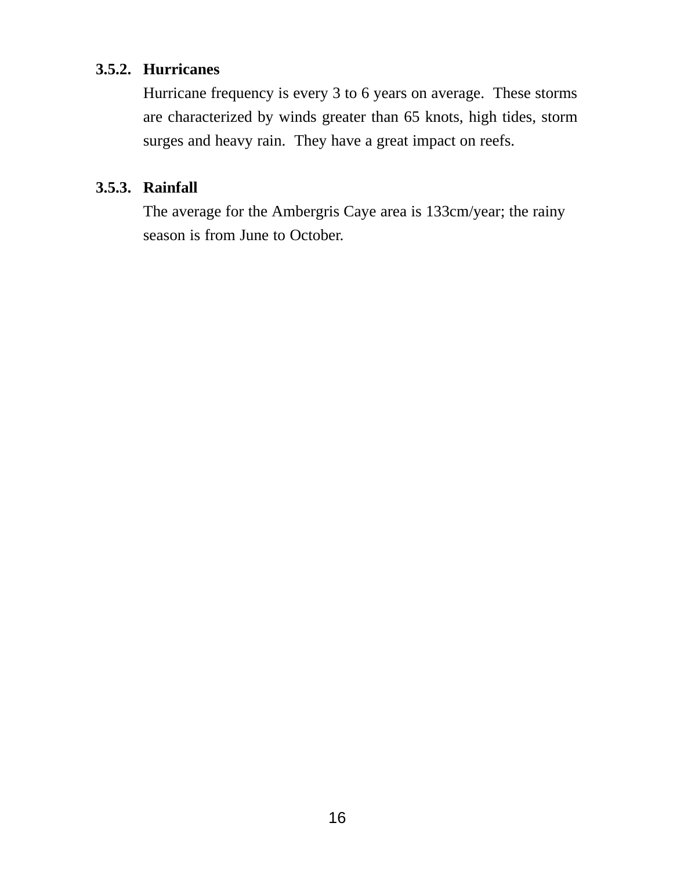#### **3.5.2. Hurricanes**

Hurricane frequency is every 3 to 6 years on average. These storms are characterized by winds greater than 65 knots, high tides, storm surges and heavy rain. They have a great impact on reefs.

#### **3.5.3. Rainfall**

The average for the Ambergris Caye area is 133cm/year; the rainy season is from June to October.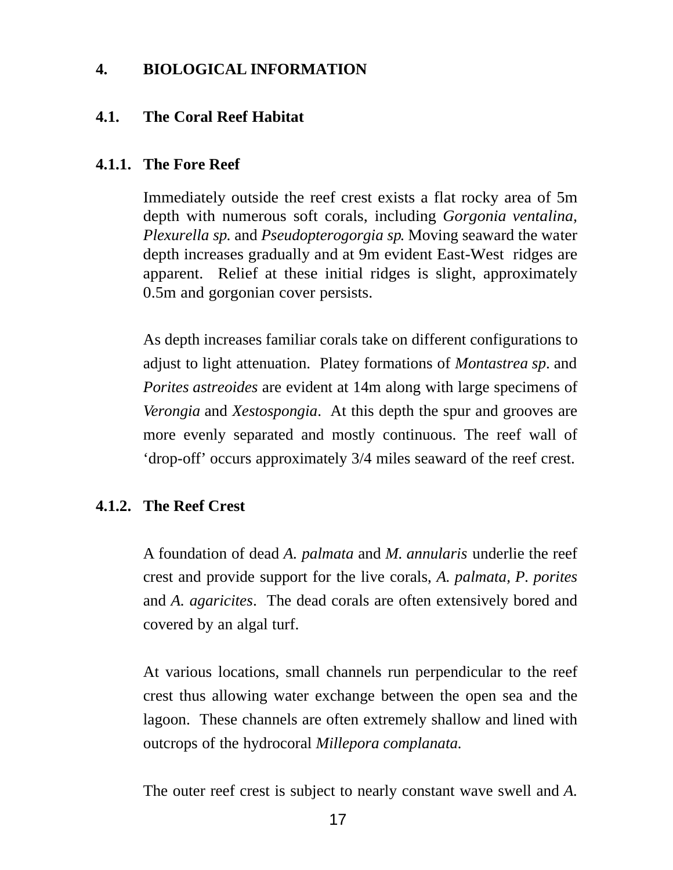#### **4. BIOLOGICAL INFORMATION**

#### **4.1. The Coral Reef Habitat**

#### **4.1.1. The Fore Reef**

Immediately outside the reef crest exists a flat rocky area of 5m depth with numerous soft corals, including *Gorgonia ventalina, Plexurella sp*. and *Pseudopterogorgia sp*. Moving seaward the water depth increases gradually and at 9m evident East-West ridges are apparent. Relief at these initial ridges is slight, approximately 0.5m and gorgonian cover persists.

As depth increases familiar corals take on different configurations to adjust to light attenuation. Platey formations of *Montastrea sp*. and *Porites astreoides* are evident at 14m along with large specimens of *Verongia* and *Xestospongia*. At this depth the spur and grooves are more evenly separated and mostly continuous. The reef wall of 'drop-off' occurs approximately 3/4 miles seaward of the reef crest.

#### **4.1.2. The Reef Crest**

A foundation of dead *A. palmata* and *M. annularis* underlie the reef crest and provide support for the live corals, *A. palmata, P. porites* and *A. agaricites*. The dead corals are often extensively bored and covered by an algal turf.

At various locations, small channels run perpendicular to the reef crest thus allowing water exchange between the open sea and the lagoon. These channels are often extremely shallow and lined with outcrops of the hydrocoral *Millepora complanata.*

The outer reef crest is subject to nearly constant wave swell and *A.*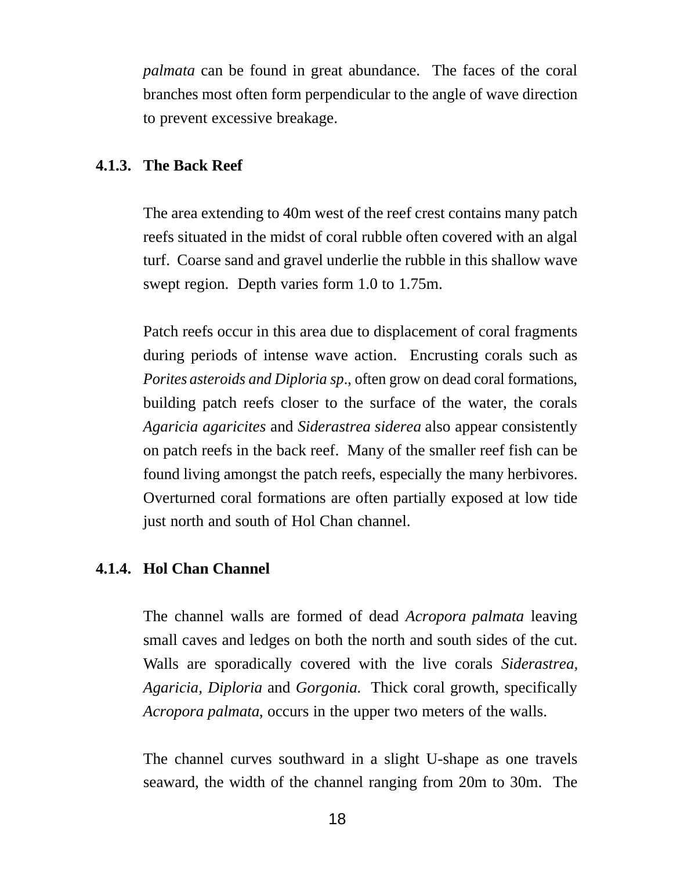*palmata* can be found in great abundance. The faces of the coral branches most often form perpendicular to the angle of wave direction to prevent excessive breakage.

#### **4.1.3. The Back Reef**

The area extending to 40m west of the reef crest contains many patch reefs situated in the midst of coral rubble often covered with an algal turf. Coarse sand and gravel underlie the rubble in this shallow wave swept region. Depth varies form 1.0 to 1.75m.

Patch reefs occur in this area due to displacement of coral fragments during periods of intense wave action. Encrusting corals such as *Porites asteroids and Diploria sp*., often grow on dead coral formations, building patch reefs closer to the surface of the water, the corals *Agaricia agaricites* and *Siderastrea siderea* also appear consistently on patch reefs in the back reef. Many of the smaller reef fish can be found living amongst the patch reefs, especially the many herbivores. Overturned coral formations are often partially exposed at low tide just north and south of Hol Chan channel.

#### **4.1.4. Hol Chan Channel**

The channel walls are formed of dead *Acropora palmata* leaving small caves and ledges on both the north and south sides of the cut. Walls are sporadically covered with the live corals *Siderastrea, Agaricia, Diploria* and *Gorgonia.* Thick coral growth, specifically *Acropora palmata*, occurs in the upper two meters of the walls.

The channel curves southward in a slight U-shape as one travels seaward, the width of the channel ranging from 20m to 30m. The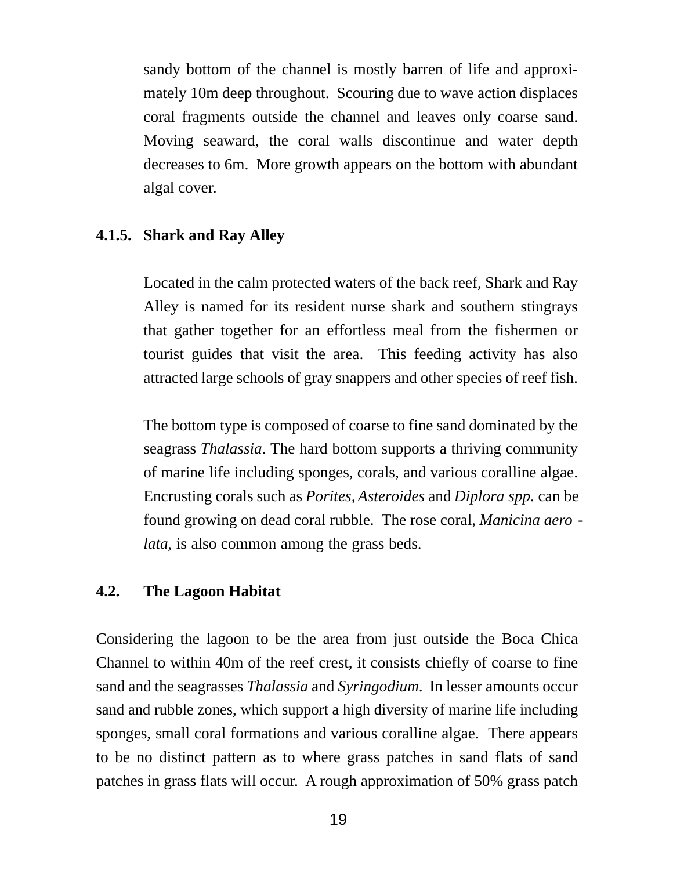sandy bottom of the channel is mostly barren of life and approximately 10m deep throughout. Scouring due to wave action displaces coral fragments outside the channel and leaves only coarse sand. Moving seaward, the coral walls discontinue and water depth decreases to 6m. More growth appears on the bottom with abundant algal cover.

#### **4.1.5. Shark and Ray Alley**

Located in the calm protected waters of the back reef, Shark and Ray Alley is named for its resident nurse shark and southern stingrays that gather together for an effortless meal from the fishermen or tourist guides that visit the area. This feeding activity has also attracted large schools of gray snappers and other species of reef fish.

The bottom type is composed of coarse to fine sand dominated by the seagrass *Thalassia*. The hard bottom supports a thriving community of marine life including sponges, corals, and various coralline algae. Encrusting corals such as *Porites, Asteroides* and *Diplora spp*. can be found growing on dead coral rubble. The rose coral, *Manicina aero lata*, is also common among the grass beds.

#### **4.2. The Lagoon Habitat**

Considering the lagoon to be the area from just outside the Boca Chica Channel to within 40m of the reef crest, it consists chiefly of coarse to fine sand and the seagrasses *Thalassia* and *Syringodium*. In lesser amounts occur sand and rubble zones, which support a high diversity of marine life including sponges, small coral formations and various coralline algae. There appears to be no distinct pattern as to where grass patches in sand flats of sand patches in grass flats will occur. A rough approximation of 50% grass patch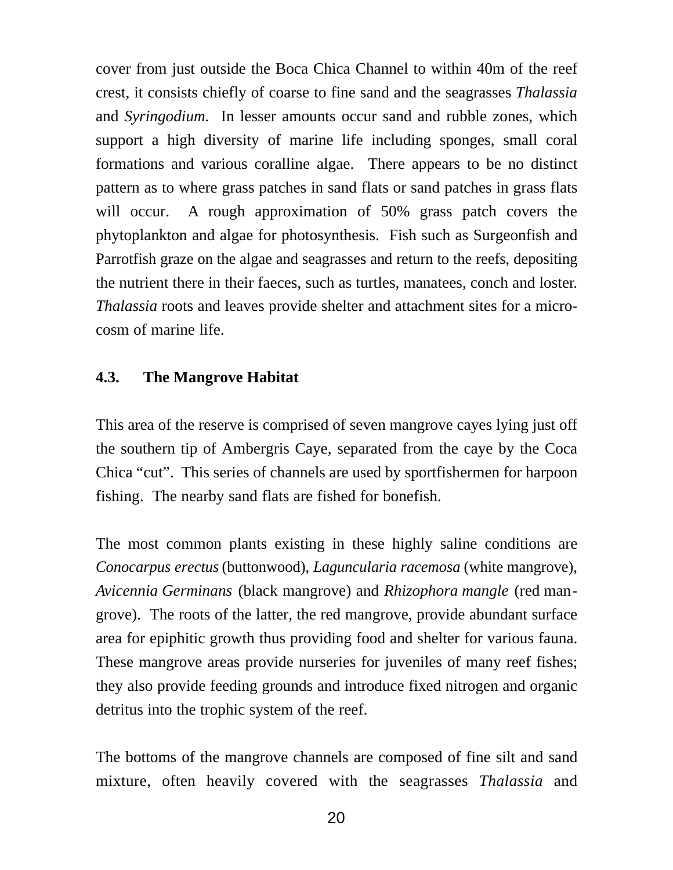cover from just outside the Boca Chica Channel to within 40m of the reef crest, it consists chiefly of coarse to fine sand and the seagrasses *Thalassia* and *Syringodium.* In lesser amounts occur sand and rubble zones, which support a high diversity of marine life including sponges, small coral formations and various coralline algae. There appears to be no distinct pattern as to where grass patches in sand flats or sand patches in grass flats will occur. A rough approximation of 50% grass patch covers the phytoplankton and algae for photosynthesis. Fish such as Surgeonfish and Parrotfish graze on the algae and seagrasses and return to the reefs, depositing the nutrient there in their faeces, such as turtles, manatees, conch and loster. *Thalassia* roots and leaves provide shelter and attachment sites for a microcosm of marine life.

#### **4.3. The Mangrove Habitat**

This area of the reserve is comprised of seven mangrove cayes lying just off the southern tip of Ambergris Caye, separated from the caye by the Coca Chica "cut". This series of channels are used by sportfishermen for harpoon fishing. The nearby sand flats are fished for bonefish.

The most common plants existing in these highly saline conditions are *Conocarpus erectus* (buttonwood), *Laguncularia racemosa* (white mangrove), *Avicennia Germinans* (black mangrove) and *Rhizophora mangle* (red mangrove). The roots of the latter, the red mangrove, provide abundant surface area for epiphitic growth thus providing food and shelter for various fauna. These mangrove areas provide nurseries for juveniles of many reef fishes; they also provide feeding grounds and introduce fixed nitrogen and organic detritus into the trophic system of the reef.

The bottoms of the mangrove channels are composed of fine silt and sand mixture, often heavily covered with the seagrasses *Thalassia* and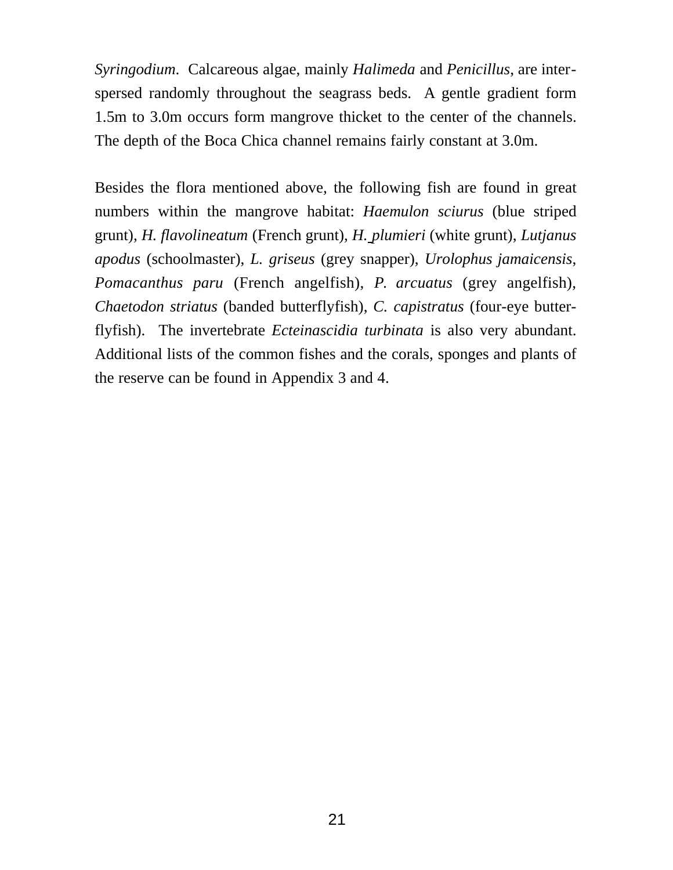*Syringodium*. Calcareous algae, mainly *Halimeda* and *Penicillus*, are interspersed randomly throughout the seagrass beds. A gentle gradient form 1.5m to 3.0m occurs form mangrove thicket to the center of the channels. The depth of the Boca Chica channel remains fairly constant at 3.0m.

Besides the flora mentioned above, the following fish are found in great numbers within the mangrove habitat: *Haemulon sciurus* (blue striped grunt), *H. flavolineatum* (French grunt), *H. plumieri* (white grunt), *Lutjanus apodus* (schoolmaster), *L. griseus* (grey snapper), *Urolophus jamaicensis*, *Pomacanthus paru* (French angelfish), *P. arcuatus* (grey angelfish), *Chaetodon striatus* (banded butterflyfish), *C. capistratus* (four-eye butterflyfish). The invertebrate *Ecteinascidia turbinata* is also very abundant. Additional lists of the common fishes and the corals, sponges and plants of the reserve can be found in Appendix 3 and 4.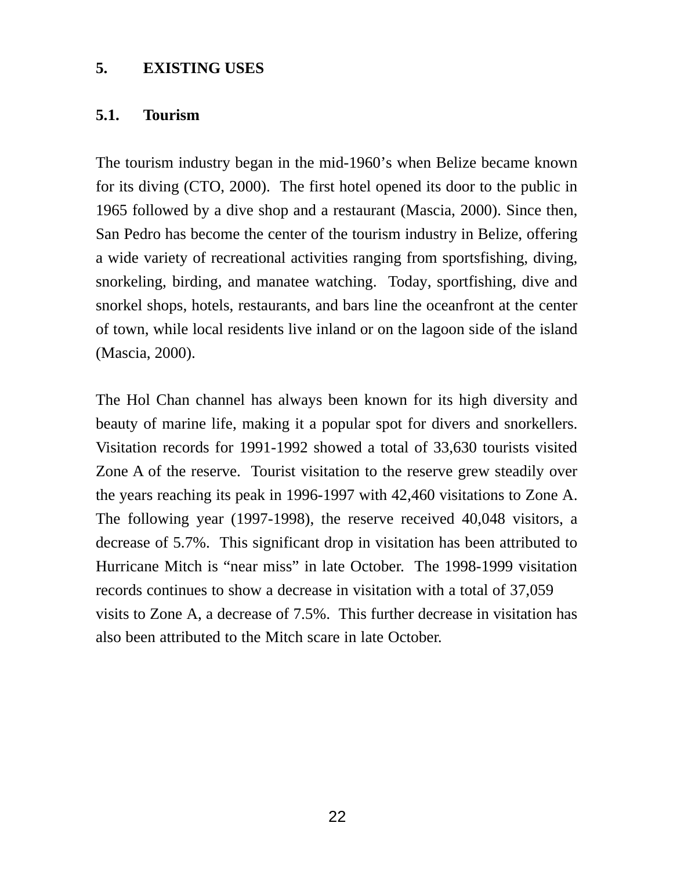#### **5. EXISTING USES**

#### **5.1. Tourism**

The tourism industry began in the mid-1960's when Belize became known for its diving (CTO, 2000). The first hotel opened its door to the public in 1965 followed by a dive shop and a restaurant (Mascia, 2000). Since then, San Pedro has become the center of the tourism industry in Belize, offering a wide variety of recreational activities ranging from sportsfishing, diving, snorkeling, birding, and manatee watching. Today, sportfishing, dive and snorkel shops, hotels, restaurants, and bars line the oceanfront at the center of town, while local residents live inland or on the lagoon side of the island (Mascia, 2000).

The Hol Chan channel has always been known for its high diversity and beauty of marine life, making it a popular spot for divers and snorkellers. Visitation records for 1991-1992 showed a total of 33,630 tourists visited Zone A of the reserve. Tourist visitation to the reserve grew steadily over the years reaching its peak in 1996-1997 with 42,460 visitations to Zone A. The following year (1997-1998), the reserve received 40,048 visitors, a decrease of 5.7%. This significant drop in visitation has been attributed to Hurricane Mitch is "near miss" in late October. The 1998-1999 visitation records continues to show a decrease in visitation with a total of 37,059 visits to Zone A, a decrease of 7.5%. This further decrease in visitation has also been attributed to the Mitch scare in late October.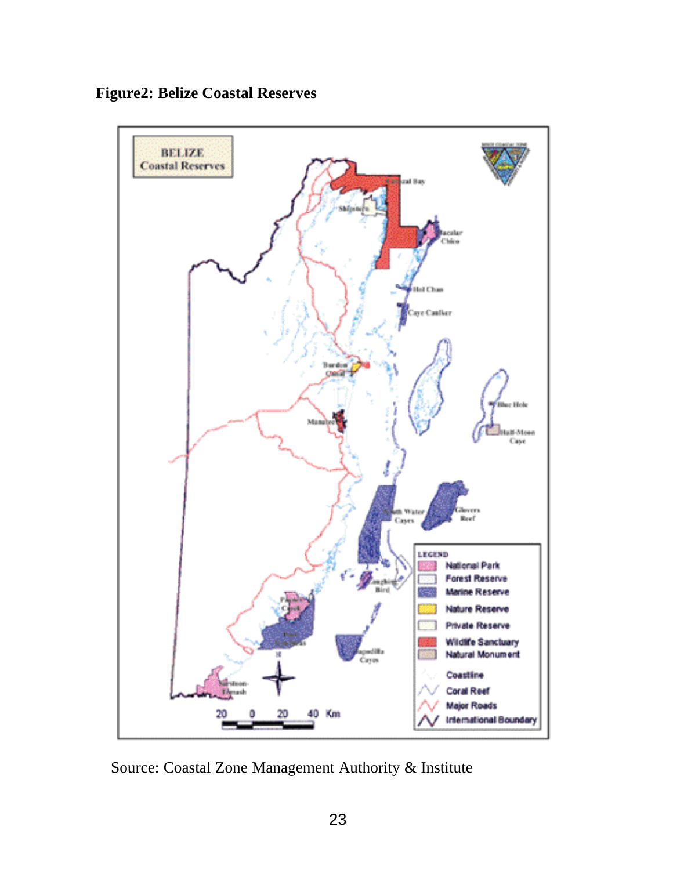



Source: Coastal Zone Management Authority & Institute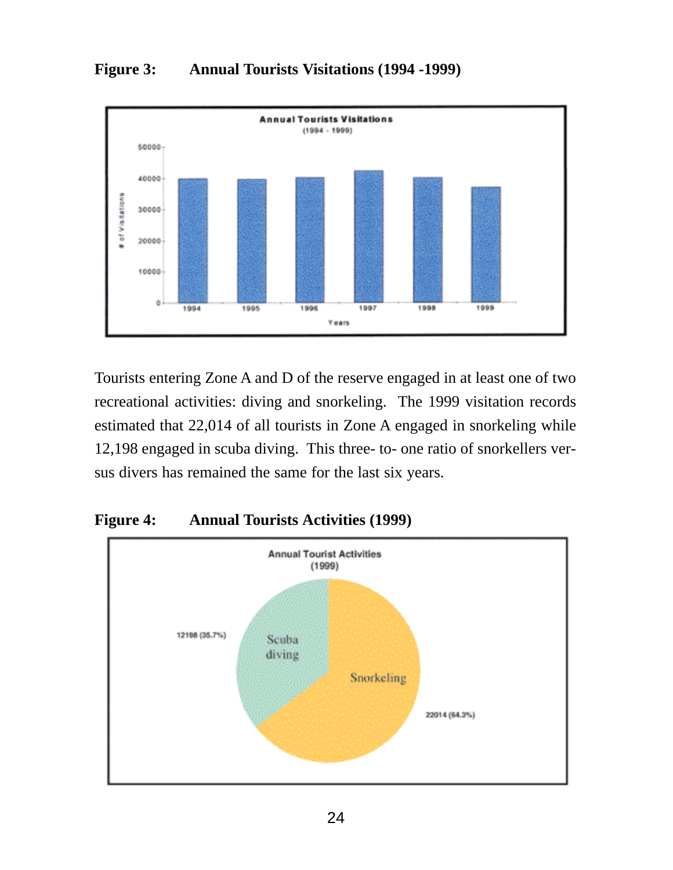



Tourists entering Zone A and D of the reserve engaged in at least one of two recreational activities: diving and snorkeling. The 1999 visitation records estimated that 22,014 of all tourists in Zone A engaged in snorkeling while 12,198 engaged in scuba diving. This three- to- one ratio of snorkellers versus divers has remained the same for the last six years.



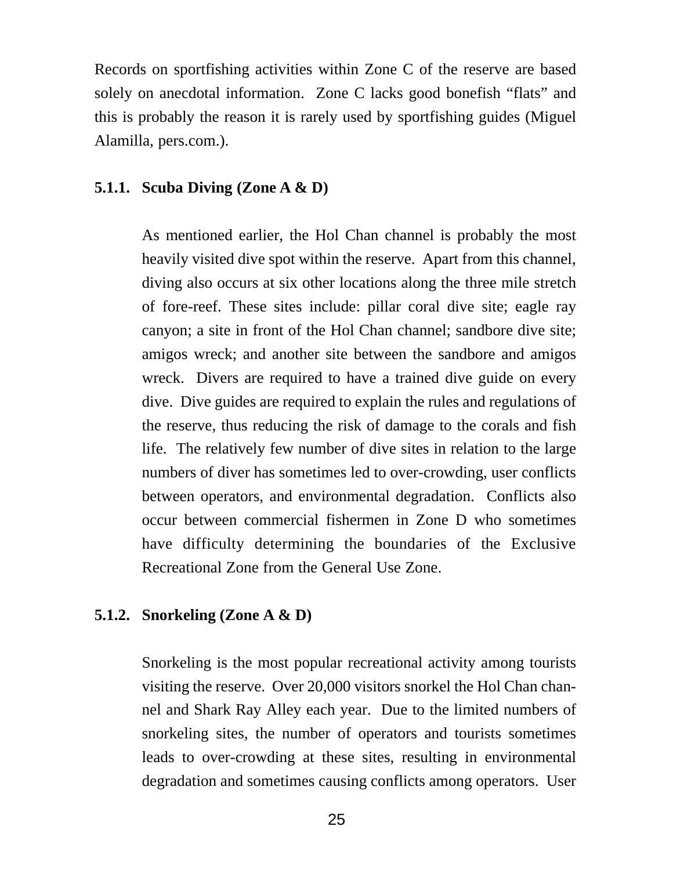Records on sportfishing activities within Zone C of the reserve are based solely on anecdotal information. Zone C lacks good bonefish "flats" and this is probably the reason it is rarely used by sportfishing guides (Miguel Alamilla, pers.com.).

#### **5.1.1. Scuba Diving (Zone A & D)**

As mentioned earlier, the Hol Chan channel is probably the most heavily visited dive spot within the reserve. Apart from this channel, diving also occurs at six other locations along the three mile stretch of fore-reef. These sites include: pillar coral dive site; eagle ray canyon; a site in front of the Hol Chan channel; sandbore dive site; amigos wreck; and another site between the sandbore and amigos wreck. Divers are required to have a trained dive guide on every dive. Dive guides are required to explain the rules and regulations of the reserve, thus reducing the risk of damage to the corals and fish life. The relatively few number of dive sites in relation to the large numbers of diver has sometimes led to over-crowding, user conflicts between operators, and environmental degradation. Conflicts also occur between commercial fishermen in Zone D who sometimes have difficulty determining the boundaries of the Exclusive Recreational Zone from the General Use Zone.

#### **5.1.2. Snorkeling (Zone A & D)**

Snorkeling is the most popular recreational activity among tourists visiting the reserve. Over 20,000 visitors snorkel the Hol Chan channel and Shark Ray Alley each year. Due to the limited numbers of snorkeling sites, the number of operators and tourists sometimes leads to over-crowding at these sites, resulting in environmental degradation and sometimes causing conflicts among operators. User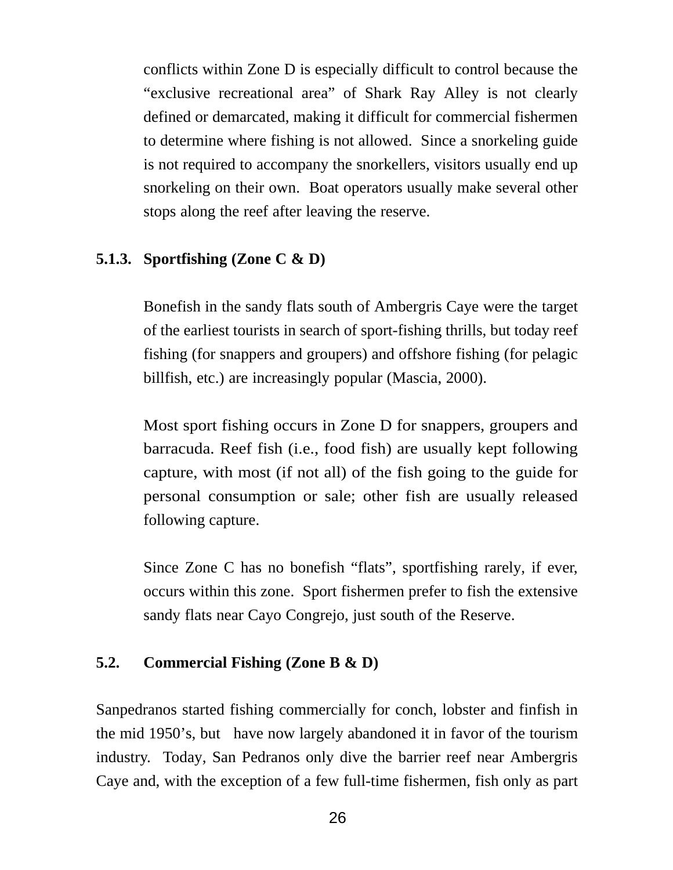conflicts within Zone D is especially difficult to control because the "exclusive recreational area" of Shark Ray Alley is not clearly defined or demarcated, making it difficult for commercial fishermen to determine where fishing is not allowed. Since a snorkeling guide is not required to accompany the snorkellers, visitors usually end up snorkeling on their own. Boat operators usually make several other stops along the reef after leaving the reserve.

#### **5.1.3. Sportfishing (Zone C & D)**

Bonefish in the sandy flats south of Ambergris Caye were the target of the earliest tourists in search of sport-fishing thrills, but today reef fishing (for snappers and groupers) and offshore fishing (for pelagic billfish, etc.) are increasingly popular (Mascia, 2000).

Most sport fishing occurs in Zone D for snappers, groupers and barracuda. Reef fish (i.e., food fish) are usually kept following capture, with most (if not all) of the fish going to the guide for personal consumption or sale; other fish are usually released following capture.

Since Zone C has no bonefish "flats", sportfishing rarely, if ever, occurs within this zone. Sport fishermen prefer to fish the extensive sandy flats near Cayo Congrejo, just south of the Reserve.

#### **5.2. Commercial Fishing (Zone B & D)**

Sanpedranos started fishing commercially for conch, lobster and finfish in the mid 1950's, but have now largely abandoned it in favor of the tourism industry. Today, San Pedranos only dive the barrier reef near Ambergris Caye and, with the exception of a few full-time fishermen, fish only as part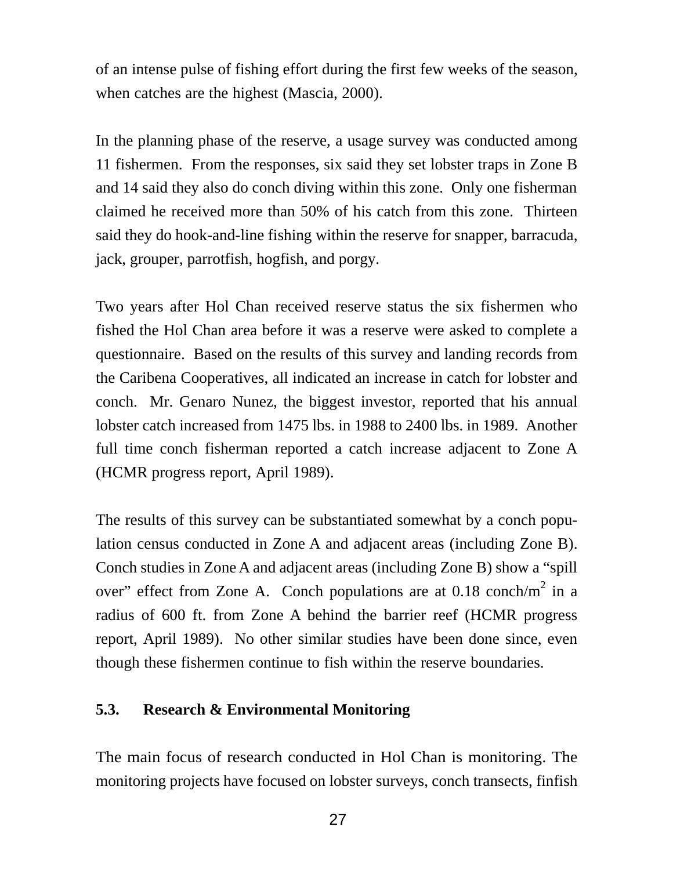of an intense pulse of fishing effort during the first few weeks of the season, when catches are the highest (Mascia, 2000).

In the planning phase of the reserve, a usage survey was conducted among 11 fishermen. From the responses, six said they set lobster traps in Zone B and 14 said they also do conch diving within this zone. Only one fisherman claimed he received more than 50% of his catch from this zone. Thirteen said they do hook-and-line fishing within the reserve for snapper, barracuda, jack, grouper, parrotfish, hogfish, and porgy.

Two years after Hol Chan received reserve status the six fishermen who fished the Hol Chan area before it was a reserve were asked to complete a questionnaire. Based on the results of this survey and landing records from the Caribena Cooperatives, all indicated an increase in catch for lobster and conch. Mr. Genaro Nunez, the biggest investor, reported that his annual lobster catch increased from 1475 lbs. in 1988 to 2400 lbs. in 1989. Another full time conch fisherman reported a catch increase adjacent to Zone A (HCMR progress report, April 1989).

The results of this survey can be substantiated somewhat by a conch population census conducted in Zone A and adjacent areas (including Zone B). Conch studies in Zone A and adjacent areas (including Zone B) show a "spill over" effect from Zone A. Conch populations are at  $0.18 \text{ conch/m}^2$  in a radius of 600 ft. from Zone A behind the barrier reef (HCMR progress report, April 1989). No other similar studies have been done since, even though these fishermen continue to fish within the reserve boundaries.

#### **5.3. Research & Environmental Monitoring**

The main focus of research conducted in Hol Chan is monitoring. The monitoring projects have focused on lobster surveys, conch transects, finfish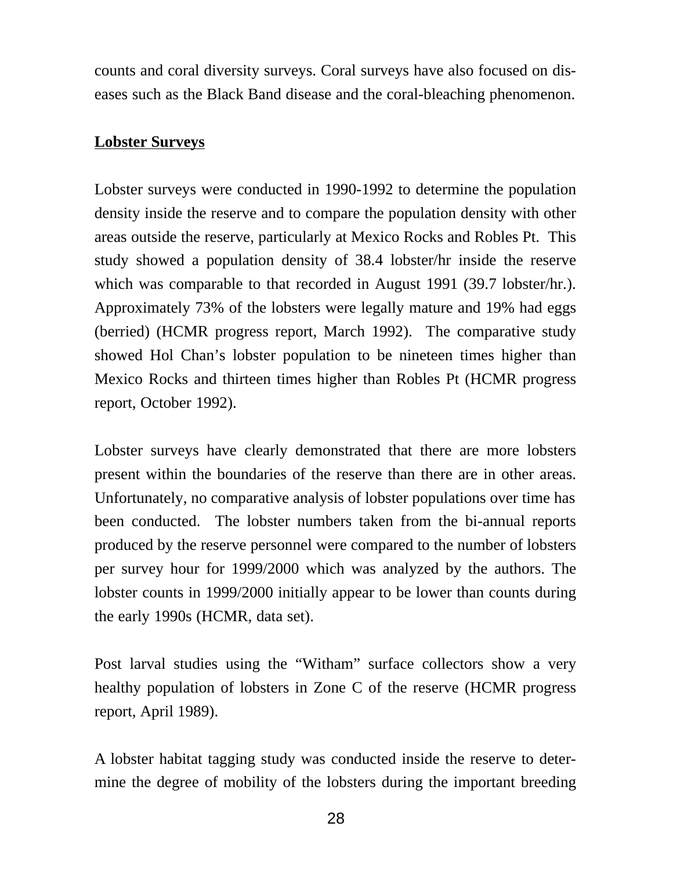counts and coral diversity surveys. Coral surveys have also focused on diseases such as the Black Band disease and the coral-bleaching phenomenon.

#### **Lobster Surveys**

Lobster surveys were conducted in 1990-1992 to determine the population density inside the reserve and to compare the population density with other areas outside the reserve, particularly at Mexico Rocks and Robles Pt. This study showed a population density of 38.4 lobster/hr inside the reserve which was comparable to that recorded in August 1991 (39.7 lobster/hr.). Approximately 73% of the lobsters were legally mature and 19% had eggs (berried) (HCMR progress report, March 1992). The comparative study showed Hol Chan's lobster population to be nineteen times higher than Mexico Rocks and thirteen times higher than Robles Pt (HCMR progress report, October 1992).

Lobster surveys have clearly demonstrated that there are more lobsters present within the boundaries of the reserve than there are in other areas. Unfortunately, no comparative analysis of lobster populations over time has been conducted. The lobster numbers taken from the bi-annual reports produced by the reserve personnel were compared to the number of lobsters per survey hour for 1999/2000 which was analyzed by the authors. The lobster counts in 1999/2000 initially appear to be lower than counts during the early 1990s (HCMR, data set).

Post larval studies using the "Witham" surface collectors show a very healthy population of lobsters in Zone C of the reserve (HCMR progress report, April 1989).

A lobster habitat tagging study was conducted inside the reserve to determine the degree of mobility of the lobsters during the important breeding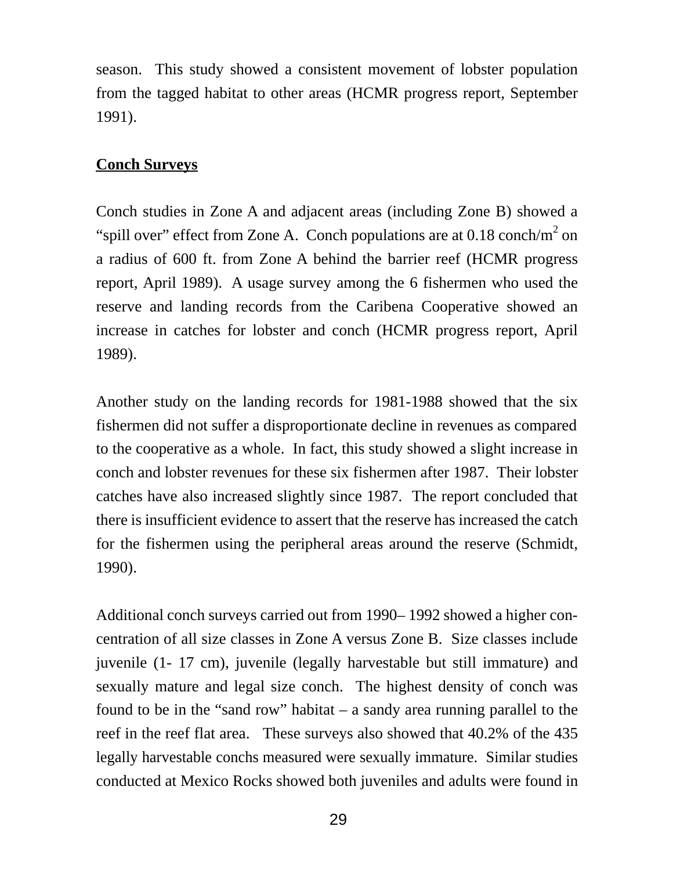season. This study showed a consistent movement of lobster population from the tagged habitat to other areas (HCMR progress report, September 1991).

# **Conch Surveys**

Conch studies in Zone A and adjacent areas (including Zone B) showed a "spill over" effect from Zone A. Conch populations are at  $0.18 \text{ conch/m}^2$  on a radius of 600 ft. from Zone A behind the barrier reef (HCMR progress report, April 1989). A usage survey among the 6 fishermen who used the reserve and landing records from the Caribena Cooperative showed an increase in catches for lobster and conch (HCMR progress report, April 1989).

Another study on the landing records for 1981-1988 showed that the six fishermen did not suffer a disproportionate decline in revenues as compared to the cooperative as a whole. In fact, this study showed a slight increase in conch and lobster revenues for these six fishermen after 1987. Their lobster catches have also increased slightly since 1987. The report concluded that there is insufficient evidence to assert that the reserve has increased the catch for the fishermen using the peripheral areas around the reserve (Schmidt, 1990).

Additional conch surveys carried out from 1990– 1992 showed a higher concentration of all size classes in Zone A versus Zone B. Size classes include juvenile (1- 17 cm), juvenile (legally harvestable but still immature) and sexually mature and legal size conch. The highest density of conch was found to be in the "sand row" habitat – a sandy area running parallel to the reef in the reef flat area. These surveys also showed that 40.2% of the 435 legally harvestable conchs measured were sexually immature. Similar studies conducted at Mexico Rocks showed both juveniles and adults were found in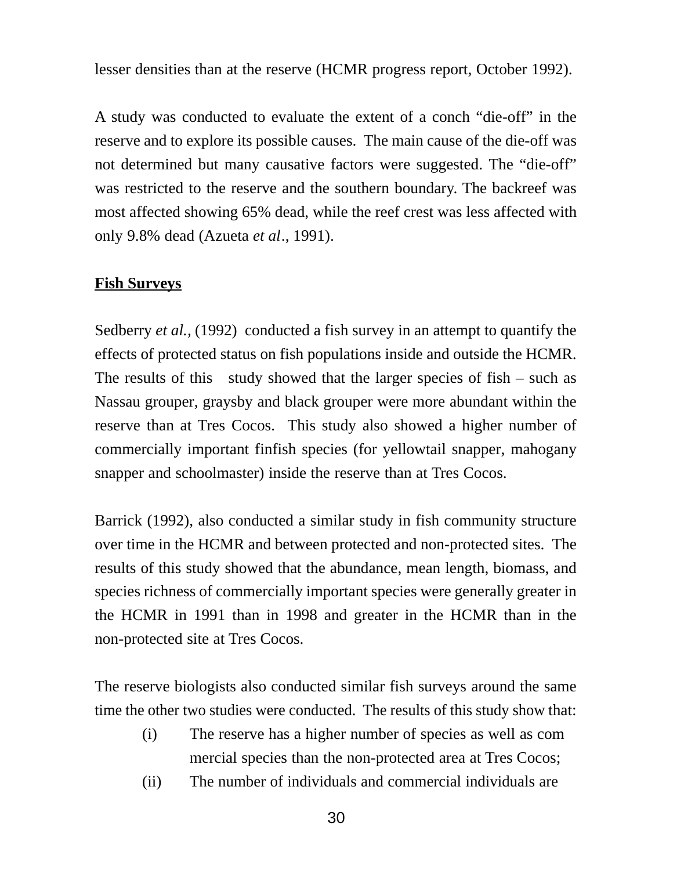lesser densities than at the reserve (HCMR progress report, October 1992).

A study was conducted to evaluate the extent of a conch "die-off" in the reserve and to explore its possible causes. The main cause of the die-off was not determined but many causative factors were suggested. The "die-off" was restricted to the reserve and the southern boundary. The backreef was most affected showing 65% dead, while the reef crest was less affected with only 9.8% dead (Azueta *et al*., 1991).

### **Fish Surveys**

Sedberry *et al.,* (1992) conducted a fish survey in an attempt to quantify the effects of protected status on fish populations inside and outside the HCMR. The results of this study showed that the larger species of  $fish - such$  as Nassau grouper, graysby and black grouper were more abundant within the reserve than at Tres Cocos. This study also showed a higher number of commercially important finfish species (for yellowtail snapper, mahogany snapper and schoolmaster) inside the reserve than at Tres Cocos.

Barrick (1992), also conducted a similar study in fish community structure over time in the HCMR and between protected and non-protected sites. The results of this study showed that the abundance, mean length, biomass, and species richness of commercially important species were generally greater in the HCMR in 1991 than in 1998 and greater in the HCMR than in the non-protected site at Tres Cocos.

The reserve biologists also conducted similar fish surveys around the same time the other two studies were conducted. The results of this study show that:

- (i) The reserve has a higher number of species as well as com mercial species than the non-protected area at Tres Cocos;
- (ii) The number of individuals and commercial individuals are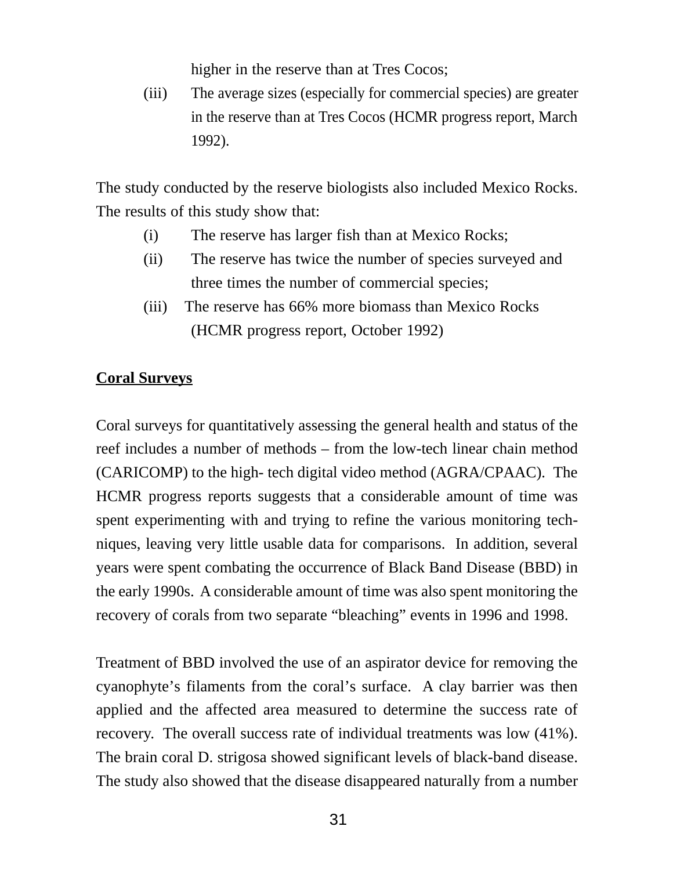higher in the reserve than at Tres Cocos;

(iii) The average sizes (especially for commercial species) are greater in the reserve than at Tres Cocos (HCMR progress report, March 1992).

The study conducted by the reserve biologists also included Mexico Rocks. The results of this study show that:

- (i) The reserve has larger fish than at Mexico Rocks;
- (ii) The reserve has twice the number of species surveyed and three times the number of commercial species;
- (iii) The reserve has 66% more biomass than Mexico Rocks (HCMR progress report, October 1992)

# **Coral Surveys**

Coral surveys for quantitatively assessing the general health and status of the reef includes a number of methods – from the low-tech linear chain method (CARICOMP) to the high- tech digital video method (AGRA/CPAAC). The HCMR progress reports suggests that a considerable amount of time was spent experimenting with and trying to refine the various monitoring techniques, leaving very little usable data for comparisons. In addition, several years were spent combating the occurrence of Black Band Disease (BBD) in the early 1990s. A considerable amount of time was also spent monitoring the recovery of corals from two separate "bleaching" events in 1996 and 1998.

Treatment of BBD involved the use of an aspirator device for removing the cyanophyte's filaments from the coral's surface. A clay barrier was then applied and the affected area measured to determine the success rate of recovery. The overall success rate of individual treatments was low (41%). The brain coral D. strigosa showed significant levels of black-band disease. The study also showed that the disease disappeared naturally from a number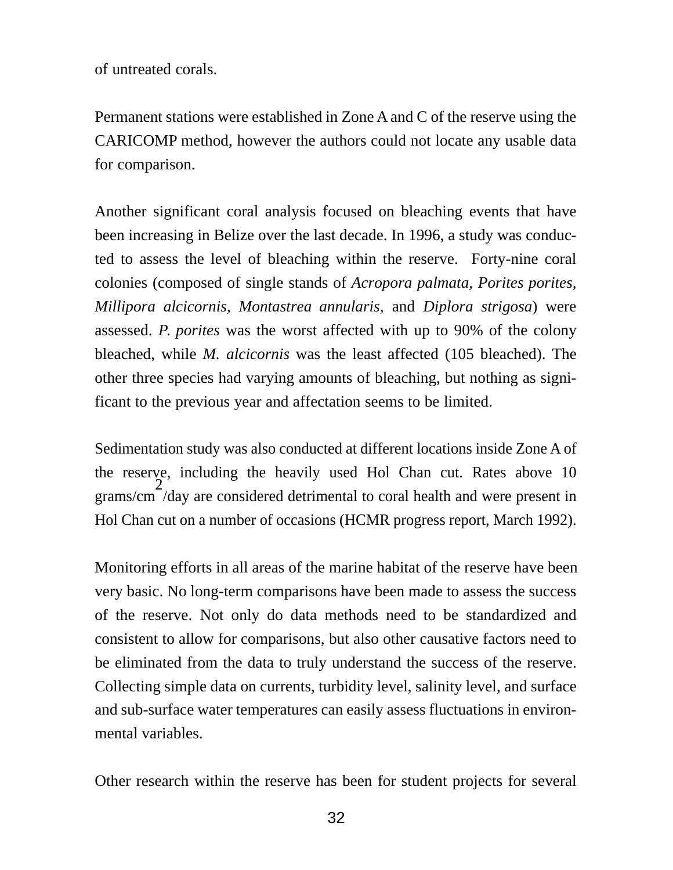of untreated corals.

Permanent stations were established in Zone A and C of the reserve using the CARICOMP method, however the authors could not locate any usable data for comparison.

Another significant coral analysis focused on bleaching events that have been increasing in Belize over the last decade. In 1996, a study was conducted to assess the level of bleaching within the reserve. Forty-nine coral colonies (composed of single stands of *Acropora palmata, Porites porites, Millipora alcicornis, Montastrea annularis,* and *Diplora strigosa*) were assessed. *P. porites* was the worst affected with up to 90% of the colony bleached, while *M. alcicornis* was the least affected (105 bleached). The other three species had varying amounts of bleaching, but nothing as significant to the previous year and affectation seems to be limited.

Sedimentation study was also conducted at different locations inside Zone A of the reserve, including the heavily used Hol Chan cut. Rates above 10 grams/cm  $\overline{2}$ /day are considered detrimental to coral health and were present in Hol Chan cut on a number of occasions (HCMR progress report, March 1992).

Monitoring efforts in all areas of the marine habitat of the reserve have been very basic. No long-term comparisons have been made to assess the success of the reserve. Not only do data methods need to be standardized and consistent to allow for comparisons, but also other causative factors need to be eliminated from the data to truly understand the success of the reserve. Collecting simple data on currents, turbidity level, salinity level, and surface and sub-surface water temperatures can easily assess fluctuations in environmental variables.

Other research within the reserve has been for student projects for several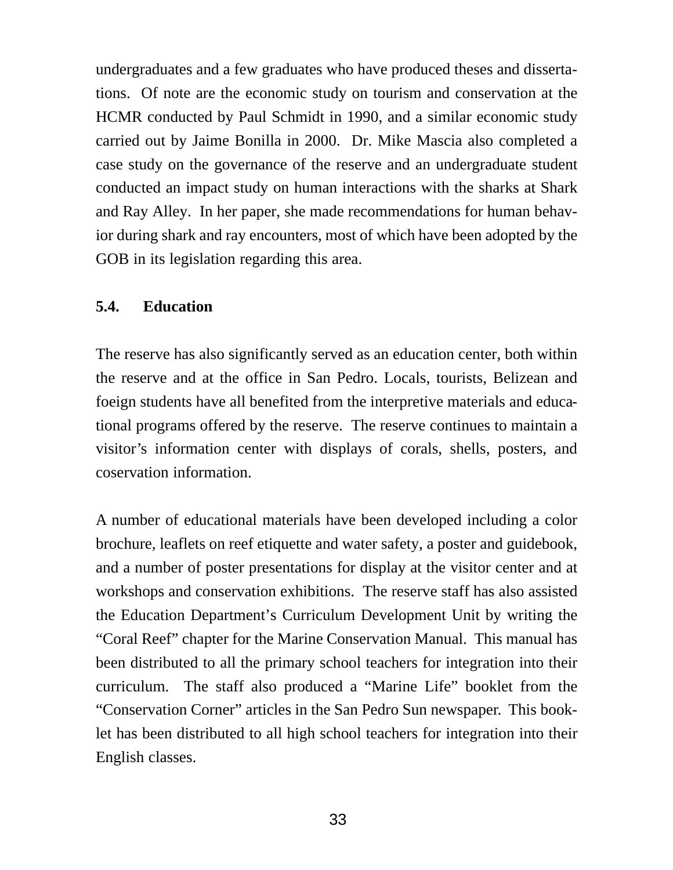undergraduates and a few graduates who have produced theses and dissertations. Of note are the economic study on tourism and conservation at the HCMR conducted by Paul Schmidt in 1990, and a similar economic study carried out by Jaime Bonilla in 2000. Dr. Mike Mascia also completed a case study on the governance of the reserve and an undergraduate student conducted an impact study on human interactions with the sharks at Shark and Ray Alley. In her paper, she made recommendations for human behavior during shark and ray encounters, most of which have been adopted by the GOB in its legislation regarding this area.

#### **5.4. Education**

The reserve has also significantly served as an education center, both within the reserve and at the office in San Pedro. Locals, tourists, Belizean and foeign students have all benefited from the interpretive materials and educational programs offered by the reserve. The reserve continues to maintain a visitor's information center with displays of corals, shells, posters, and coservation information.

A number of educational materials have been developed including a color brochure, leaflets on reef etiquette and water safety, a poster and guidebook, and a number of poster presentations for display at the visitor center and at workshops and conservation exhibitions. The reserve staff has also assisted the Education Department's Curriculum Development Unit by writing the "Coral Reef" chapter for the Marine Conservation Manual. This manual has been distributed to all the primary school teachers for integration into their curriculum. The staff also produced a "Marine Life" booklet from the "Conservation Corner" articles in the San Pedro Sun newspaper. This booklet has been distributed to all high school teachers for integration into their English classes.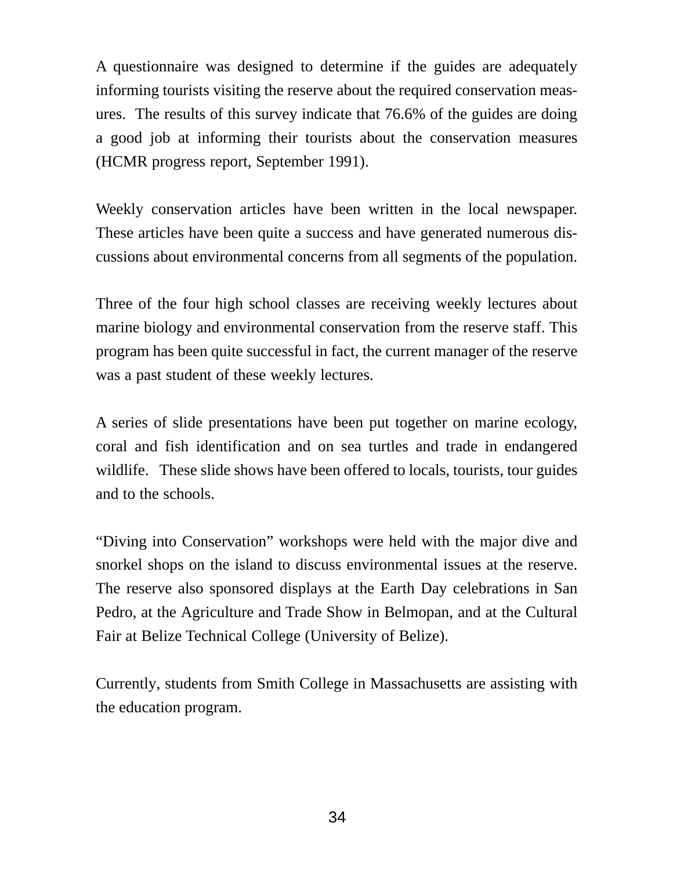A questionnaire was designed to determine if the guides are adequately informing tourists visiting the reserve about the required conservation measures. The results of this survey indicate that 76.6% of the guides are doing a good job at informing their tourists about the conservation measures (HCMR progress report, September 1991).

Weekly conservation articles have been written in the local newspaper. These articles have been quite a success and have generated numerous discussions about environmental concerns from all segments of the population.

Three of the four high school classes are receiving weekly lectures about marine biology and environmental conservation from the reserve staff. This program has been quite successful in fact, the current manager of the reserve was a past student of these weekly lectures.

A series of slide presentations have been put together on marine ecology, coral and fish identification and on sea turtles and trade in endangered wildlife. These slide shows have been offered to locals, tourists, tour guides and to the schools.

"Diving into Conservation" workshops were held with the major dive and snorkel shops on the island to discuss environmental issues at the reserve. The reserve also sponsored displays at the Earth Day celebrations in San Pedro, at the Agriculture and Trade Show in Belmopan, and at the Cultural Fair at Belize Technical College (University of Belize).

Currently, students from Smith College in Massachusetts are assisting with the education program.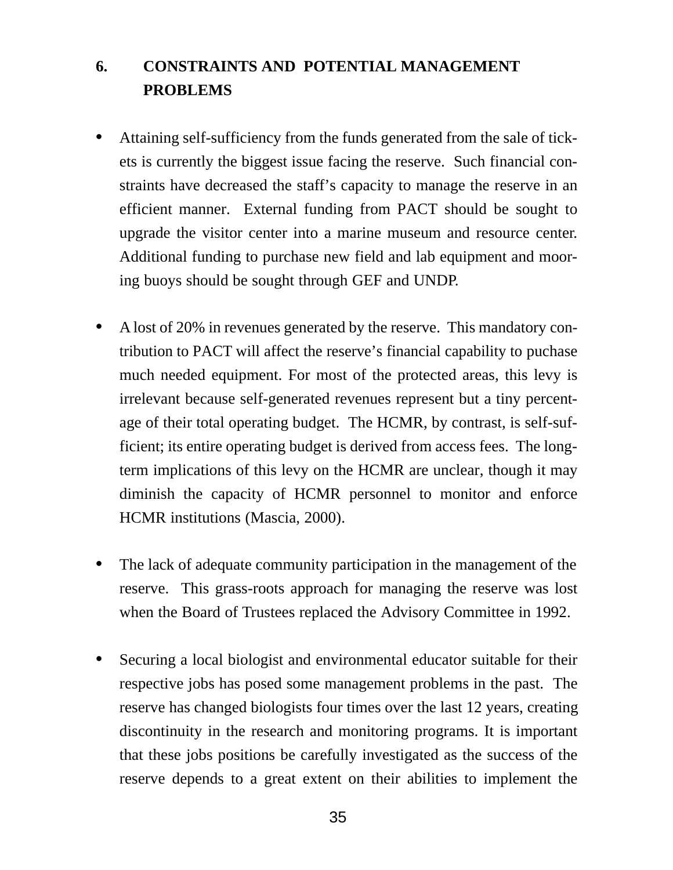# **6. CONSTRAINTS AND POTENTIAL MANAGEMENT PROBLEMS**

- **•** Attaining self-sufficiency from the funds generated from the sale of tickets is currently the biggest issue facing the reserve. Such financial constraints have decreased the staff's capacity to manage the reserve in an efficient manner. External funding from PACT should be sought to upgrade the visitor center into a marine museum and resource center. Additional funding to purchase new field and lab equipment and mooring buoys should be sought through GEF and UNDP.
- **•** A lost of 20% in revenues generated by the reserve. This mandatory contribution to PACT will affect the reserve's financial capability to puchase much needed equipment. For most of the protected areas, this levy is irrelevant because self-generated revenues represent but a tiny percentage of their total operating budget. The HCMR, by contrast, is self-sufficient; its entire operating budget is derived from access fees. The longterm implications of this levy on the HCMR are unclear, though it may diminish the capacity of HCMR personnel to monitor and enforce HCMR institutions (Mascia, 2000).
- **•** The lack of adequate community participation in the management of the reserve. This grass-roots approach for managing the reserve was lost when the Board of Trustees replaced the Advisory Committee in 1992.
- **•** Securing a local biologist and environmental educator suitable for their respective jobs has posed some management problems in the past. The reserve has changed biologists four times over the last 12 years, creating discontinuity in the research and monitoring programs. It is important that these jobs positions be carefully investigated as the success of the reserve depends to a great extent on their abilities to implement the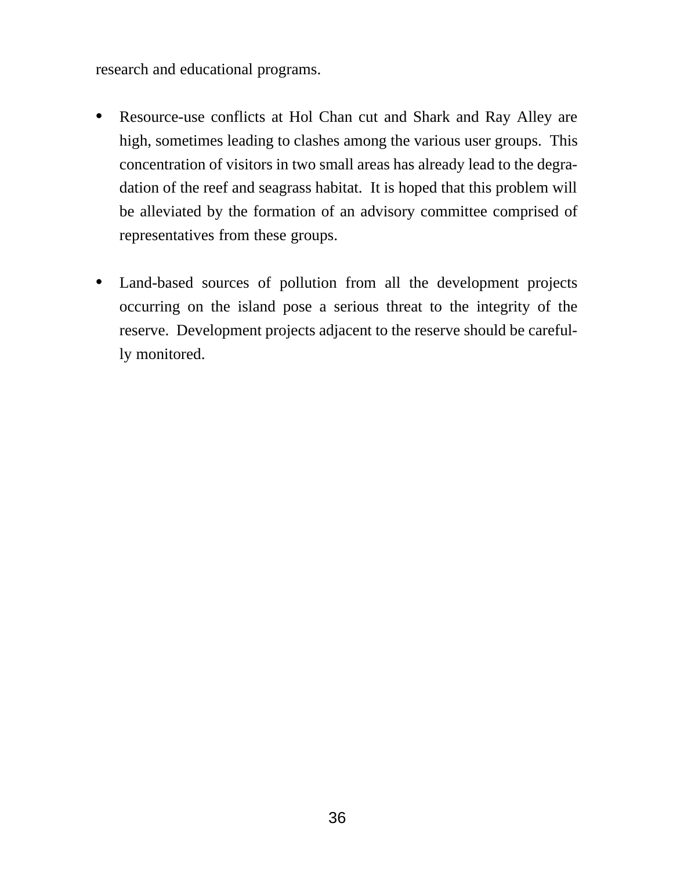research and educational programs.

- **•** Resource-use conflicts at Hol Chan cut and Shark and Ray Alley are high, sometimes leading to clashes among the various user groups. This concentration of visitors in two small areas has already lead to the degradation of the reef and seagrass habitat. It is hoped that this problem will be alleviated by the formation of an advisory committee comprised of representatives from these groups.
- **•** Land-based sources of pollution from all the development projects occurring on the island pose a serious threat to the integrity of the reserve. Development projects adjacent to the reserve should be carefully monitored.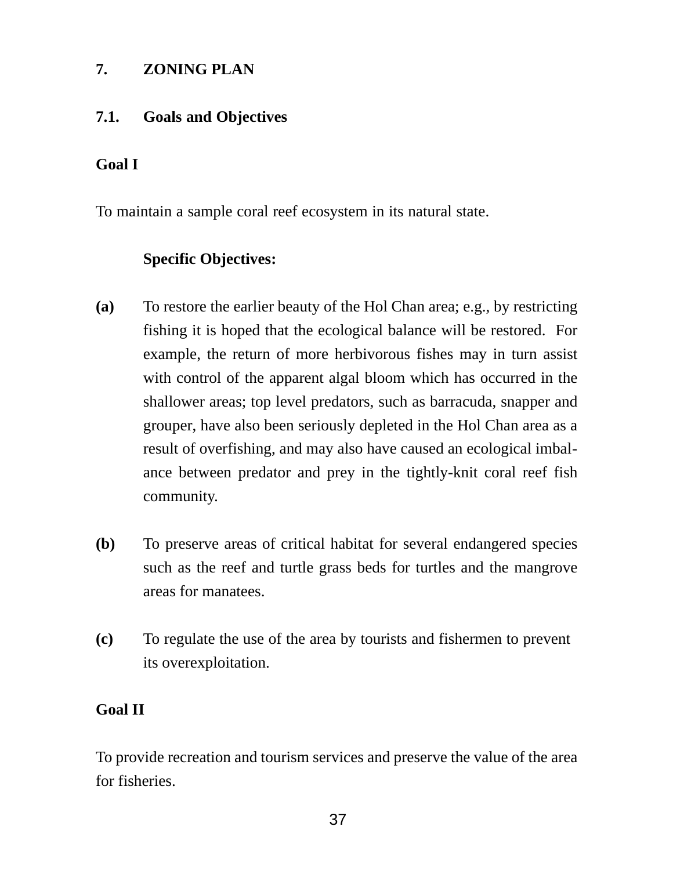### **7. ZONING PLAN**

### **7.1. Goals and Objectives**

# **Goal I**

To maintain a sample coral reef ecosystem in its natural state.

# **Specific Objectives:**

- **(a)** To restore the earlier beauty of the Hol Chan area; e.g., by restricting fishing it is hoped that the ecological balance will be restored. For example, the return of more herbivorous fishes may in turn assist with control of the apparent algal bloom which has occurred in the shallower areas; top level predators, such as barracuda, snapper and grouper, have also been seriously depleted in the Hol Chan area as a result of overfishing, and may also have caused an ecological imbalance between predator and prey in the tightly-knit coral reef fish community.
- **(b)** To preserve areas of critical habitat for several endangered species such as the reef and turtle grass beds for turtles and the mangrove areas for manatees.
- **(c)** To regulate the use of the area by tourists and fishermen to prevent its overexploitation.

# **Goal II**

To provide recreation and tourism services and preserve the value of the area for fisheries.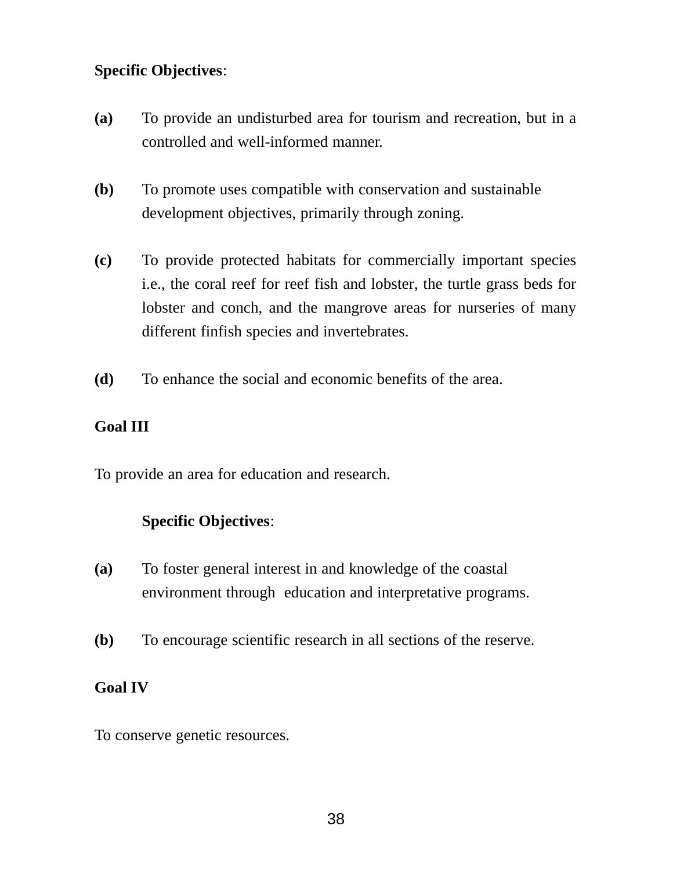### **Specific Objectives**:

- **(a)** To provide an undisturbed area for tourism and recreation, but in a controlled and well-informed manner.
- **(b)** To promote uses compatible with conservation and sustainable development objectives, primarily through zoning.
- **(c)** To provide protected habitats for commercially important species i.e., the coral reef for reef fish and lobster, the turtle grass beds for lobster and conch, and the mangrove areas for nurseries of many different finfish species and invertebrates.
- **(d)** To enhance the social and economic benefits of the area.

#### **Goal III**

To provide an area for education and research.

#### **Specific Objectives**:

- **(a)** To foster general interest in and knowledge of the coastal environment through education and interpretative programs.
- **(b)** To encourage scientific research in all sections of the reserve.

### **Goal IV**

To conserve genetic resources.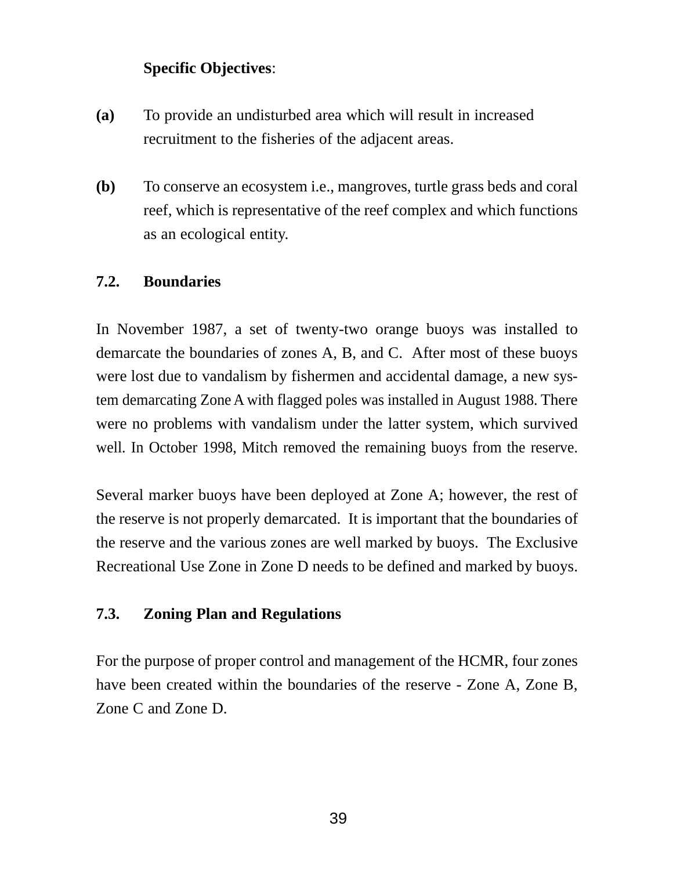# **Specific Objectives**:

- **(a)** To provide an undisturbed area which will result in increased recruitment to the fisheries of the adjacent areas.
- **(b)** To conserve an ecosystem i.e., mangroves, turtle grass beds and coral reef, which is representative of the reef complex and which functions as an ecological entity.

### **7.2. Boundaries**

In November 1987, a set of twenty-two orange buoys was installed to demarcate the boundaries of zones A, B, and C. After most of these buoys were lost due to vandalism by fishermen and accidental damage, a new system demarcating Zone A with flagged poles was installed in August 1988. There were no problems with vandalism under the latter system, which survived well. In October 1998, Mitch removed the remaining buoys from the reserve.

Several marker buoys have been deployed at Zone A; however, the rest of the reserve is not properly demarcated. It is important that the boundaries of the reserve and the various zones are well marked by buoys. The Exclusive Recreational Use Zone in Zone D needs to be defined and marked by buoys.

### **7.3. Zoning Plan and Regulations**

For the purpose of proper control and management of the HCMR, four zones have been created within the boundaries of the reserve - Zone A, Zone B, Zone C and Zone D.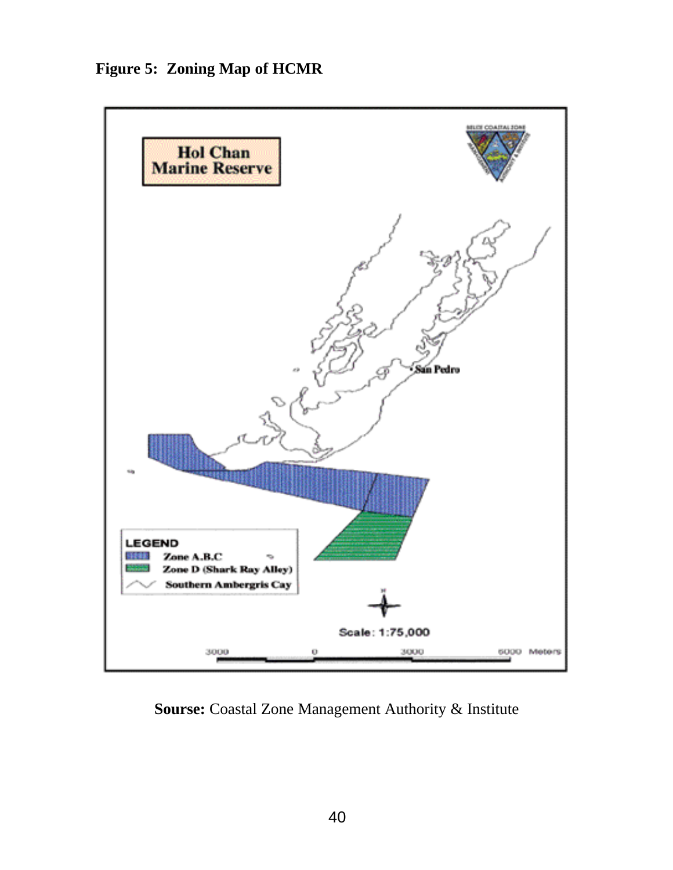**Figure 5: Zoning Map of HCMR**



**Sourse:** Coastal Zone Management Authority & Institute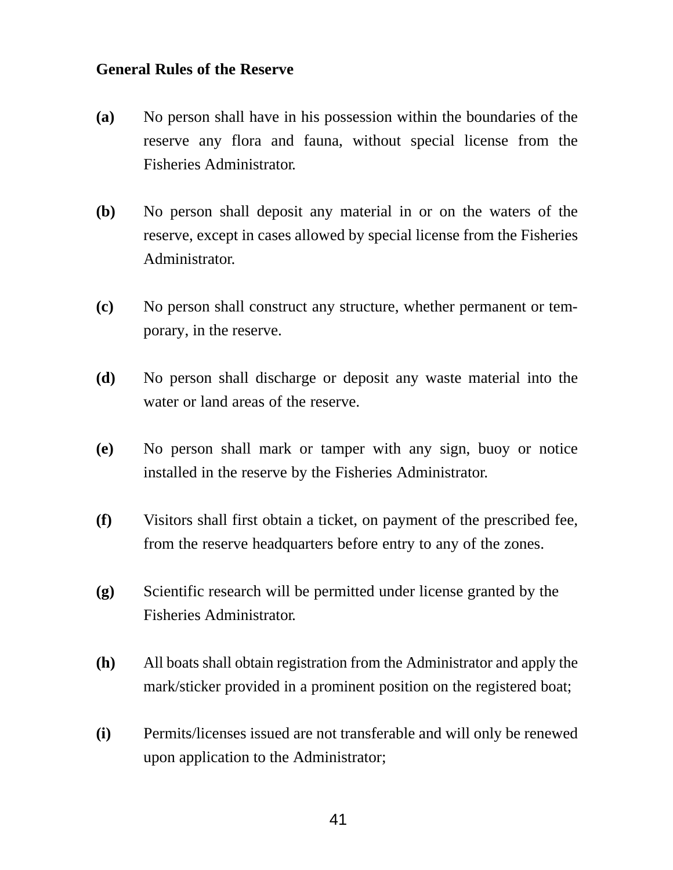#### **General Rules of the Reserve**

- **(a)** No person shall have in his possession within the boundaries of the reserve any flora and fauna, without special license from the Fisheries Administrator.
- **(b)** No person shall deposit any material in or on the waters of the reserve, except in cases allowed by special license from the Fisheries Administrator.
- **(c)** No person shall construct any structure, whether permanent or temporary, in the reserve.
- **(d)** No person shall discharge or deposit any waste material into the water or land areas of the reserve.
- **(e)** No person shall mark or tamper with any sign, buoy or notice installed in the reserve by the Fisheries Administrator.
- **(f)** Visitors shall first obtain a ticket, on payment of the prescribed fee, from the reserve headquarters before entry to any of the zones.
- **(g)** Scientific research will be permitted under license granted by the Fisheries Administrator.
- **(h)** All boats shall obtain registration from the Administrator and apply the mark/sticker provided in a prominent position on the registered boat;
- **(i)** Permits/licenses issued are not transferable and will only be renewed upon application to the Administrator;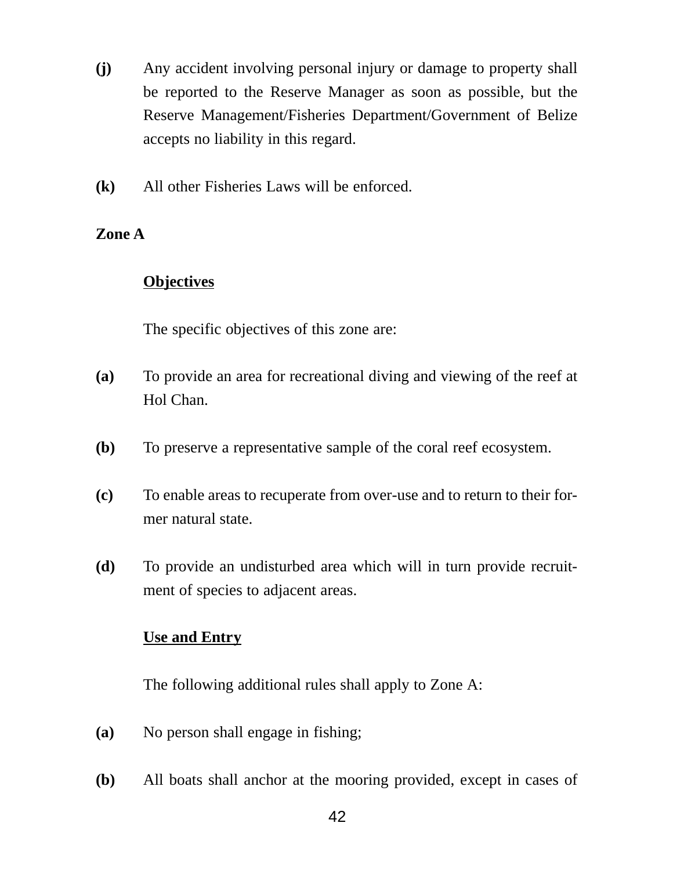- **(j)** Any accident involving personal injury or damage to property shall be reported to the Reserve Manager as soon as possible, but the Reserve Management/Fisheries Department/Government of Belize accepts no liability in this regard.
- **(k)** All other Fisheries Laws will be enforced.

# **Zone A**

# **Objectives**

The specific objectives of this zone are:

- **(a)** To provide an area for recreational diving and viewing of the reef at Hol Chan.
- **(b)** To preserve a representative sample of the coral reef ecosystem.
- **(c)** To enable areas to recuperate from over-use and to return to their former natural state.
- **(d)** To provide an undisturbed area which will in turn provide recruitment of species to adjacent areas.

# **Use and Entry**

The following additional rules shall apply to Zone A:

- **(a)** No person shall engage in fishing;
- **(b)** All boats shall anchor at the mooring provided, except in cases of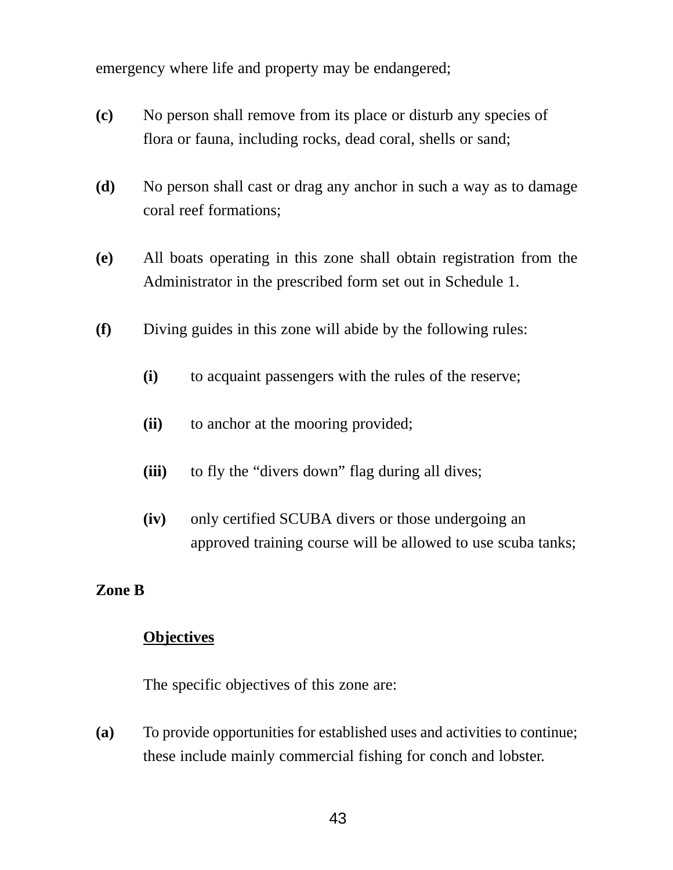emergency where life and property may be endangered;

- **(c)** No person shall remove from its place or disturb any species of flora or fauna, including rocks, dead coral, shells or sand;
- **(d)** No person shall cast or drag any anchor in such a way as to damage coral reef formations;
- **(e)** All boats operating in this zone shall obtain registration from the Administrator in the prescribed form set out in Schedule 1.
- **(f)** Diving guides in this zone will abide by the following rules:
	- **(i)** to acquaint passengers with the rules of the reserve;
	- **(ii)** to anchor at the mooring provided;
	- **(iii)** to fly the "divers down" flag during all dives;
	- **(iv)** only certified SCUBA divers or those undergoing an approved training course will be allowed to use scuba tanks;

#### **Zone B**

#### **Objectives**

The specific objectives of this zone are:

**(a)** To provide opportunities for established uses and activities to continue; these include mainly commercial fishing for conch and lobster.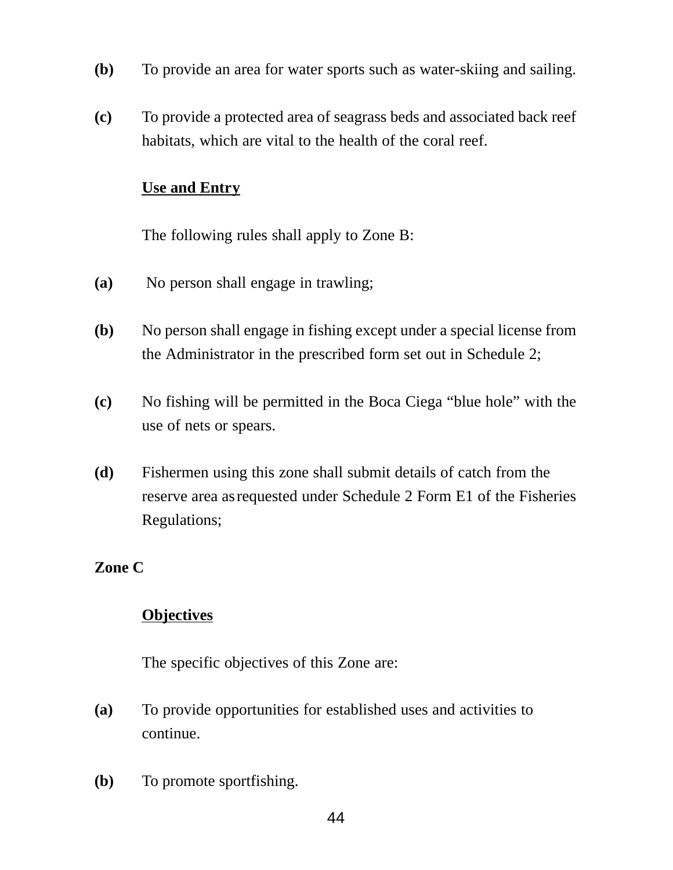- **(b)** To provide an area for water sports such as water-skiing and sailing.
- **(c)** To provide a protected area of seagrass beds and associated back reef habitats, which are vital to the health of the coral reef.

#### **Use and Entry**

The following rules shall apply to Zone B:

- **(a)** No person shall engage in trawling;
- **(b)** No person shall engage in fishing except under a special license from the Administrator in the prescribed form set out in Schedule 2;
- **(c)** No fishing will be permitted in the Boca Ciega "blue hole" with the use of nets or spears.
- **(d)** Fishermen using this zone shall submit details of catch from the reserve area asrequested under Schedule 2 Form E1 of the Fisheries Regulations;

### **Zone C**

# **Objectives**

The specific objectives of this Zone are:

- **(a)** To provide opportunities for established uses and activities to continue.
- **(b)** To promote sportfishing.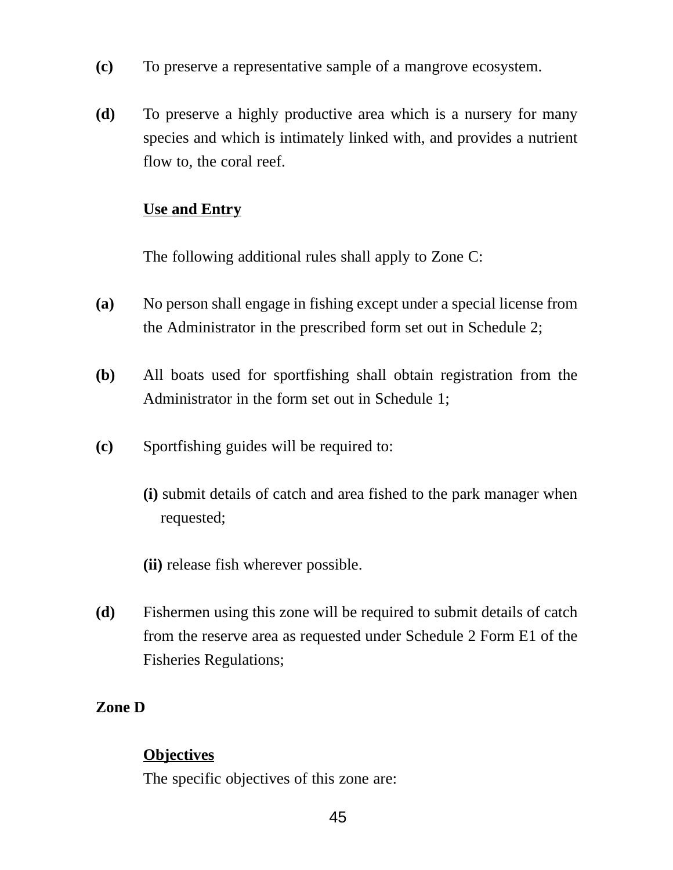- **(c)** To preserve a representative sample of a mangrove ecosystem.
- **(d)** To preserve a highly productive area which is a nursery for many species and which is intimately linked with, and provides a nutrient flow to, the coral reef.

### **Use and Entry**

The following additional rules shall apply to Zone C:

- **(a)** No person shall engage in fishing except under a special license from the Administrator in the prescribed form set out in Schedule 2;
- **(b)** All boats used for sportfishing shall obtain registration from the Administrator in the form set out in Schedule 1;
- **(c)** Sportfishing guides will be required to:
	- **(i)** submit details of catch and area fished to the park manager when requested;
	- **(ii)** release fish wherever possible.
- **(d)** Fishermen using this zone will be required to submit details of catch from the reserve area as requested under Schedule 2 Form E1 of the Fisheries Regulations;

# **Zone D**

# **Objectives**

The specific objectives of this zone are: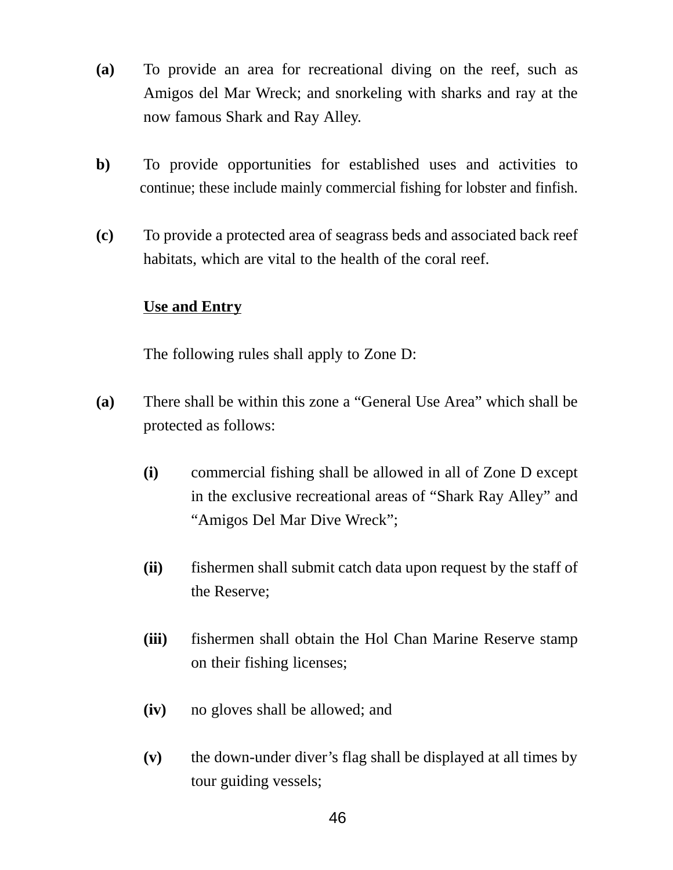- **(a)** To provide an area for recreational diving on the reef, such as Amigos del Mar Wreck; and snorkeling with sharks and ray at the now famous Shark and Ray Alley.
- **b)** To provide opportunities for established uses and activities to continue; these include mainly commercial fishing for lobster and finfish.
- **(c)** To provide a protected area of seagrass beds and associated back reef habitats, which are vital to the health of the coral reef.

### **Use and Entry**

The following rules shall apply to Zone D:

- **(a)** There shall be within this zone a "General Use Area" which shall be protected as follows:
	- **(i)** commercial fishing shall be allowed in all of Zone D except in the exclusive recreational areas of "Shark Ray Alley" and "Amigos Del Mar Dive Wreck";
	- **(ii)** fishermen shall submit catch data upon request by the staff of the Reserve;
	- **(iii)** fishermen shall obtain the Hol Chan Marine Reserve stamp on their fishing licenses;
	- **(iv)** no gloves shall be allowed; and
	- **(v)** the down-under diver's flag shall be displayed at all times by tour guiding vessels;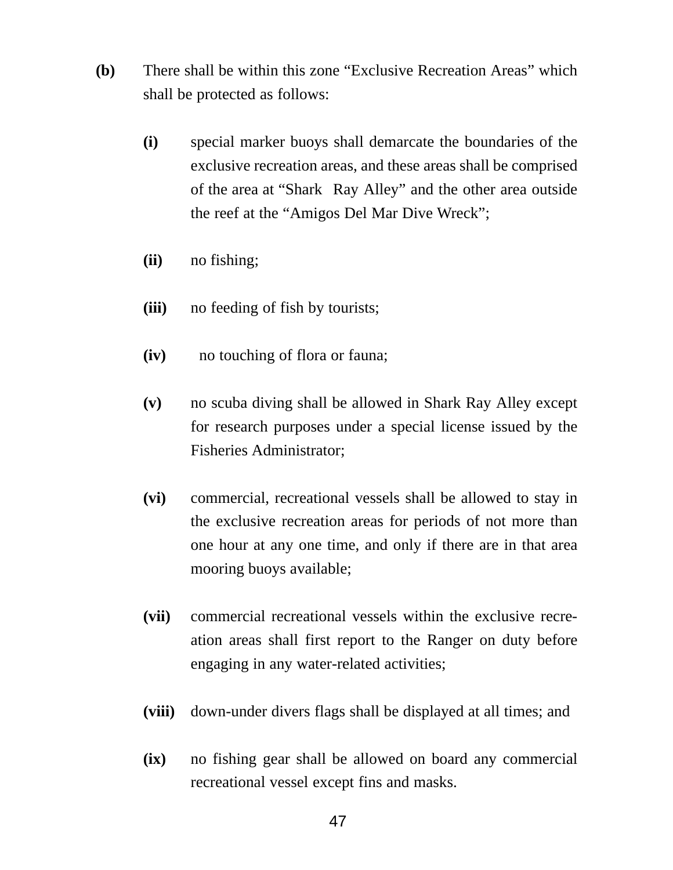- **(b)** There shall be within this zone "Exclusive Recreation Areas" which shall be protected as follows:
	- **(i)** special marker buoys shall demarcate the boundaries of the exclusive recreation areas, and these areas shall be comprised of the area at "Shark Ray Alley" and the other area outside the reef at the "Amigos Del Mar Dive Wreck";
	- **(ii)** no fishing;
	- **(iii)** no feeding of fish by tourists;
	- **(iv)** no touching of flora or fauna;
	- **(v)** no scuba diving shall be allowed in Shark Ray Alley except for research purposes under a special license issued by the Fisheries Administrator;
	- **(vi)** commercial, recreational vessels shall be allowed to stay in the exclusive recreation areas for periods of not more than one hour at any one time, and only if there are in that area mooring buoys available;
	- **(vii)** commercial recreational vessels within the exclusive recreation areas shall first report to the Ranger on duty before engaging in any water-related activities;
	- **(viii)** down-under divers flags shall be displayed at all times; and
	- **(ix)** no fishing gear shall be allowed on board any commercial recreational vessel except fins and masks.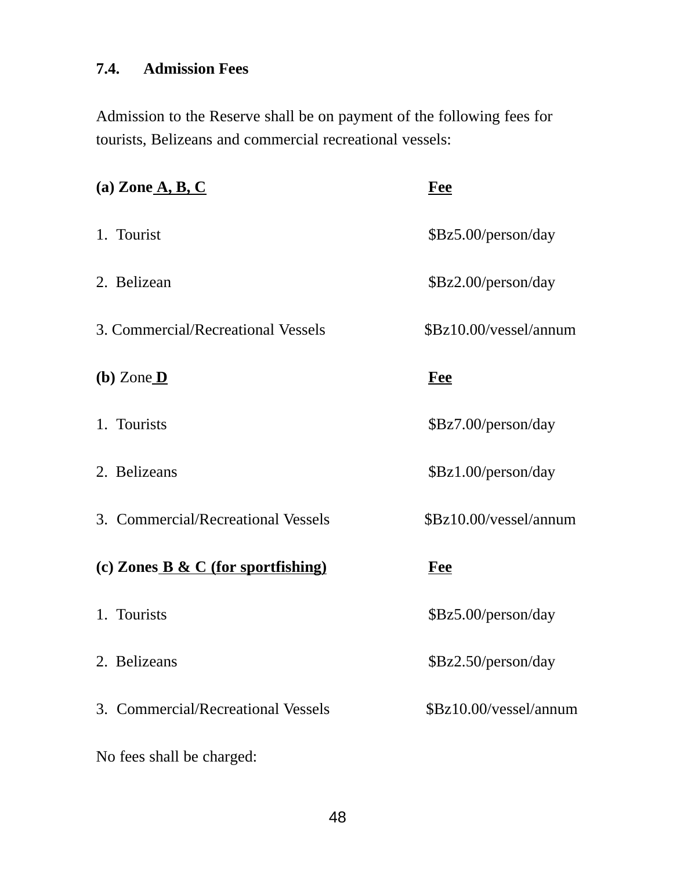# **7.4. Admission Fees**

Admission to the Reserve shall be on payment of the following fees for tourists, Belizeans and commercial recreational vessels:

| (a) Zone $\underline{A}, \underline{B}, \underline{C}$                           | Fee                    |
|----------------------------------------------------------------------------------|------------------------|
| 1. Tourist                                                                       | \$Bz5.00/person/day    |
| 2. Belizean                                                                      | \$Bz2.00/person/day    |
| 3. Commercial/Recreational Vessels                                               | \$Bz10.00/vessel/annum |
| $(b)$ Zone $D$                                                                   | <u>Fee</u>             |
| 1. Tourists                                                                      | \$Bz7.00/person/day    |
| 2. Belizeans                                                                     | \$Bz1.00/person/day    |
| 3. Commercial/Recreational Vessels                                               | \$Bz10.00/vessel/annum |
| (c) Zones $\underline{\mathbf{B}}$ & $\underline{\mathbf{C}}$ (for sportfishing) | <u>Fee</u>             |
| 1. Tourists                                                                      | \$Bz5.00/person/day    |
| 2. Belizeans                                                                     | \$Bz2.50/person/day    |
| 3. Commercial/Recreational Vessels                                               | \$Bz10.00/vessel/annum |
| No fees shall be charged:                                                        |                        |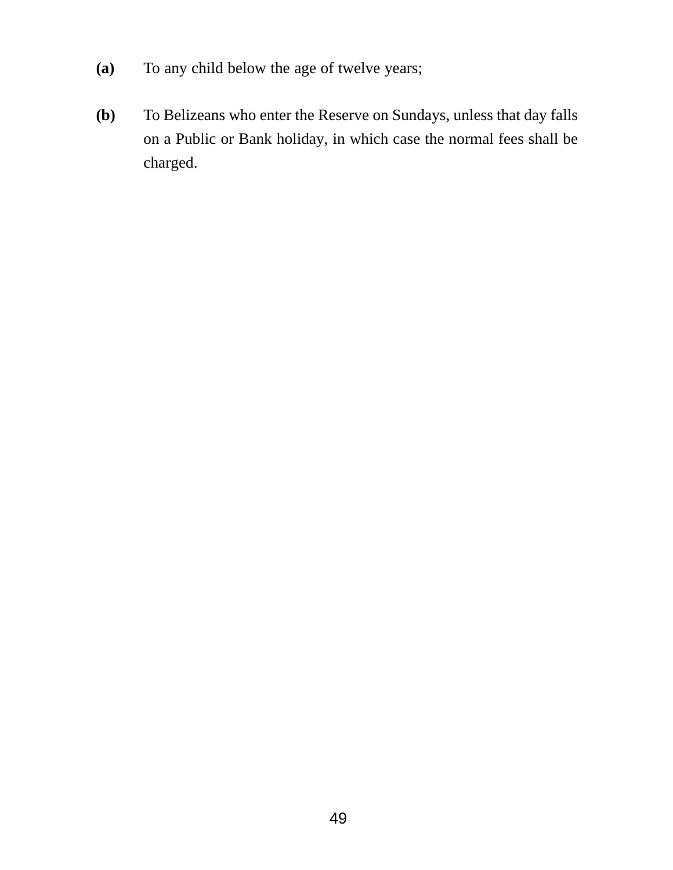- **(a)** To any child below the age of twelve years;
- **(b)** To Belizeans who enter the Reserve on Sundays, unless that day falls on a Public or Bank holiday, in which case the normal fees shall be charged.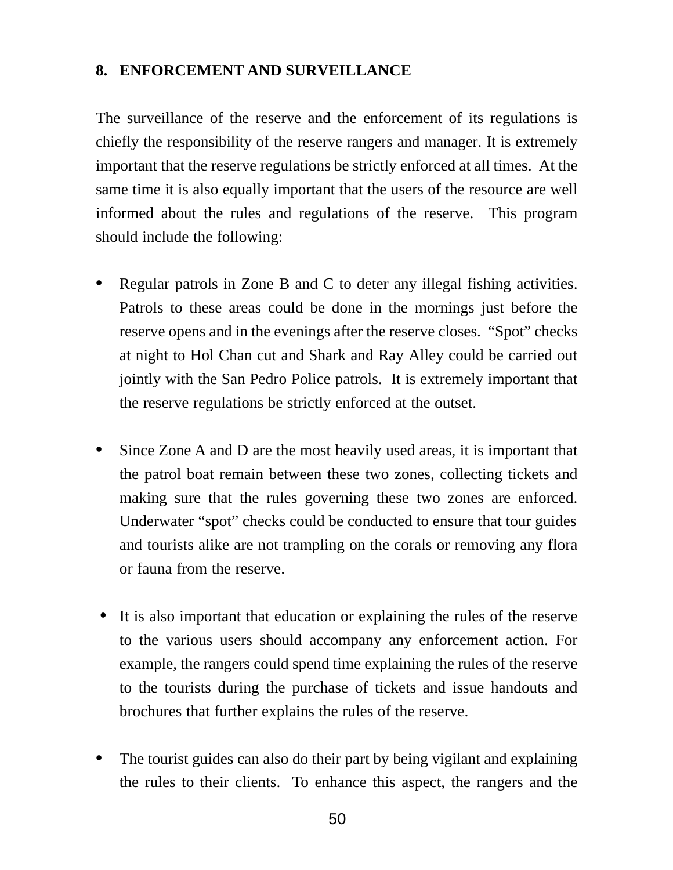### **8. ENFORCEMENT AND SURVEILLANCE**

The surveillance of the reserve and the enforcement of its regulations is chiefly the responsibility of the reserve rangers and manager. It is extremely important that the reserve regulations be strictly enforced at all times. At the same time it is also equally important that the users of the resource are well informed about the rules and regulations of the reserve. This program should include the following:

- **•** Regular patrols in Zone B and C to deter any illegal fishing activities. Patrols to these areas could be done in the mornings just before the reserve opens and in the evenings after the reserve closes. "Spot" checks at night to Hol Chan cut and Shark and Ray Alley could be carried out jointly with the San Pedro Police patrols. It is extremely important that the reserve regulations be strictly enforced at the outset.
- **•** Since Zone A and D are the most heavily used areas, it is important that the patrol boat remain between these two zones, collecting tickets and making sure that the rules governing these two zones are enforced. Underwater "spot" checks could be conducted to ensure that tour guides and tourists alike are not trampling on the corals or removing any flora or fauna from the reserve.
- **•** It is also important that education or explaining the rules of the reserve to the various users should accompany any enforcement action. For example, the rangers could spend time explaining the rules of the reserve to the tourists during the purchase of tickets and issue handouts and brochures that further explains the rules of the reserve.
- **•** The tourist guides can also do their part by being vigilant and explaining the rules to their clients. To enhance this aspect, the rangers and the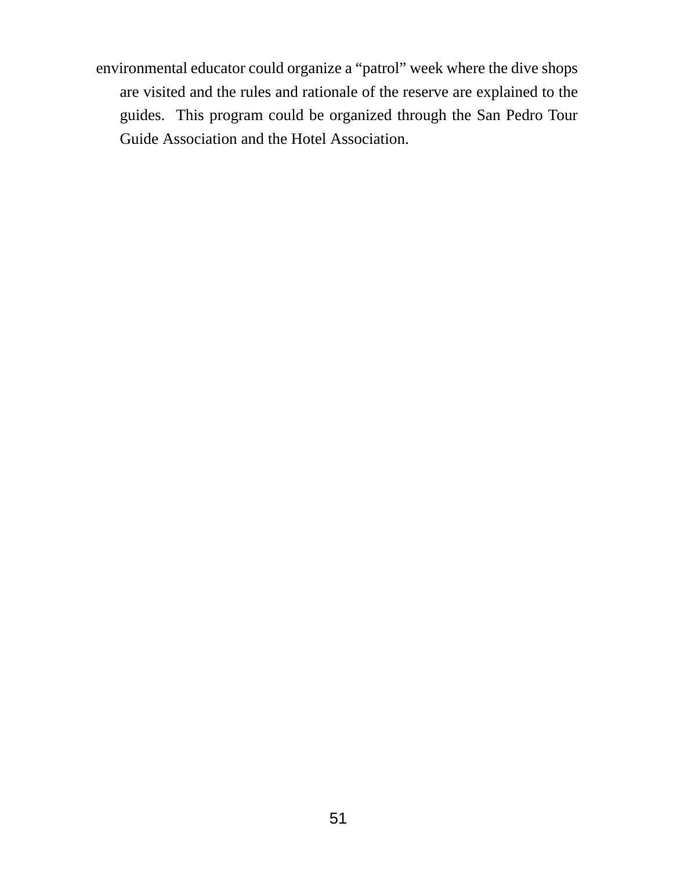environmental educator could organize a "patrol" week where the dive shops are visited and the rules and rationale of the reserve are explained to the guides. This program could be organized through the San Pedro Tour Guide Association and the Hotel Association.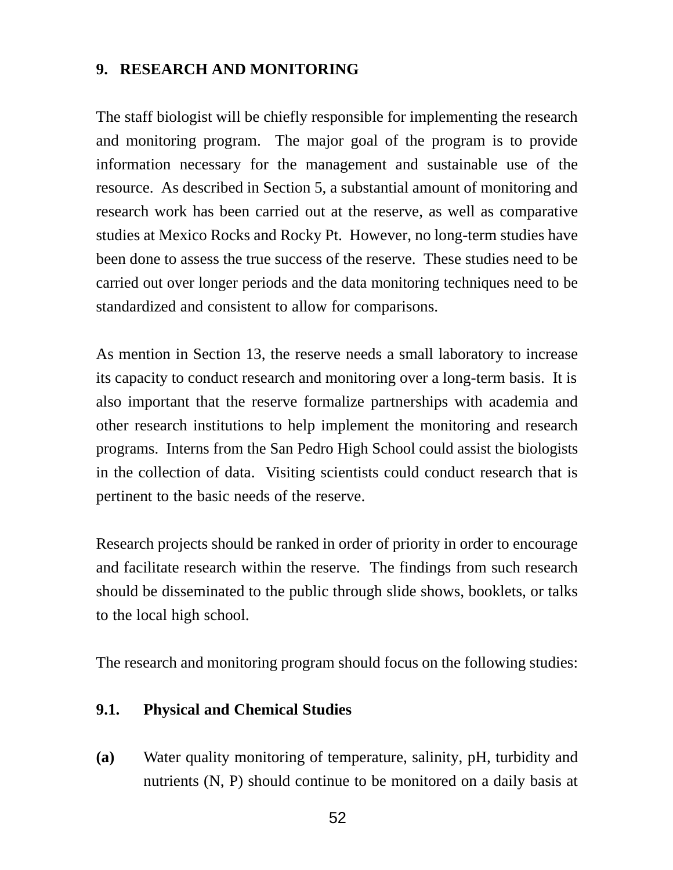### **9. RESEARCH AND MONITORING**

The staff biologist will be chiefly responsible for implementing the research and monitoring program. The major goal of the program is to provide information necessary for the management and sustainable use of the resource. As described in Section 5, a substantial amount of monitoring and research work has been carried out at the reserve, as well as comparative studies at Mexico Rocks and Rocky Pt. However, no long-term studies have been done to assess the true success of the reserve. These studies need to be carried out over longer periods and the data monitoring techniques need to be standardized and consistent to allow for comparisons.

As mention in Section 13, the reserve needs a small laboratory to increase its capacity to conduct research and monitoring over a long-term basis. It is also important that the reserve formalize partnerships with academia and other research institutions to help implement the monitoring and research programs. Interns from the San Pedro High School could assist the biologists in the collection of data. Visiting scientists could conduct research that is pertinent to the basic needs of the reserve.

Research projects should be ranked in order of priority in order to encourage and facilitate research within the reserve. The findings from such research should be disseminated to the public through slide shows, booklets, or talks to the local high school.

The research and monitoring program should focus on the following studies:

### **9.1. Physical and Chemical Studies**

**(a)** Water quality monitoring of temperature, salinity, pH, turbidity and nutrients (N, P) should continue to be monitored on a daily basis at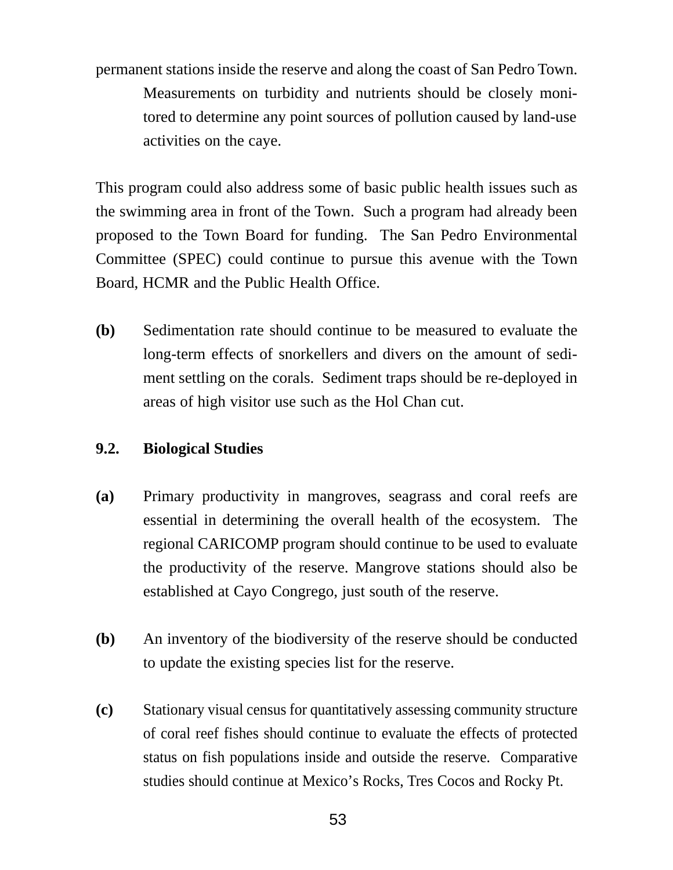permanent stations inside the reserve and along the coast of San Pedro Town. Measurements on turbidity and nutrients should be closely monitored to determine any point sources of pollution caused by land-use activities on the caye.

This program could also address some of basic public health issues such as the swimming area in front of the Town. Such a program had already been proposed to the Town Board for funding. The San Pedro Environmental Committee (SPEC) could continue to pursue this avenue with the Town Board, HCMR and the Public Health Office.

**(b)** Sedimentation rate should continue to be measured to evaluate the long-term effects of snorkellers and divers on the amount of sediment settling on the corals. Sediment traps should be re-deployed in areas of high visitor use such as the Hol Chan cut.

### **9.2. Biological Studies**

- **(a)** Primary productivity in mangroves, seagrass and coral reefs are essential in determining the overall health of the ecosystem. The regional CARICOMP program should continue to be used to evaluate the productivity of the reserve. Mangrove stations should also be established at Cayo Congrego, just south of the reserve.
- **(b)** An inventory of the biodiversity of the reserve should be conducted to update the existing species list for the reserve.
- **(c)** Stationary visual census for quantitatively assessing community structure of coral reef fishes should continue to evaluate the effects of protected status on fish populations inside and outside the reserve. Comparative studies should continue at Mexico's Rocks, Tres Cocos and Rocky Pt.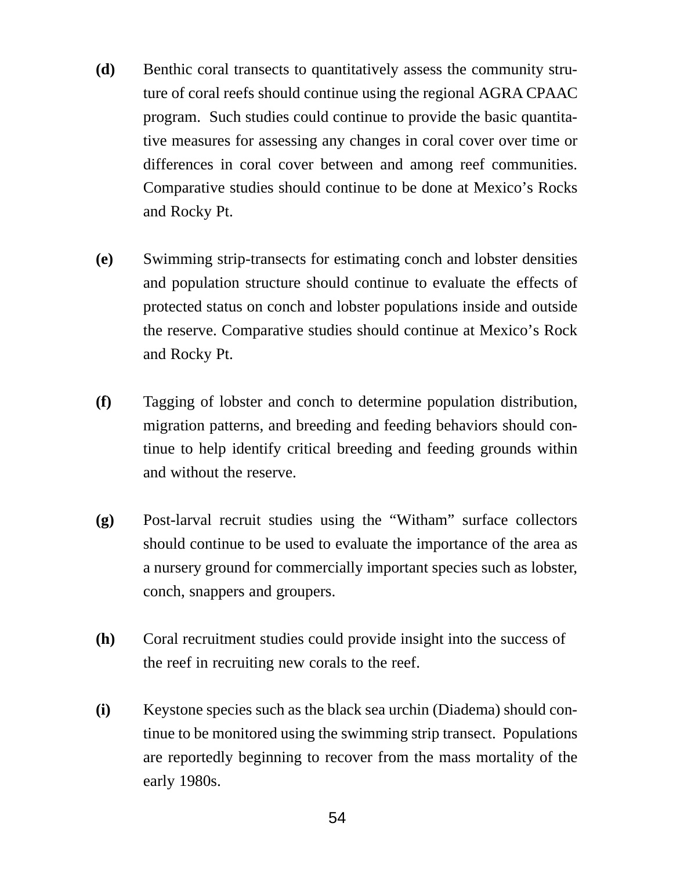- **(d)** Benthic coral transects to quantitatively assess the community struture of coral reefs should continue using the regional AGRA CPAAC program. Such studies could continue to provide the basic quantitative measures for assessing any changes in coral cover over time or differences in coral cover between and among reef communities. Comparative studies should continue to be done at Mexico's Rocks and Rocky Pt.
- **(e)** Swimming strip-transects for estimating conch and lobster densities and population structure should continue to evaluate the effects of protected status on conch and lobster populations inside and outside the reserve. Comparative studies should continue at Mexico's Rock and Rocky Pt.
- **(f)** Tagging of lobster and conch to determine population distribution, migration patterns, and breeding and feeding behaviors should continue to help identify critical breeding and feeding grounds within and without the reserve.
- **(g)** Post-larval recruit studies using the "Witham" surface collectors should continue to be used to evaluate the importance of the area as a nursery ground for commercially important species such as lobster, conch, snappers and groupers.
- **(h)** Coral recruitment studies could provide insight into the success of the reef in recruiting new corals to the reef.
- **(i)** Keystone species such as the black sea urchin (Diadema) should continue to be monitored using the swimming strip transect. Populations are reportedly beginning to recover from the mass mortality of the early 1980s.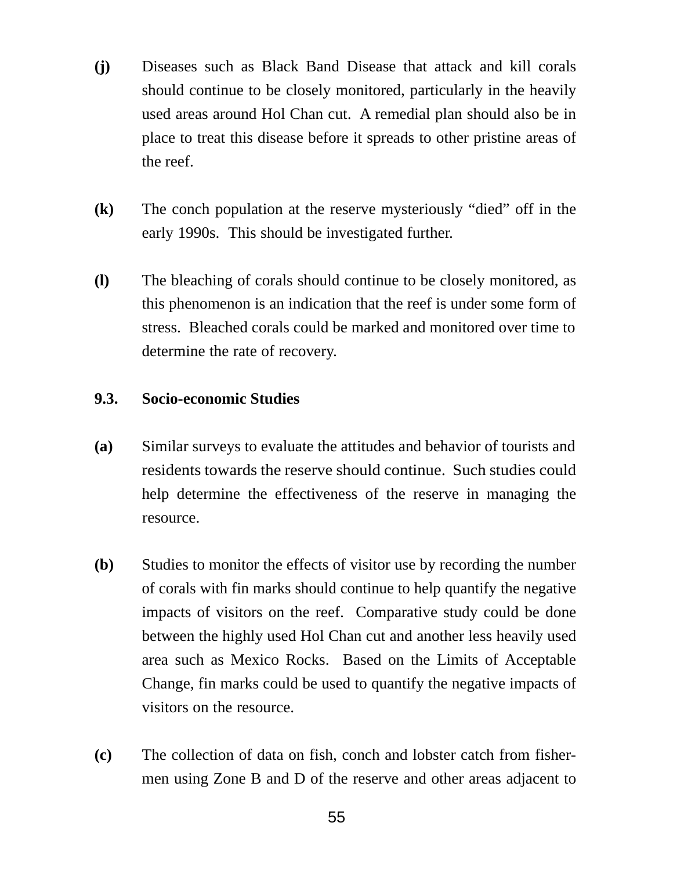- **(j)** Diseases such as Black Band Disease that attack and kill corals should continue to be closely monitored, particularly in the heavily used areas around Hol Chan cut. A remedial plan should also be in place to treat this disease before it spreads to other pristine areas of the reef.
- **(k)** The conch population at the reserve mysteriously "died" off in the early 1990s. This should be investigated further.
- **(l)** The bleaching of corals should continue to be closely monitored, as this phenomenon is an indication that the reef is under some form of stress. Bleached corals could be marked and monitored over time to determine the rate of recovery.

#### **9.3. Socio-economic Studies**

- **(a)** Similar surveys to evaluate the attitudes and behavior of tourists and residents towards the reserve should continue. Such studies could help determine the effectiveness of the reserve in managing the resource.
- **(b)** Studies to monitor the effects of visitor use by recording the number of corals with fin marks should continue to help quantify the negative impacts of visitors on the reef. Comparative study could be done between the highly used Hol Chan cut and another less heavily used area such as Mexico Rocks. Based on the Limits of Acceptable Change, fin marks could be used to quantify the negative impacts of visitors on the resource.
- **(c)** The collection of data on fish, conch and lobster catch from fishermen using Zone B and D of the reserve and other areas adjacent to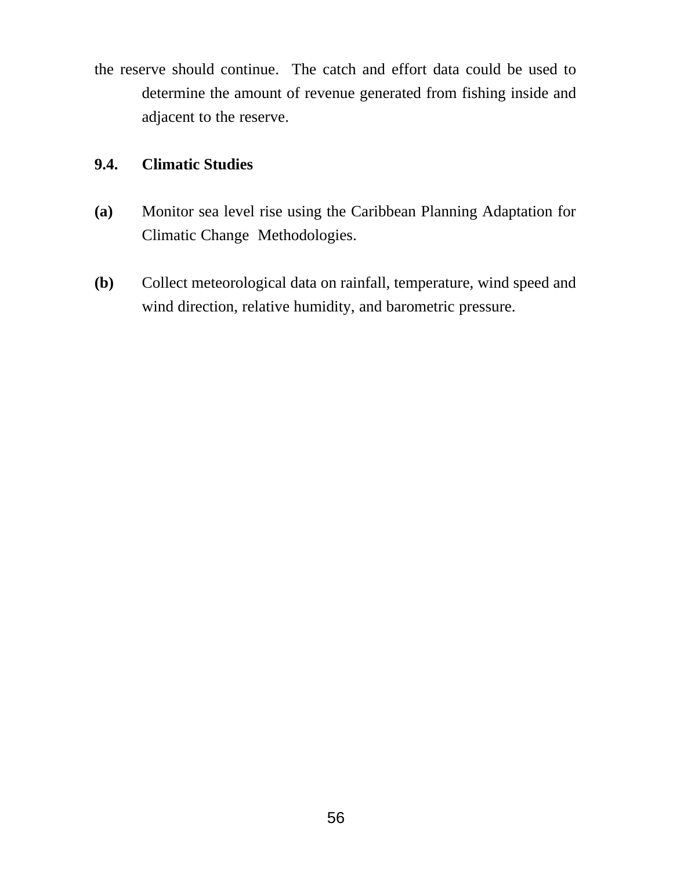the reserve should continue. The catch and effort data could be used to determine the amount of revenue generated from fishing inside and adjacent to the reserve.

### **9.4. Climatic Studies**

- **(a)** Monitor sea level rise using the Caribbean Planning Adaptation for Climatic Change Methodologies.
- **(b)** Collect meteorological data on rainfall, temperature, wind speed and wind direction, relative humidity, and barometric pressure.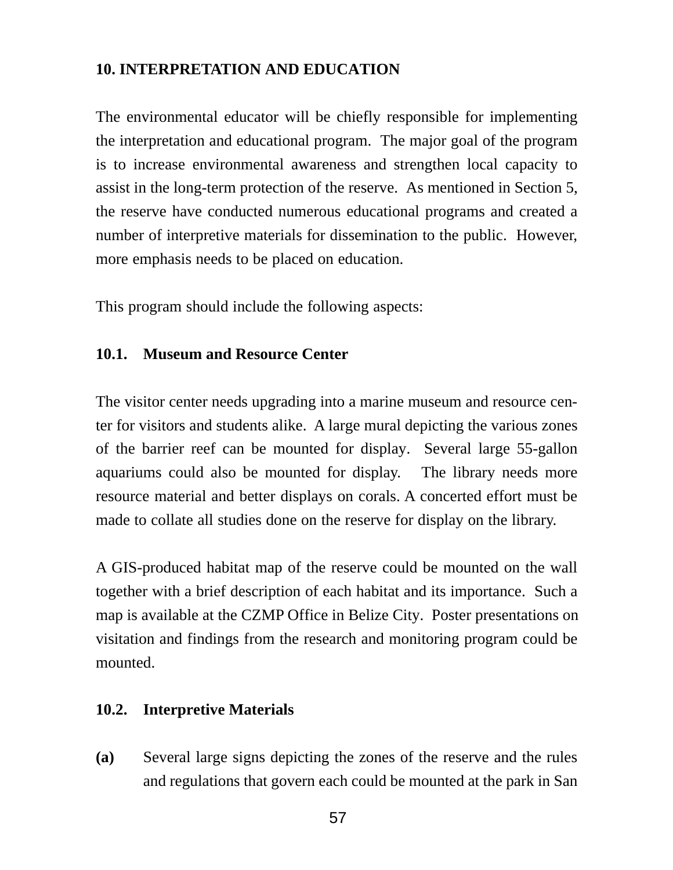### **10. INTERPRETATION AND EDUCATION**

The environmental educator will be chiefly responsible for implementing the interpretation and educational program. The major goal of the program is to increase environmental awareness and strengthen local capacity to assist in the long-term protection of the reserve. As mentioned in Section 5, the reserve have conducted numerous educational programs and created a number of interpretive materials for dissemination to the public. However, more emphasis needs to be placed on education.

This program should include the following aspects:

#### **10.1. Museum and Resource Center**

The visitor center needs upgrading into a marine museum and resource center for visitors and students alike. A large mural depicting the various zones of the barrier reef can be mounted for display. Several large 55-gallon aquariums could also be mounted for display. The library needs more resource material and better displays on corals. A concerted effort must be made to collate all studies done on the reserve for display on the library.

A GIS-produced habitat map of the reserve could be mounted on the wall together with a brief description of each habitat and its importance. Such a map is available at the CZMP Office in Belize City. Poster presentations on visitation and findings from the research and monitoring program could be mounted.

#### **10.2. Interpretive Materials**

**(a)** Several large signs depicting the zones of the reserve and the rules and regulations that govern each could be mounted at the park in San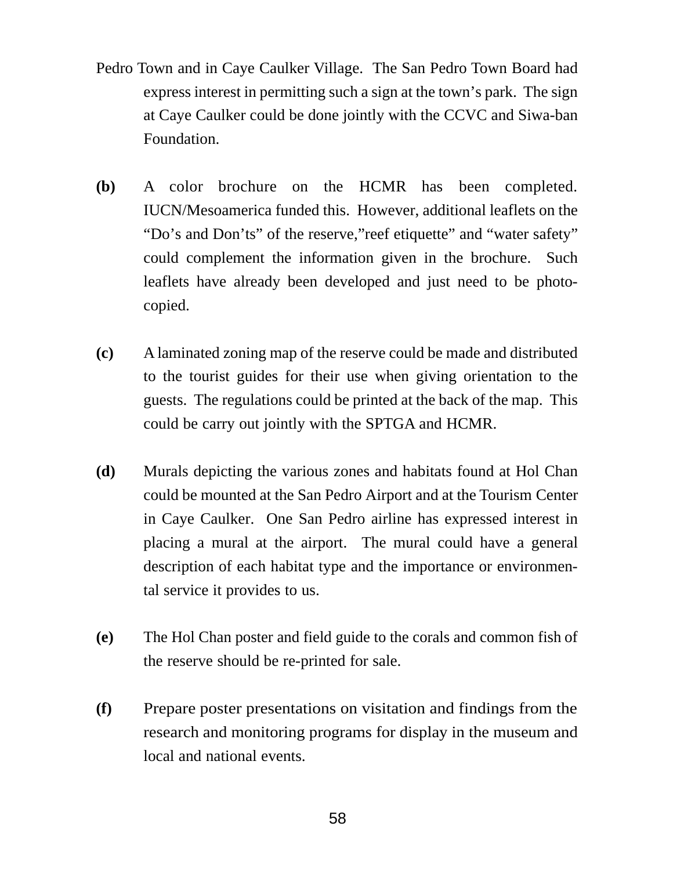- Pedro Town and in Caye Caulker Village. The San Pedro Town Board had express interest in permitting such a sign at the town's park. The sign at Caye Caulker could be done jointly with the CCVC and Siwa-ban Foundation.
- **(b)** A color brochure on the HCMR has been completed. IUCN/Mesoamerica funded this. However, additional leaflets on the "Do's and Don'ts" of the reserve,"reef etiquette" and "water safety" could complement the information given in the brochure. Such leaflets have already been developed and just need to be photocopied.
- **(c)** A laminated zoning map of the reserve could be made and distributed to the tourist guides for their use when giving orientation to the guests. The regulations could be printed at the back of the map. This could be carry out jointly with the SPTGA and HCMR.
- **(d)** Murals depicting the various zones and habitats found at Hol Chan could be mounted at the San Pedro Airport and at the Tourism Center in Caye Caulker. One San Pedro airline has expressed interest in placing a mural at the airport. The mural could have a general description of each habitat type and the importance or environmental service it provides to us.
- **(e)** The Hol Chan poster and field guide to the corals and common fish of the reserve should be re-printed for sale.
- **(f)** Prepare poster presentations on visitation and findings from the research and monitoring programs for display in the museum and local and national events.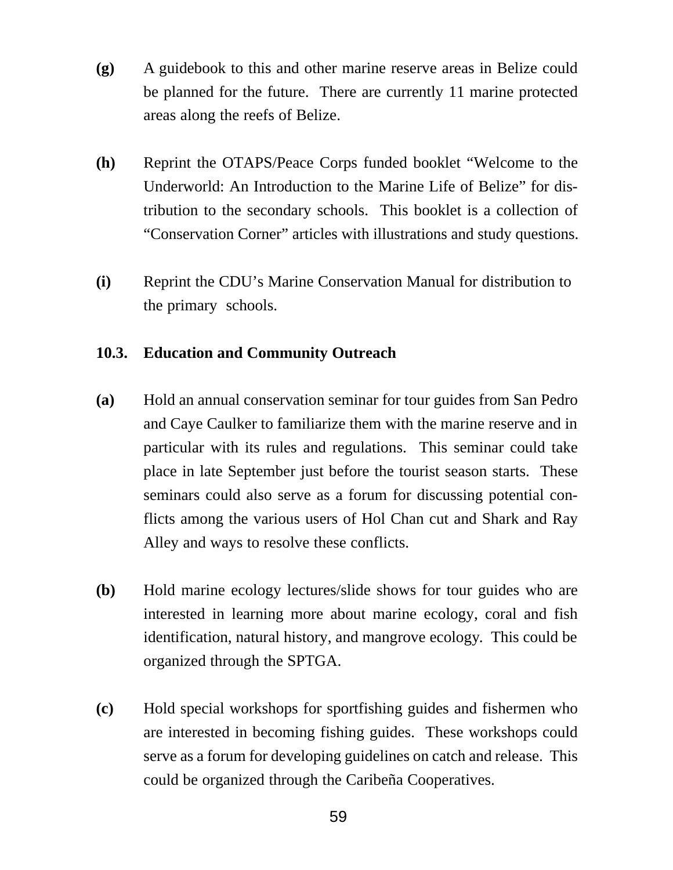- **(g)** A guidebook to this and other marine reserve areas in Belize could be planned for the future. There are currently 11 marine protected areas along the reefs of Belize.
- **(h)** Reprint the OTAPS/Peace Corps funded booklet "Welcome to the Underworld: An Introduction to the Marine Life of Belize" for distribution to the secondary schools. This booklet is a collection of "Conservation Corner" articles with illustrations and study questions.
- **(i)** Reprint the CDU's Marine Conservation Manual for distribution to the primary schools.

### **10.3. Education and Community Outreach**

- **(a)** Hold an annual conservation seminar for tour guides from San Pedro and Caye Caulker to familiarize them with the marine reserve and in particular with its rules and regulations. This seminar could take place in late September just before the tourist season starts. These seminars could also serve as a forum for discussing potential conflicts among the various users of Hol Chan cut and Shark and Ray Alley and ways to resolve these conflicts.
- **(b)** Hold marine ecology lectures/slide shows for tour guides who are interested in learning more about marine ecology, coral and fish identification, natural history, and mangrove ecology. This could be organized through the SPTGA.
- **(c)** Hold special workshops for sportfishing guides and fishermen who are interested in becoming fishing guides. These workshops could serve as a forum for developing guidelines on catch and release. This could be organized through the Caribeña Cooperatives.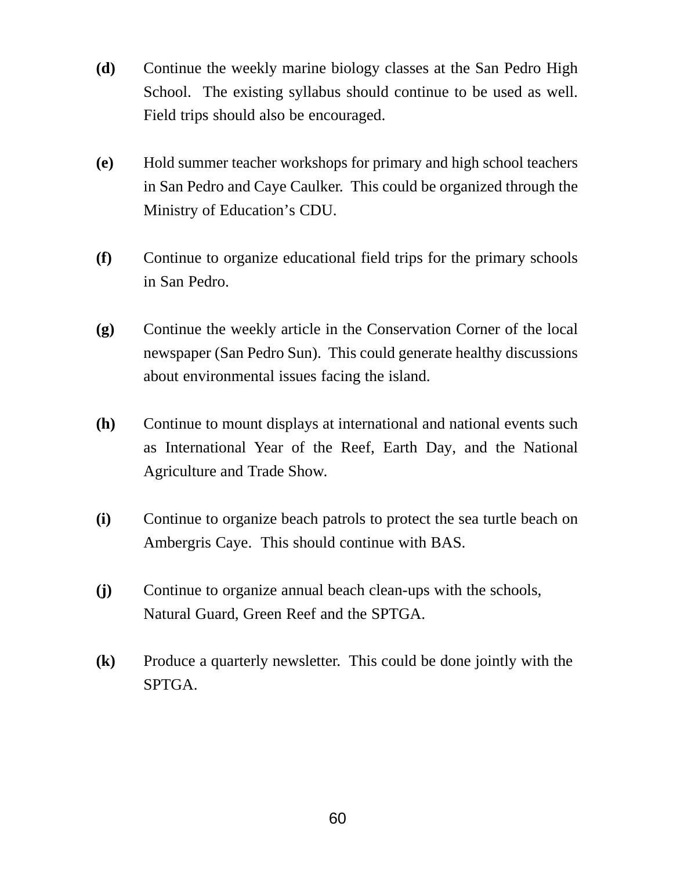- **(d)** Continue the weekly marine biology classes at the San Pedro High School. The existing syllabus should continue to be used as well. Field trips should also be encouraged.
- **(e)** Hold summer teacher workshops for primary and high school teachers in San Pedro and Caye Caulker. This could be organized through the Ministry of Education's CDU.
- **(f)** Continue to organize educational field trips for the primary schools in San Pedro.
- **(g)** Continue the weekly article in the Conservation Corner of the local newspaper (San Pedro Sun). This could generate healthy discussions about environmental issues facing the island.
- **(h)** Continue to mount displays at international and national events such as International Year of the Reef, Earth Day, and the National Agriculture and Trade Show.
- **(i)** Continue to organize beach patrols to protect the sea turtle beach on Ambergris Caye. This should continue with BAS.
- **(j)** Continue to organize annual beach clean-ups with the schools, Natural Guard, Green Reef and the SPTGA.
- **(k)** Produce a quarterly newsletter. This could be done jointly with the SPTGA.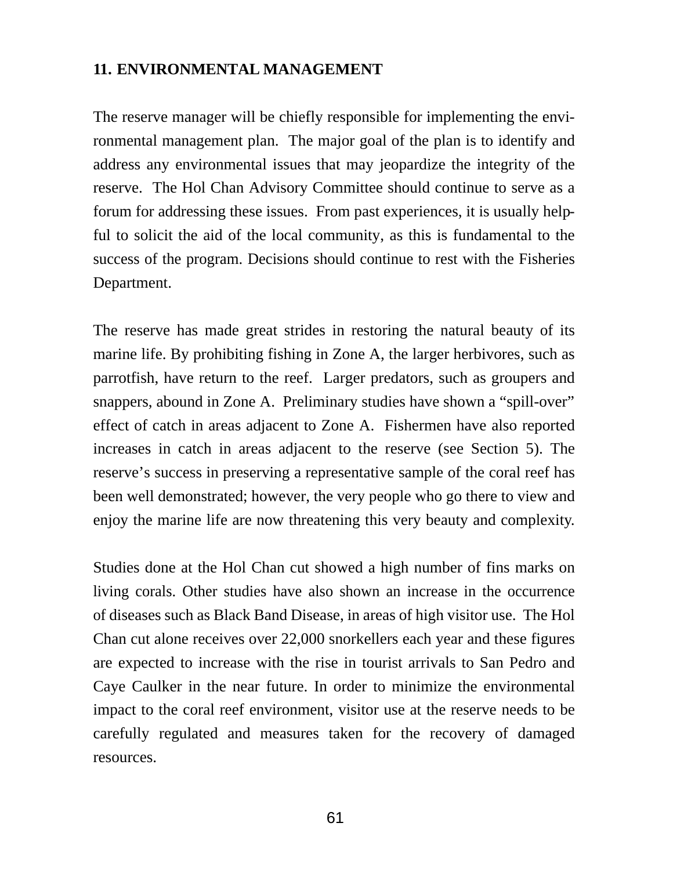#### **11. ENVIRONMENTAL MANAGEMENT**

The reserve manager will be chiefly responsible for implementing the environmental management plan. The major goal of the plan is to identify and address any environmental issues that may jeopardize the integrity of the reserve. The Hol Chan Advisory Committee should continue to serve as a forum for addressing these issues. From past experiences, it is usually helpful to solicit the aid of the local community, as this is fundamental to the success of the program. Decisions should continue to rest with the Fisheries Department.

The reserve has made great strides in restoring the natural beauty of its marine life. By prohibiting fishing in Zone A, the larger herbivores, such as parrotfish, have return to the reef. Larger predators, such as groupers and snappers, abound in Zone A. Preliminary studies have shown a "spill-over" effect of catch in areas adjacent to Zone A. Fishermen have also reported increases in catch in areas adjacent to the reserve (see Section 5). The reserve's success in preserving a representative sample of the coral reef has been well demonstrated; however, the very people who go there to view and enjoy the marine life are now threatening this very beauty and complexity.

Studies done at the Hol Chan cut showed a high number of fins marks on living corals. Other studies have also shown an increase in the occurrence of diseases such as Black Band Disease, in areas of high visitor use. The Hol Chan cut alone receives over 22,000 snorkellers each year and these figures are expected to increase with the rise in tourist arrivals to San Pedro and Caye Caulker in the near future. In order to minimize the environmental impact to the coral reef environment, visitor use at the reserve needs to be carefully regulated and measures taken for the recovery of damaged resources.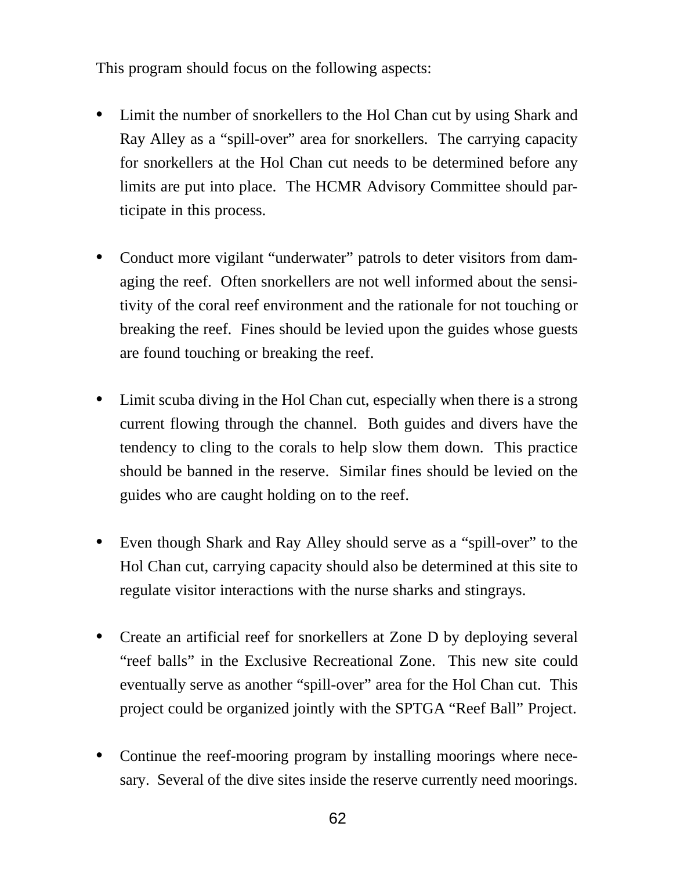This program should focus on the following aspects:

- **•** Limit the number of snorkellers to the Hol Chan cut by using Shark and Ray Alley as a "spill-over" area for snorkellers. The carrying capacity for snorkellers at the Hol Chan cut needs to be determined before any limits are put into place. The HCMR Advisory Committee should participate in this process.
- **•** Conduct more vigilant "underwater" patrols to deter visitors from damaging the reef. Often snorkellers are not well informed about the sensitivity of the coral reef environment and the rationale for not touching or breaking the reef. Fines should be levied upon the guides whose guests are found touching or breaking the reef.
- **•** Limit scuba diving in the Hol Chan cut, especially when there is a strong current flowing through the channel. Both guides and divers have the tendency to cling to the corals to help slow them down. This practice should be banned in the reserve. Similar fines should be levied on the guides who are caught holding on to the reef.
- **•** Even though Shark and Ray Alley should serve as a "spill-over" to the Hol Chan cut, carrying capacity should also be determined at this site to regulate visitor interactions with the nurse sharks and stingrays.
- **•** Create an artificial reef for snorkellers at Zone D by deploying several "reef balls" in the Exclusive Recreational Zone. This new site could eventually serve as another "spill-over" area for the Hol Chan cut. This project could be organized jointly with the SPTGA "Reef Ball" Project.
- **•** Continue the reef-mooring program by installing moorings where necesary. Several of the dive sites inside the reserve currently need moorings.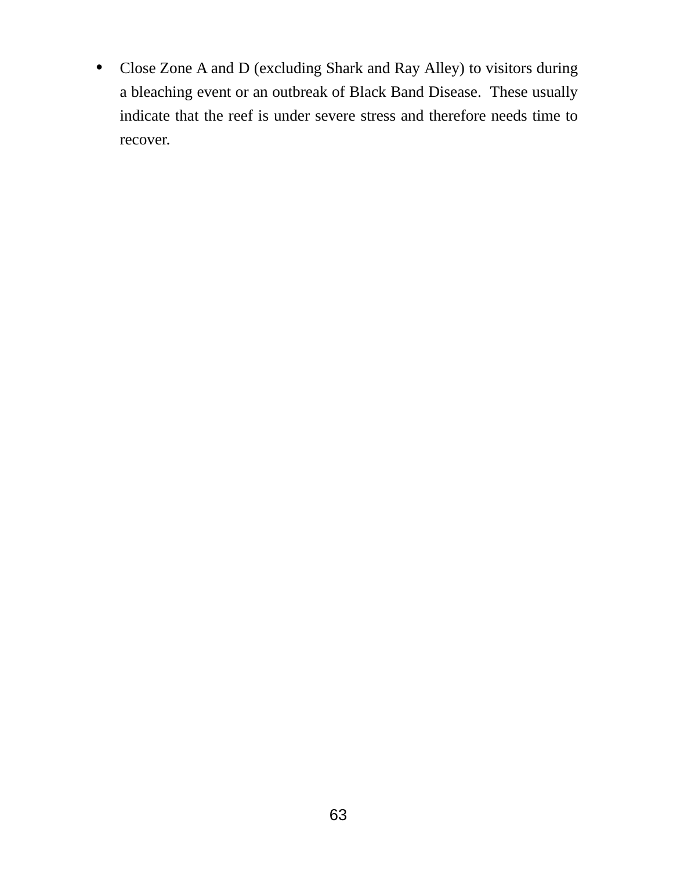**•** Close Zone A and D (excluding Shark and Ray Alley) to visitors during a bleaching event or an outbreak of Black Band Disease. These usually indicate that the reef is under severe stress and therefore needs time to recover.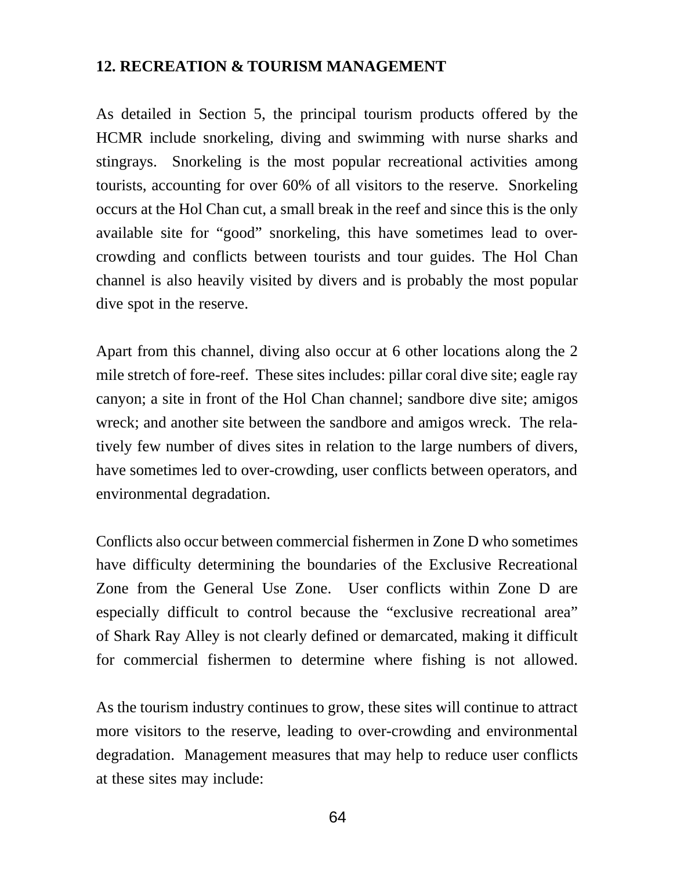#### **12. RECREATION & TOURISM MANAGEMENT**

As detailed in Section 5, the principal tourism products offered by the HCMR include snorkeling, diving and swimming with nurse sharks and stingrays. Snorkeling is the most popular recreational activities among tourists, accounting for over 60% of all visitors to the reserve. Snorkeling occurs at the Hol Chan cut, a small break in the reef and since this is the only available site for "good" snorkeling, this have sometimes lead to overcrowding and conflicts between tourists and tour guides. The Hol Chan channel is also heavily visited by divers and is probably the most popular dive spot in the reserve.

Apart from this channel, diving also occur at 6 other locations along the 2 mile stretch of fore-reef. These sites includes: pillar coral dive site; eagle ray canyon; a site in front of the Hol Chan channel; sandbore dive site; amigos wreck; and another site between the sandbore and amigos wreck. The relatively few number of dives sites in relation to the large numbers of divers, have sometimes led to over-crowding, user conflicts between operators, and environmental degradation.

Conflicts also occur between commercial fishermen in Zone D who sometimes have difficulty determining the boundaries of the Exclusive Recreational Zone from the General Use Zone. User conflicts within Zone D are especially difficult to control because the "exclusive recreational area" of Shark Ray Alley is not clearly defined or demarcated, making it difficult for commercial fishermen to determine where fishing is not allowed.

As the tourism industry continues to grow, these sites will continue to attract more visitors to the reserve, leading to over-crowding and environmental degradation. Management measures that may help to reduce user conflicts at these sites may include: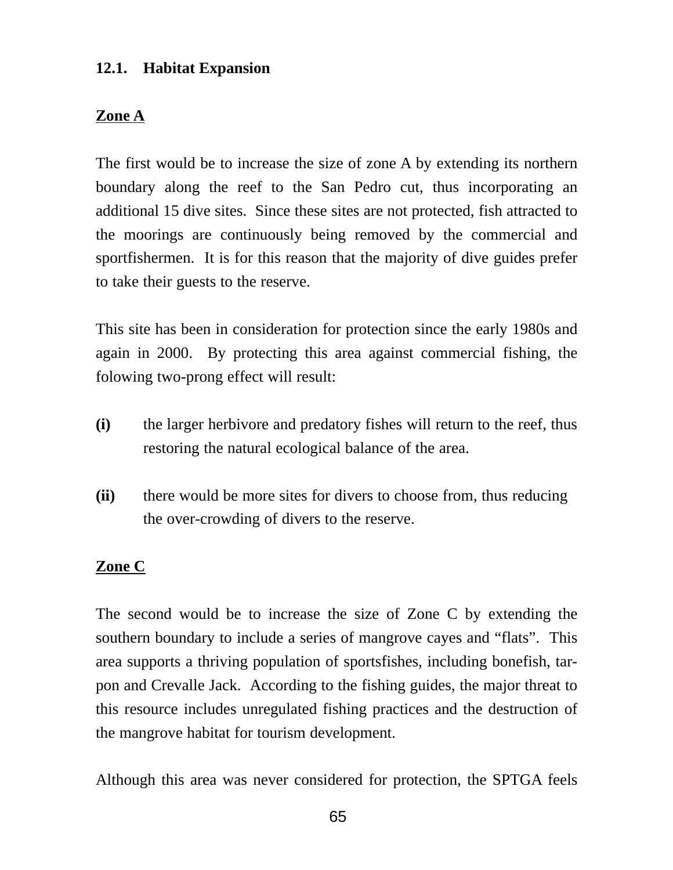## **12.1. Habitat Expansion**

### **Zone A**

The first would be to increase the size of zone A by extending its northern boundary along the reef to the San Pedro cut, thus incorporating an additional 15 dive sites. Since these sites are not protected, fish attracted to the moorings are continuously being removed by the commercial and sportfishermen. It is for this reason that the majority of dive guides prefer to take their guests to the reserve.

This site has been in consideration for protection since the early 1980s and again in 2000. By protecting this area against commercial fishing, the folowing two-prong effect will result:

- **(i)** the larger herbivore and predatory fishes will return to the reef, thus restoring the natural ecological balance of the area.
- **(ii)** there would be more sites for divers to choose from, thus reducing the over-crowding of divers to the reserve.

## **Zone C**

The second would be to increase the size of Zone C by extending the southern boundary to include a series of mangrove cayes and "flats". This area supports a thriving population of sportsfishes, including bonefish, tarpon and Crevalle Jack. According to the fishing guides, the major threat to this resource includes unregulated fishing practices and the destruction of the mangrove habitat for tourism development.

Although this area was never considered for protection, the SPTGA feels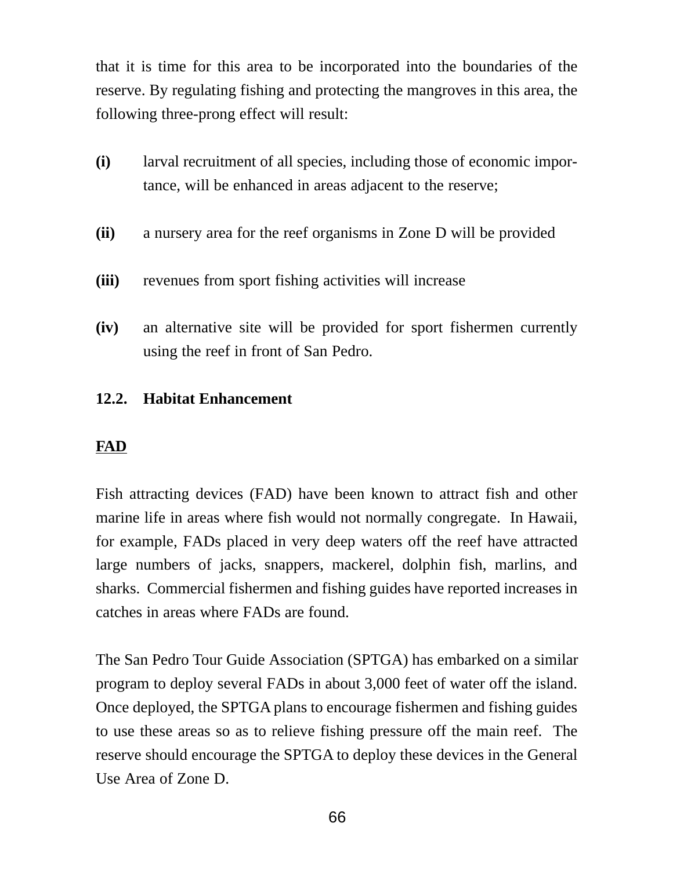that it is time for this area to be incorporated into the boundaries of the reserve. By regulating fishing and protecting the mangroves in this area, the following three-prong effect will result:

- **(i)** larval recruitment of all species, including those of economic importance, will be enhanced in areas adjacent to the reserve;
- **(ii)** a nursery area for the reef organisms in Zone D will be provided
- **(iii)** revenues from sport fishing activities will increase
- **(iv)** an alternative site will be provided for sport fishermen currently using the reef in front of San Pedro.

## **12.2. Habitat Enhancement**

## **FAD**

Fish attracting devices (FAD) have been known to attract fish and other marine life in areas where fish would not normally congregate. In Hawaii, for example, FADs placed in very deep waters off the reef have attracted large numbers of jacks, snappers, mackerel, dolphin fish, marlins, and sharks. Commercial fishermen and fishing guides have reported increases in catches in areas where FADs are found.

The San Pedro Tour Guide Association (SPTGA) has embarked on a similar program to deploy several FADs in about 3,000 feet of water off the island. Once deployed, the SPTGA plans to encourage fishermen and fishing guides to use these areas so as to relieve fishing pressure off the main reef. The reserve should encourage the SPTGA to deploy these devices in the General Use Area of Zone D.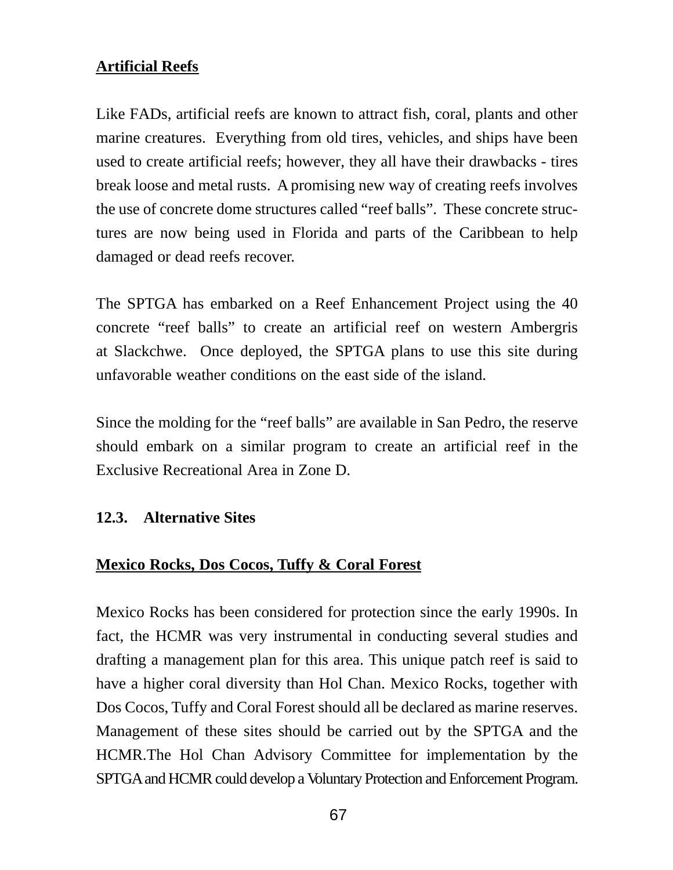## **Artificial Reefs**

Like FADs, artificial reefs are known to attract fish, coral, plants and other marine creatures. Everything from old tires, vehicles, and ships have been used to create artificial reefs; however, they all have their drawbacks - tires break loose and metal rusts. A promising new way of creating reefs involves the use of concrete dome structures called "reef balls". These concrete structures are now being used in Florida and parts of the Caribbean to help damaged or dead reefs recover.

The SPTGA has embarked on a Reef Enhancement Project using the 40 concrete "reef balls" to create an artificial reef on western Ambergris at Slackchwe. Once deployed, the SPTGA plans to use this site during unfavorable weather conditions on the east side of the island.

Since the molding for the "reef balls" are available in San Pedro, the reserve should embark on a similar program to create an artificial reef in the Exclusive Recreational Area in Zone D.

## **12.3. Alternative Sites**

## **Mexico Rocks, Dos Cocos, Tuffy & Coral Forest**

Mexico Rocks has been considered for protection since the early 1990s. In fact, the HCMR was very instrumental in conducting several studies and drafting a management plan for this area. This unique patch reef is said to have a higher coral diversity than Hol Chan. Mexico Rocks, together with Dos Cocos, Tuffy and Coral Forest should all be declared as marine reserves. Management of these sites should be carried out by the SPTGA and the HCMR.The Hol Chan Advisory Committee for implementation by the SPTGA and HCMR could develop a Voluntary Protection and Enforcement Program.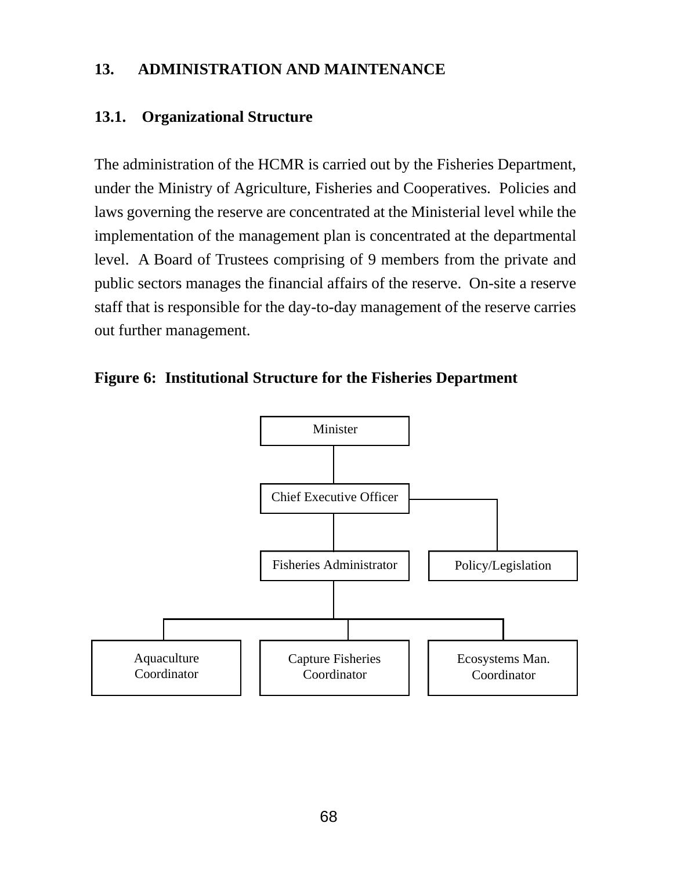## **13. ADMINISTRATION AND MAINTENANCE**

## **13.1. Organizational Structure**

The administration of the HCMR is carried out by the Fisheries Department, under the Ministry of Agriculture, Fisheries and Cooperatives. Policies and laws governing the reserve are concentrated at the Ministerial level while the implementation of the management plan is concentrated at the departmental level. A Board of Trustees comprising of 9 members from the private and public sectors manages the financial affairs of the reserve. On-site a reserve staff that is responsible for the day-to-day management of the reserve carries out further management.



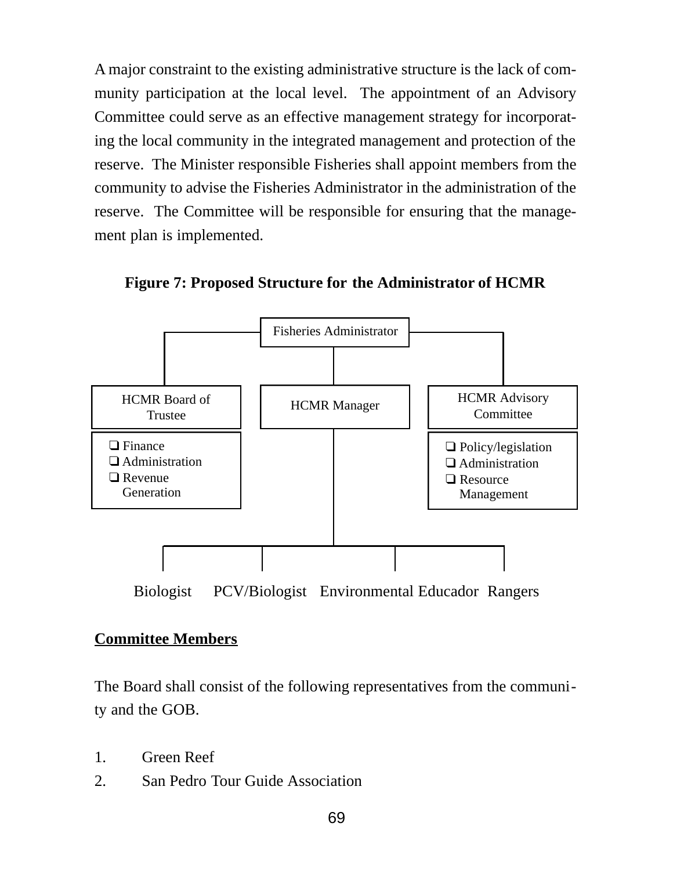A major constraint to the existing administrative structure is the lack of community participation at the local level. The appointment of an Advisory Committee could serve as an effective management strategy for incorporating the local community in the integrated management and protection of the reserve. The Minister responsible Fisheries shall appoint members from the community to advise the Fisheries Administrator in the administration of the reserve. The Committee will be responsible for ensuring that the management plan is implemented.



**Figure 7: Proposed Structure for the Administrator of HCMR**

Biologist PCV/Biologist Environmental Educador Rangers

## **Committee Members**

The Board shall consist of the following representatives from the community and the GOB.

- 1. Green Reef
- 2. San Pedro Tour Guide Association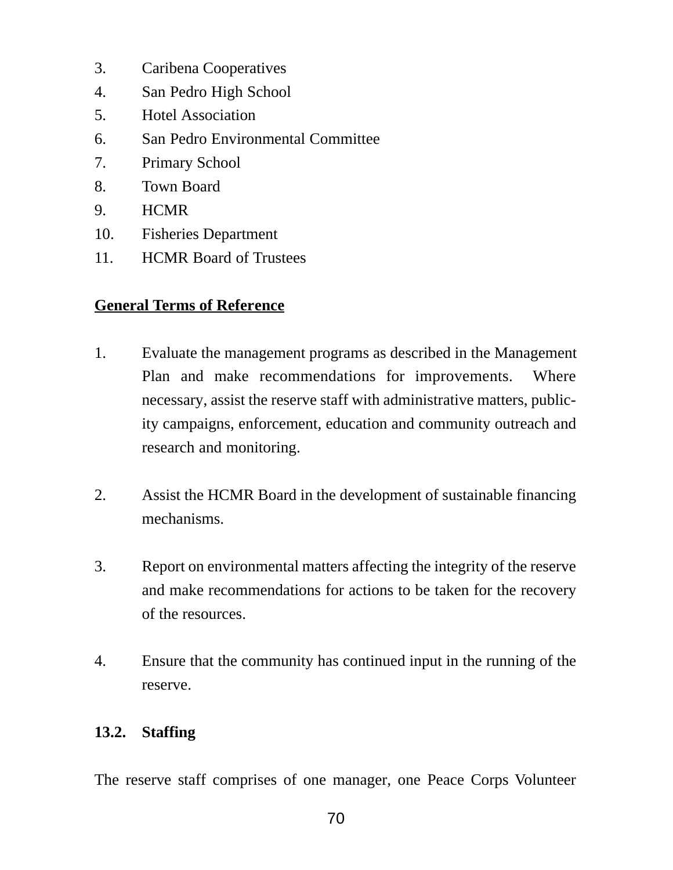- 3. Caribena Cooperatives
- 4. San Pedro High School
- 5. Hotel Association
- 6. San Pedro Environmental Committee
- 7. Primary School
- 8. Town Board
- 9. HCMR
- 10. Fisheries Department
- 11. HCMR Board of Trustees

## **General Terms of Reference**

- 1. Evaluate the management programs as described in the Management Plan and make recommendations for improvements. Where necessary, assist the reserve staff with administrative matters, publicity campaigns, enforcement, education and community outreach and research and monitoring.
- 2. Assist the HCMR Board in the development of sustainable financing mechanisms.
- 3. Report on environmental matters affecting the integrity of the reserve and make recommendations for actions to be taken for the recovery of the resources.
- 4. Ensure that the community has continued input in the running of the reserve.

## **13.2. Staffing**

The reserve staff comprises of one manager, one Peace Corps Volunteer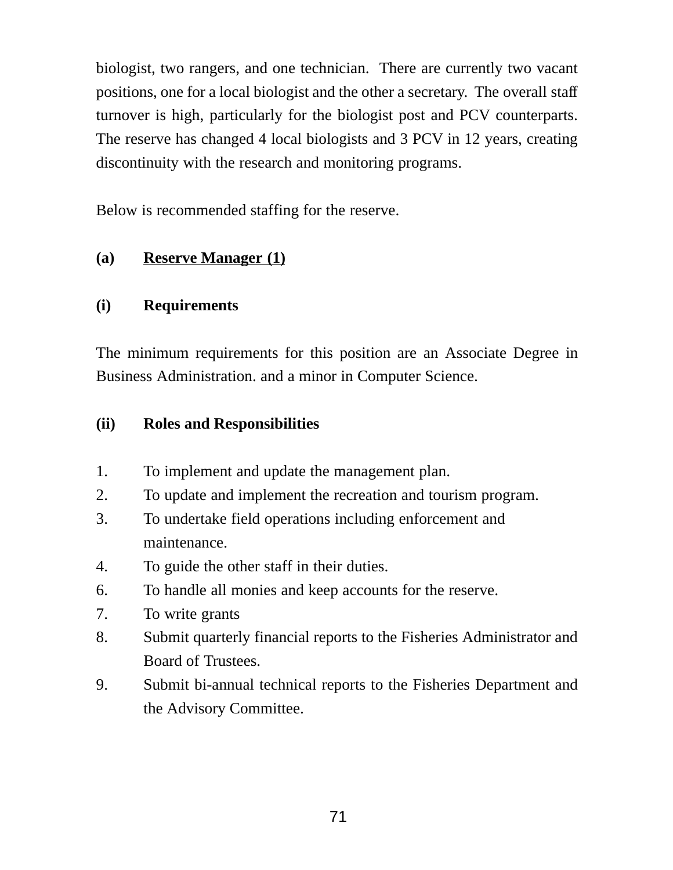biologist, two rangers, and one technician. There are currently two vacant positions, one for a local biologist and the other a secretary. The overall staff turnover is high, particularly for the biologist post and PCV counterparts. The reserve has changed 4 local biologists and 3 PCV in 12 years, creating discontinuity with the research and monitoring programs.

Below is recommended staffing for the reserve.

## **(a) Reserve Manager (1)**

## **(i) Requirements**

The minimum requirements for this position are an Associate Degree in Business Administration. and a minor in Computer Science.

## **(ii) Roles and Responsibilities**

- 1. To implement and update the management plan.
- 2. To update and implement the recreation and tourism program.
- 3. To undertake field operations including enforcement and maintenance.
- 4. To guide the other staff in their duties.
- 6. To handle all monies and keep accounts for the reserve.
- 7. To write grants
- 8. Submit quarterly financial reports to the Fisheries Administrator and Board of Trustees.
- 9. Submit bi-annual technical reports to the Fisheries Department and the Advisory Committee.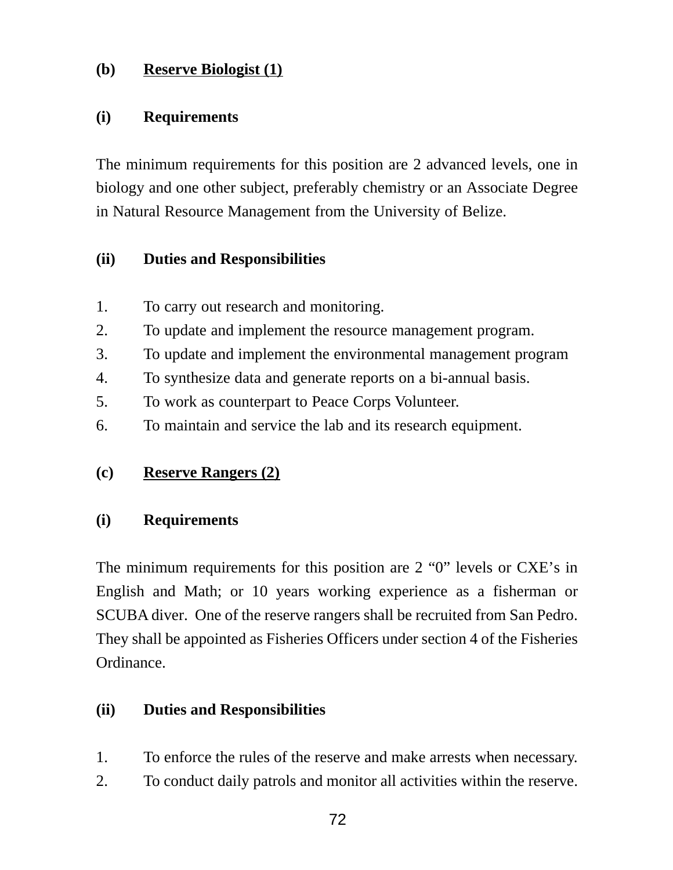## **(b) Reserve Biologist (1)**

## **(i) Requirements**

The minimum requirements for this position are 2 advanced levels, one in biology and one other subject, preferably chemistry or an Associate Degree in Natural Resource Management from the University of Belize.

## **(ii) Duties and Responsibilities**

- 1. To carry out research and monitoring.
- 2. To update and implement the resource management program.
- 3. To update and implement the environmental management program
- 4. To synthesize data and generate reports on a bi-annual basis.
- 5. To work as counterpart to Peace Corps Volunteer.
- 6. To maintain and service the lab and its research equipment.

## **(c) Reserve Rangers (2)**

## **(i) Requirements**

The minimum requirements for this position are 2 "0" levels or CXE's in English and Math; or 10 years working experience as a fisherman or SCUBA diver. One of the reserve rangers shall be recruited from San Pedro. They shall be appointed as Fisheries Officers under section 4 of the Fisheries Ordinance.

## **(ii) Duties and Responsibilities**

- 1. To enforce the rules of the reserve and make arrests when necessary.
- 2. To conduct daily patrols and monitor all activities within the reserve.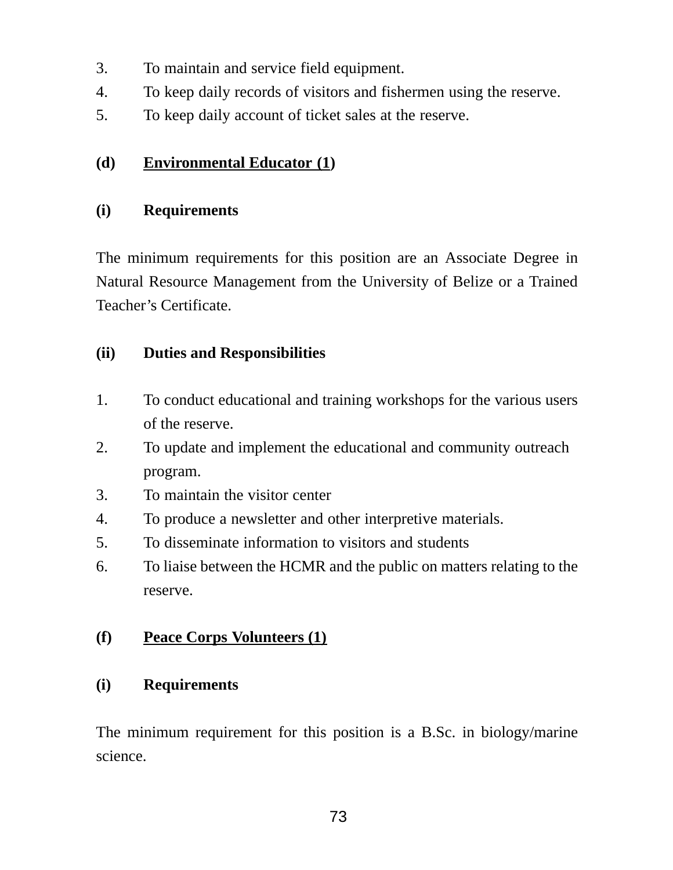- 3. To maintain and service field equipment.
- 4. To keep daily records of visitors and fishermen using the reserve.
- 5. To keep daily account of ticket sales at the reserve.

## **(d) Environmental Educator (1)**

## **(i) Requirements**

The minimum requirements for this position are an Associate Degree in Natural Resource Management from the University of Belize or a Trained Teacher's Certificate.

## **(ii) Duties and Responsibilities**

- 1. To conduct educational and training workshops for the various users of the reserve.
- 2. To update and implement the educational and community outreach program.
- 3. To maintain the visitor center
- 4. To produce a newsletter and other interpretive materials.
- 5. To disseminate information to visitors and students
- 6. To liaise between the HCMR and the public on matters relating to the reserve.

## **(f) Peace Corps Volunteers (1)**

## **(i) Requirements**

The minimum requirement for this position is a B.Sc. in biology/marine science.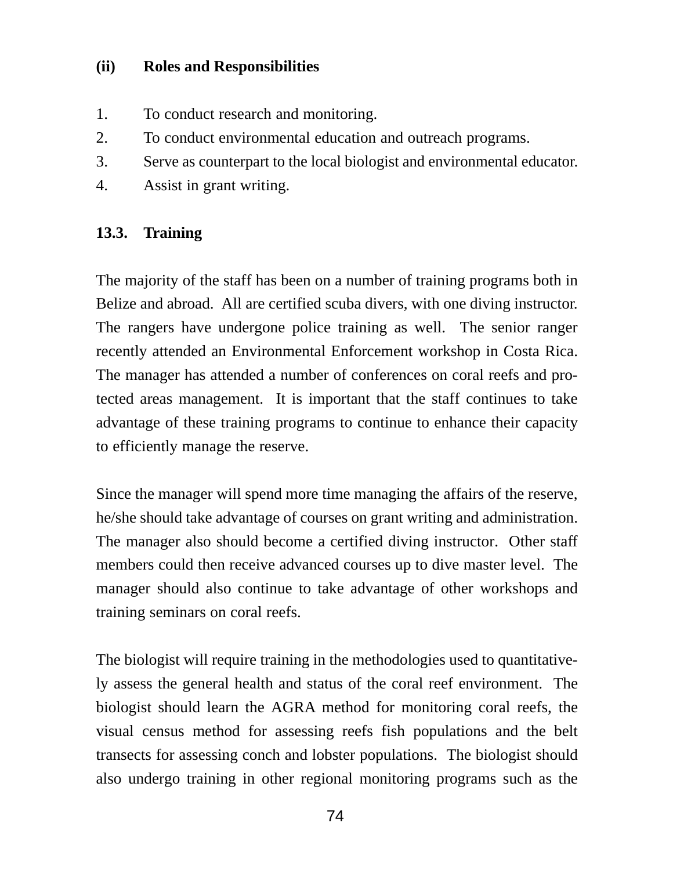## **(ii) Roles and Responsibilities**

- 1. To conduct research and monitoring.
- 2. To conduct environmental education and outreach programs.
- 3. Serve as counterpart to the local biologist and environmental educator.
- 4. Assist in grant writing.

## **13.3. Training**

The majority of the staff has been on a number of training programs both in Belize and abroad. All are certified scuba divers, with one diving instructor. The rangers have undergone police training as well. The senior ranger recently attended an Environmental Enforcement workshop in Costa Rica. The manager has attended a number of conferences on coral reefs and protected areas management. It is important that the staff continues to take advantage of these training programs to continue to enhance their capacity to efficiently manage the reserve.

Since the manager will spend more time managing the affairs of the reserve, he/she should take advantage of courses on grant writing and administration. The manager also should become a certified diving instructor. Other staff members could then receive advanced courses up to dive master level. The manager should also continue to take advantage of other workshops and training seminars on coral reefs.

The biologist will require training in the methodologies used to quantitatively assess the general health and status of the coral reef environment. The biologist should learn the AGRA method for monitoring coral reefs, the visual census method for assessing reefs fish populations and the belt transects for assessing conch and lobster populations. The biologist should also undergo training in other regional monitoring programs such as the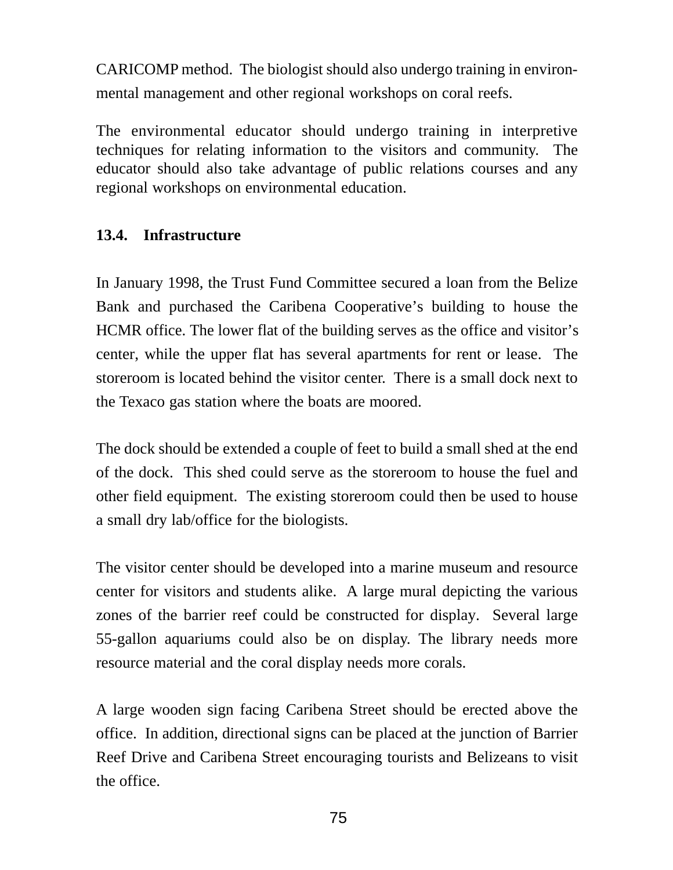CARICOMP method. The biologist should also undergo training in environmental management and other regional workshops on coral reefs.

The environmental educator should undergo training in interpretive techniques for relating information to the visitors and community. The educator should also take advantage of public relations courses and any regional workshops on environmental education.

## **13.4. Infrastructure**

In January 1998, the Trust Fund Committee secured a loan from the Belize Bank and purchased the Caribena Cooperative's building to house the HCMR office. The lower flat of the building serves as the office and visitor's center, while the upper flat has several apartments for rent or lease. The storeroom is located behind the visitor center. There is a small dock next to the Texaco gas station where the boats are moored.

The dock should be extended a couple of feet to build a small shed at the end of the dock. This shed could serve as the storeroom to house the fuel and other field equipment. The existing storeroom could then be used to house a small dry lab/office for the biologists.

The visitor center should be developed into a marine museum and resource center for visitors and students alike. A large mural depicting the various zones of the barrier reef could be constructed for display. Several large 55-gallon aquariums could also be on display. The library needs more resource material and the coral display needs more corals.

A large wooden sign facing Caribena Street should be erected above the office. In addition, directional signs can be placed at the junction of Barrier Reef Drive and Caribena Street encouraging tourists and Belizeans to visit the office.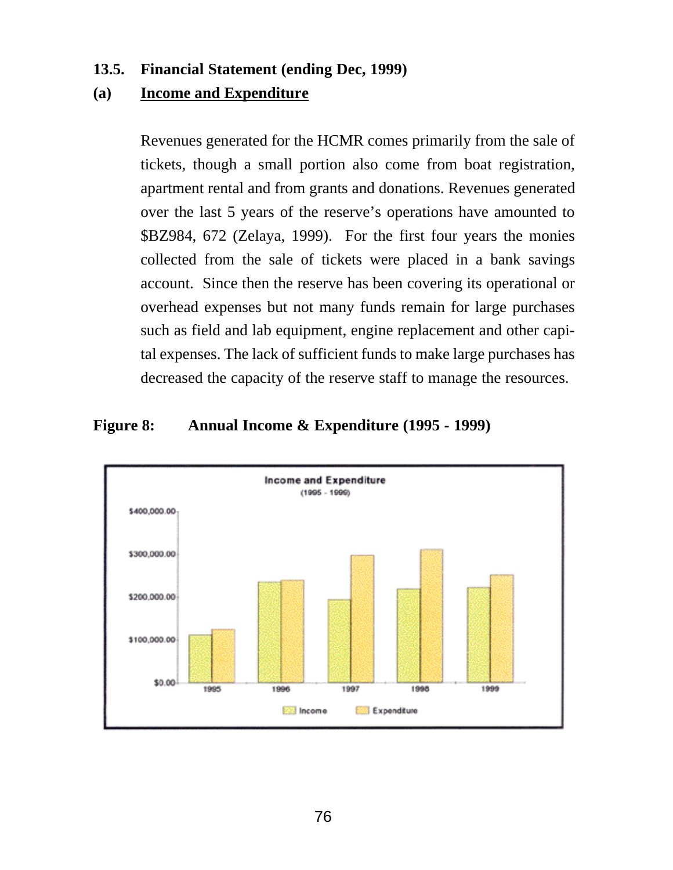### **13.5. Financial Statement (ending Dec, 1999)**

### **(a) Income and Expenditure**

Revenues generated for the HCMR comes primarily from the sale of tickets, though a small portion also come from boat registration, apartment rental and from grants and donations. Revenues generated over the last 5 years of the reserve's operations have amounted to \$BZ984, 672 (Zelaya, 1999). For the first four years the monies collected from the sale of tickets were placed in a bank savings account. Since then the reserve has been covering its operational or overhead expenses but not many funds remain for large purchases such as field and lab equipment, engine replacement and other capital expenses. The lack of sufficient funds to make large purchases has decreased the capacity of the reserve staff to manage the resources.

### **Figure 8: Annual Income & Expenditure (1995 - 1999)**

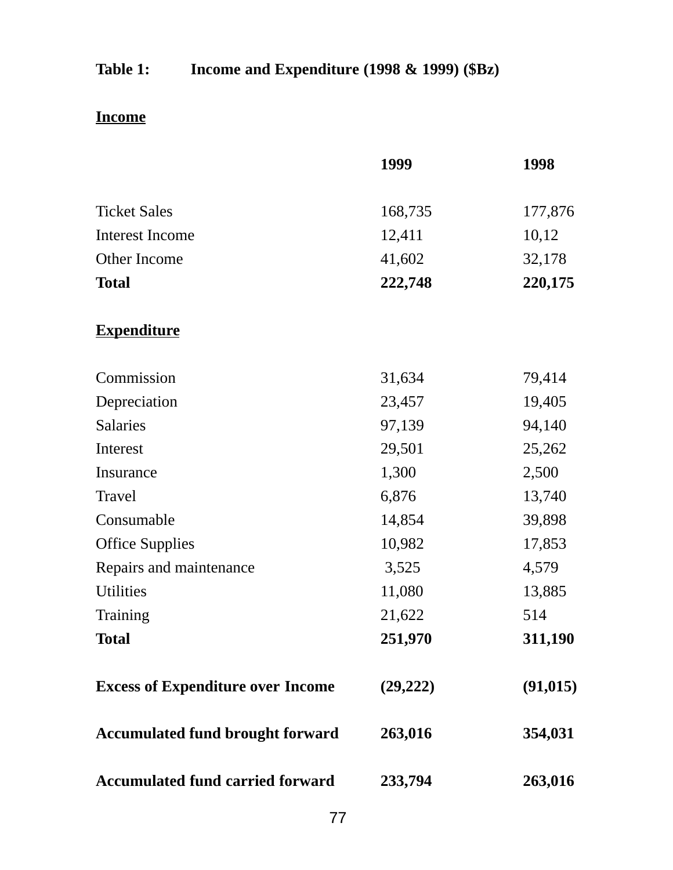# **Table 1: Income and Expenditure (1998 & 1999) (\$Bz)**

# **Income**

|                                          | 1999      | 1998      |
|------------------------------------------|-----------|-----------|
| <b>Ticket Sales</b>                      | 168,735   | 177,876   |
| <b>Interest Income</b>                   | 12,411    | 10,12     |
| Other Income                             | 41,602    | 32,178    |
| <b>Total</b>                             | 222,748   | 220,175   |
| <b>Expenditure</b>                       |           |           |
| Commission                               | 31,634    | 79,414    |
| Depreciation                             | 23,457    | 19,405    |
| Salaries                                 | 97,139    | 94,140    |
| Interest                                 | 29,501    | 25,262    |
| Insurance                                | 1,300     | 2,500     |
| Travel                                   | 6,876     | 13,740    |
| Consumable                               | 14,854    | 39,898    |
| <b>Office Supplies</b>                   | 10,982    | 17,853    |
| Repairs and maintenance                  | 3,525     | 4,579     |
| <b>Utilities</b>                         | 11,080    | 13,885    |
| Training                                 | 21,622    | 514       |
| <b>Total</b>                             | 251,970   | 311,190   |
| <b>Excess of Expenditure over Income</b> | (29, 222) | (91, 015) |
| <b>Accumulated fund brought forward</b>  | 263,016   | 354,031   |
| Accumulated fund carried forward         | 233,794   | 263,016   |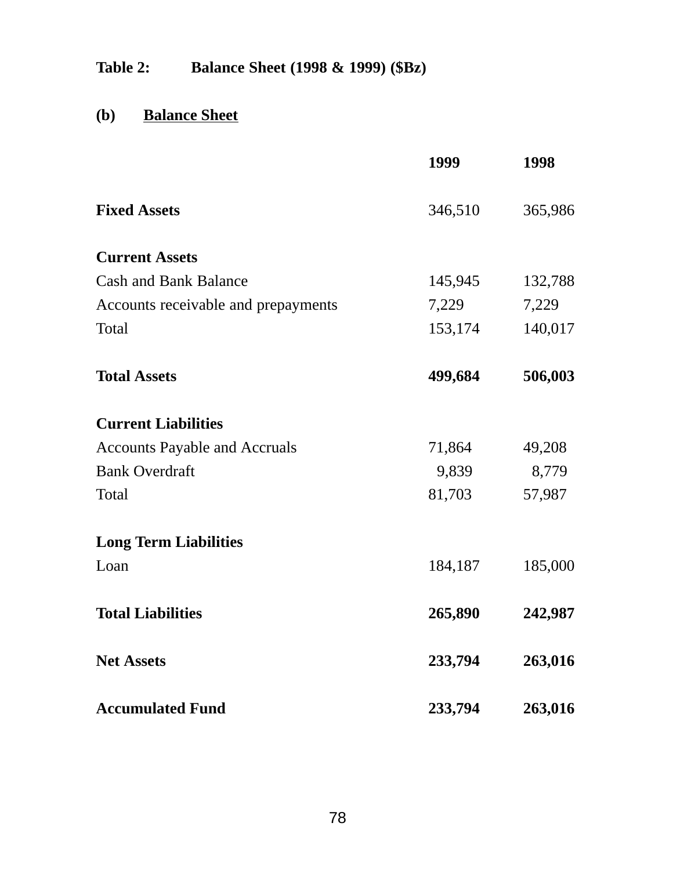**Table 2: Balance Sheet (1998 & 1999) (\$Bz)**

# **(b) Balance Sheet**

|                                      | 1999    | 1998    |
|--------------------------------------|---------|---------|
| <b>Fixed Assets</b>                  | 346,510 | 365,986 |
| <b>Current Assets</b>                |         |         |
| <b>Cash and Bank Balance</b>         | 145,945 | 132,788 |
| Accounts receivable and prepayments  | 7,229   | 7,229   |
| Total                                | 153,174 | 140,017 |
| <b>Total Assets</b>                  | 499,684 | 506,003 |
| <b>Current Liabilities</b>           |         |         |
| <b>Accounts Payable and Accruals</b> | 71,864  | 49,208  |
| <b>Bank Overdraft</b>                | 9,839   | 8,779   |
| Total                                | 81,703  | 57,987  |
| <b>Long Term Liabilities</b>         |         |         |
| Loan                                 | 184,187 | 185,000 |
| <b>Total Liabilities</b>             | 265,890 | 242,987 |
| <b>Net Assets</b>                    | 233,794 | 263,016 |
| <b>Accumulated Fund</b>              | 233,794 | 263,016 |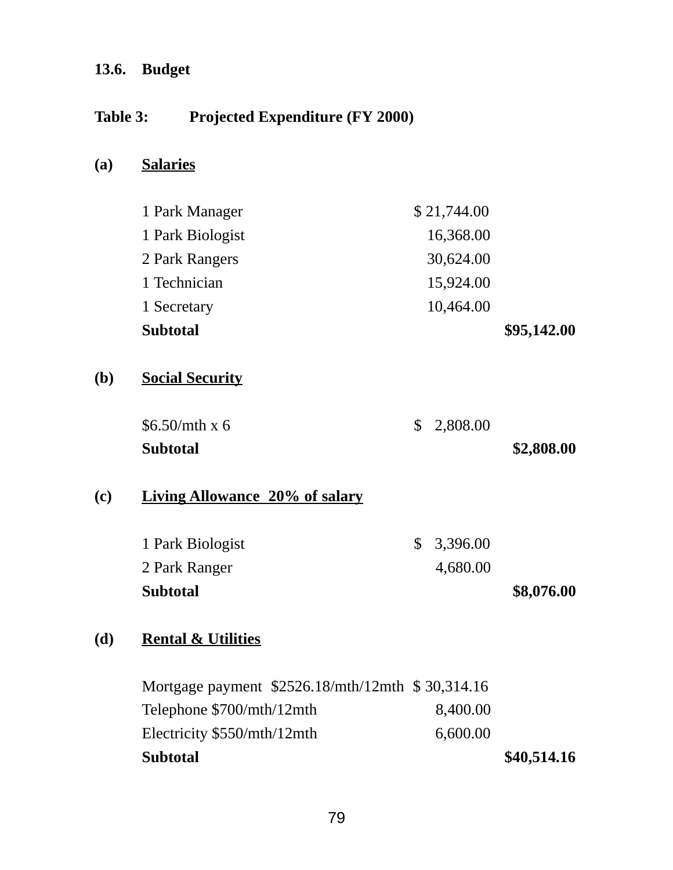## **13.6. Budget**

## **Table 3: Projected Expenditure (FY 2000)**

## **(a) Salaries**

| <b>Subtotal</b>  | \$95,142.00 |
|------------------|-------------|
| 1 Secretary      | 10,464.00   |
| 1 Technician     | 15,924.00   |
| 2 Park Rangers   | 30,624.00   |
| 1 Park Biologist | 16,368.00   |
| 1 Park Manager   | \$21,744.00 |

## **(b) Social Security**

| <b>Subtotal</b> |            | \$2,808.00 |
|-----------------|------------|------------|
| \$6.50/mth x 6  | \$2,808.00 |            |

## **(c) Living Allowance 20% of salary**

| <b>Subtotal</b>  |            | \$8,076.00 |
|------------------|------------|------------|
| 2 Park Ranger    | 4,680.00   |            |
| 1 Park Biologist | \$3,396.00 |            |

## **(d) Rental & Utilities**

| <b>Subtotal</b>                                  |          | \$40,514.16 |
|--------------------------------------------------|----------|-------------|
| Electricity \$550/mth/12mth                      | 6,600.00 |             |
| Telephone \$700/mth/12mth                        | 8,400.00 |             |
| Mortgage payment \$2526.18/mth/12mth \$30,314.16 |          |             |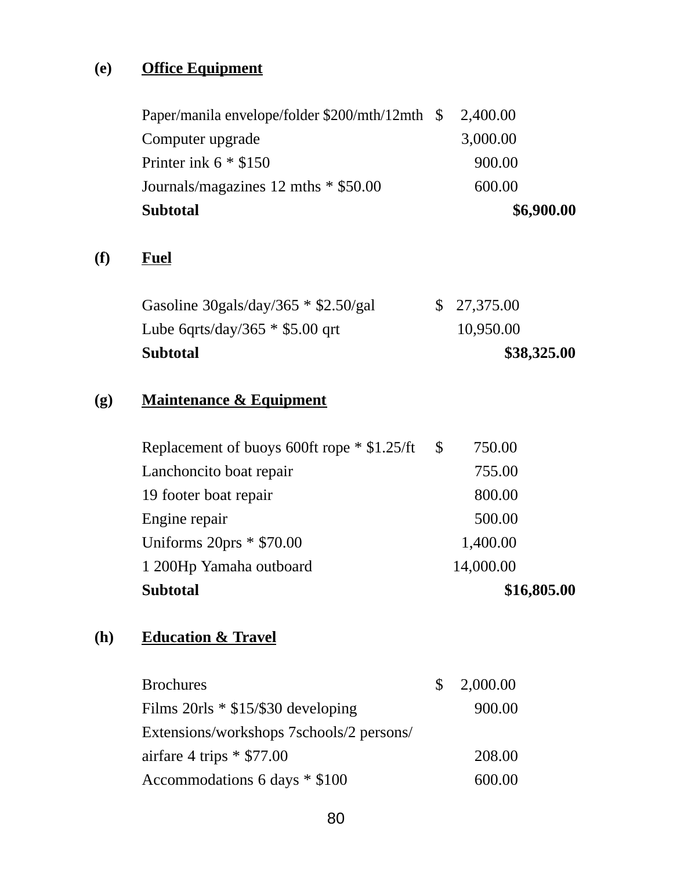# **(e) Office Equipment**

| <b>Subtotal</b>                                 | \$6,900.00 |  |
|-------------------------------------------------|------------|--|
| Journals/magazines 12 mths * \$50.00            | 600.00     |  |
| Printer ink $6 * $150$                          | 900.00     |  |
| Computer upgrade                                | 3,000.00   |  |
| Paper/manila envelope/folder \$200/mth/12mth \$ | 2,400.00   |  |

## **(f) Fuel**

| <b>Subtotal</b>                        | \$38,325.00 |
|----------------------------------------|-------------|
| Lube 6qrts/day/365 $*$ \$5.00 qrt      | 10,950.00   |
| Gasoline 30gals/day/365 $*$ \$2.50/gal | \$27,375.00 |

# **(g) Maintenance & Equipment**

| <b>Subtotal</b>                                    | \$16,805.00 |  |
|----------------------------------------------------|-------------|--|
| 1 200Hp Yamaha outboard                            | 14,000.00   |  |
| Uniforms $20\text{prs} * $70.00$                   | 1,400.00    |  |
| Engine repair                                      | 500.00      |  |
| 19 footer boat repair                              | 800.00      |  |
| Lanchoncito boat repair                            | 755.00      |  |
| Replacement of buoys 600ft rope $*$ \$1.25/ft \ \$ | 750.00      |  |

## **(h) Education & Travel**

| <b>Brochures</b>                         | \$ 2,000.00 |
|------------------------------------------|-------------|
| Films $20rls * $15/\$30 developing$      | 900.00      |
| Extensions/workshops 7schools/2 persons/ |             |
| airfare 4 trips $*$ \$77.00              | 208.00      |
| Accommodations 6 days * \$100            | 600.00      |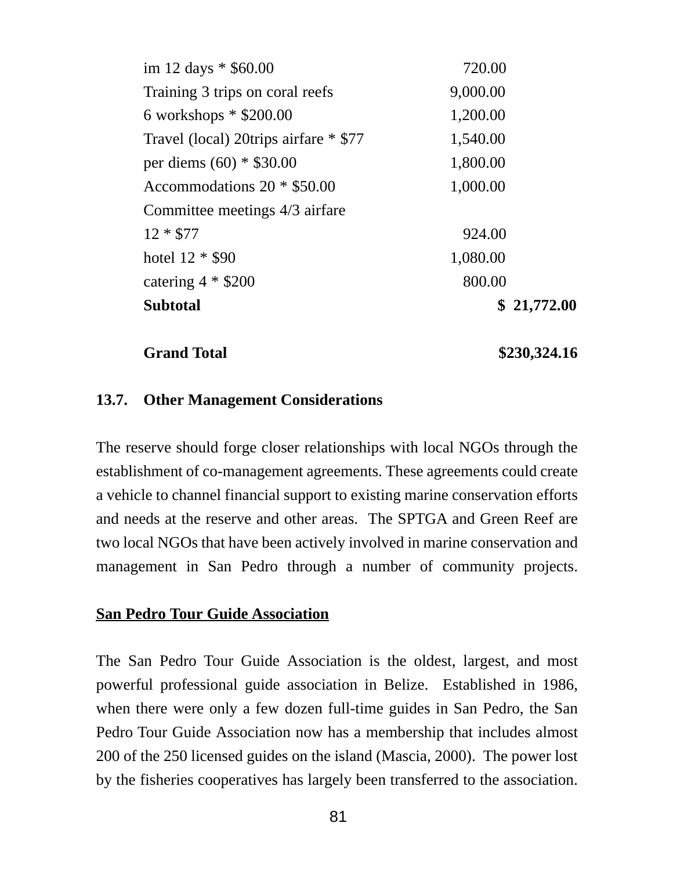| Subtotal                              | \$21,772.00 |
|---------------------------------------|-------------|
| catering $4 * $200$                   | 800.00      |
| hotel 12 * \$90                       | 1,080.00    |
| $12 * $77$                            | 924.00      |
| Committee meetings 4/3 airfare        |             |
| Accommodations 20 * \$50.00           | 1,000.00    |
| per diems (60) * \$30.00              | 1,800.00    |
| Travel (local) 20trips airfare * \$77 | 1,540.00    |
| 6 workshops $*$ \$200.00              | 1,200.00    |
| Training 3 trips on coral reefs       | 9,000.00    |
| im 12 days * \$60.00                  | 720.00      |

**Grand Total \$230,324.16**

### **13.7. Other Management Considerations**

The reserve should forge closer relationships with local NGOs through the establishment of co-management agreements. These agreements could create a vehicle to channel financial support to existing marine conservation efforts and needs at the reserve and other areas. The SPTGA and Green Reef are two local NGOs that have been actively involved in marine conservation and management in San Pedro through a number of community projects.

#### **San Pedro Tour Guide Association**

The San Pedro Tour Guide Association is the oldest, largest, and most powerful professional guide association in Belize. Established in 1986, when there were only a few dozen full-time guides in San Pedro, the San Pedro Tour Guide Association now has a membership that includes almost 200 of the 250 licensed guides on the island (Mascia, 2000). The power lost by the fisheries cooperatives has largely been transferred to the association.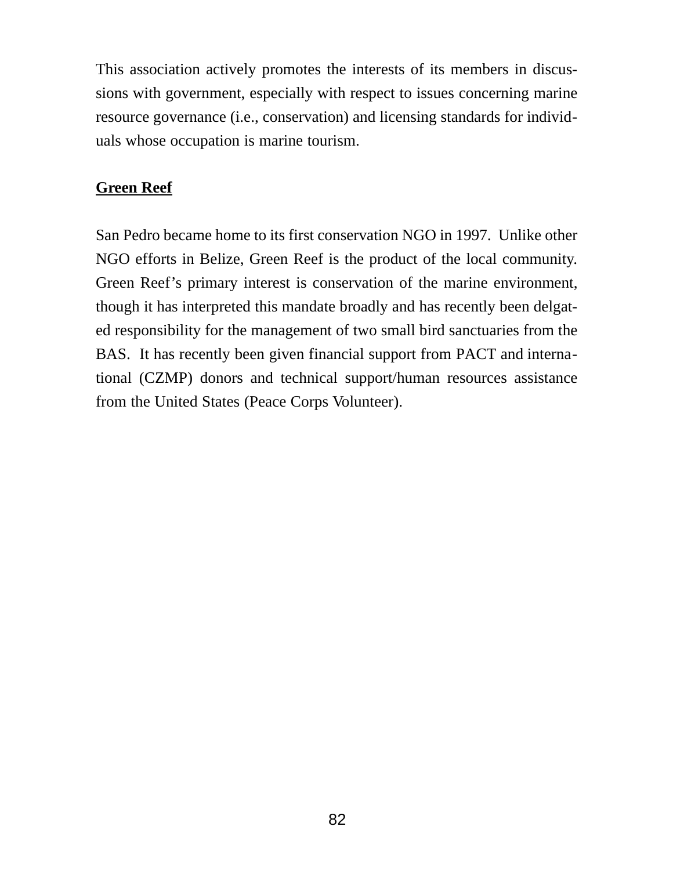This association actively promotes the interests of its members in discussions with government, especially with respect to issues concerning marine resource governance (i.e., conservation) and licensing standards for individuals whose occupation is marine tourism.

## **Green Reef**

San Pedro became home to its first conservation NGO in 1997. Unlike other NGO efforts in Belize, Green Reef is the product of the local community. Green Reef's primary interest is conservation of the marine environment, though it has interpreted this mandate broadly and has recently been delgated responsibility for the management of two small bird sanctuaries from the BAS. It has recently been given financial support from PACT and international (CZMP) donors and technical support/human resources assistance from the United States (Peace Corps Volunteer).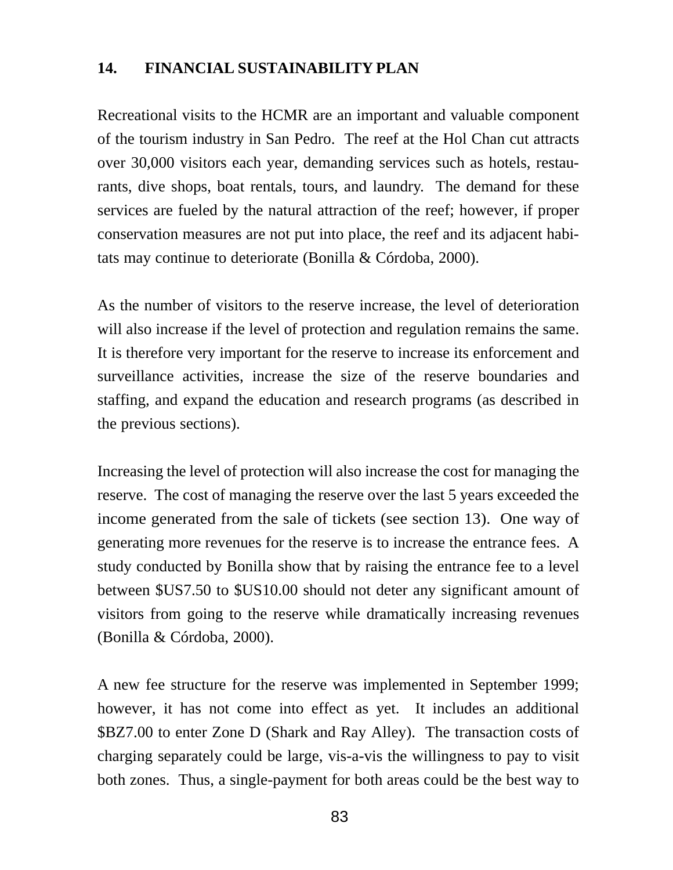## **14. FINANCIAL SUSTAINABILITY PLAN**

Recreational visits to the HCMR are an important and valuable component of the tourism industry in San Pedro. The reef at the Hol Chan cut attracts over 30,000 visitors each year, demanding services such as hotels, restaurants, dive shops, boat rentals, tours, and laundry. The demand for these services are fueled by the natural attraction of the reef; however, if proper conservation measures are not put into place, the reef and its adjacent habitats may continue to deteriorate (Bonilla & Córdoba, 2000).

As the number of visitors to the reserve increase, the level of deterioration will also increase if the level of protection and regulation remains the same. It is therefore very important for the reserve to increase its enforcement and surveillance activities, increase the size of the reserve boundaries and staffing, and expand the education and research programs (as described in the previous sections).

Increasing the level of protection will also increase the cost for managing the reserve. The cost of managing the reserve over the last 5 years exceeded the income generated from the sale of tickets (see section 13). One way of generating more revenues for the reserve is to increase the entrance fees. A study conducted by Bonilla show that by raising the entrance fee to a level between \$US7.50 to \$US10.00 should not deter any significant amount of visitors from going to the reserve while dramatically increasing revenues (Bonilla & Córdoba, 2000).

A new fee structure for the reserve was implemented in September 1999; however, it has not come into effect as yet. It includes an additional \$BZ7.00 to enter Zone D (Shark and Ray Alley). The transaction costs of charging separately could be large, vis-a-vis the willingness to pay to visit both zones. Thus, a single-payment for both areas could be the best way to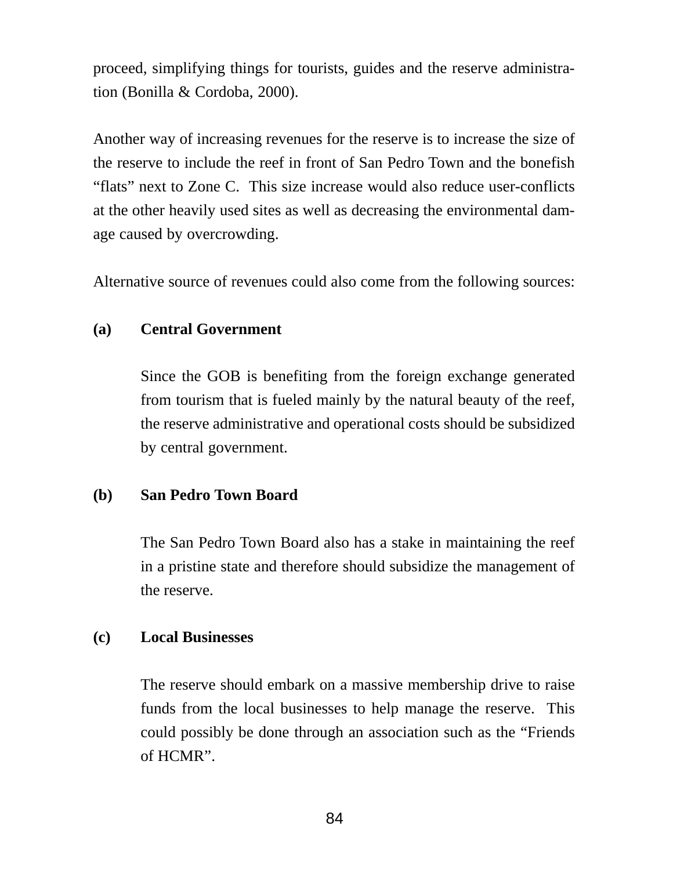proceed, simplifying things for tourists, guides and the reserve administration (Bonilla & Cordoba, 2000).

Another way of increasing revenues for the reserve is to increase the size of the reserve to include the reef in front of San Pedro Town and the bonefish "flats" next to Zone C. This size increase would also reduce user-conflicts at the other heavily used sites as well as decreasing the environmental damage caused by overcrowding.

Alternative source of revenues could also come from the following sources:

### **(a) Central Government**

Since the GOB is benefiting from the foreign exchange generated from tourism that is fueled mainly by the natural beauty of the reef, the reserve administrative and operational costs should be subsidized by central government.

### **(b) San Pedro Town Board**

The San Pedro Town Board also has a stake in maintaining the reef in a pristine state and therefore should subsidize the management of the reserve.

### **(c) Local Businesses**

The reserve should embark on a massive membership drive to raise funds from the local businesses to help manage the reserve. This could possibly be done through an association such as the "Friends of HCMR".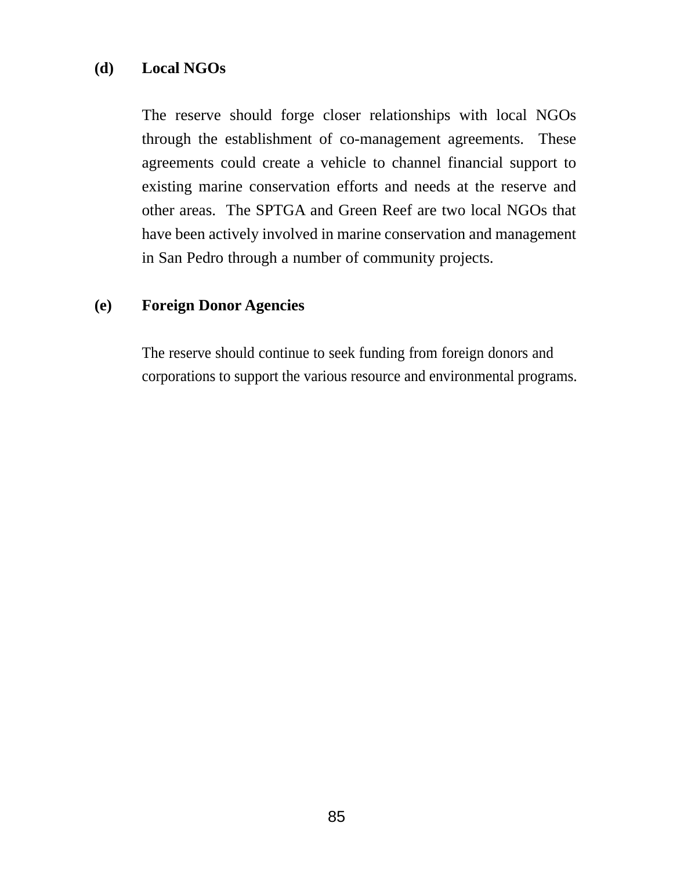### **(d) Local NGOs**

The reserve should forge closer relationships with local NGOs through the establishment of co-management agreements. These agreements could create a vehicle to channel financial support to existing marine conservation efforts and needs at the reserve and other areas. The SPTGA and Green Reef are two local NGOs that have been actively involved in marine conservation and management in San Pedro through a number of community projects.

### **(e) Foreign Donor Agencies**

The reserve should continue to seek funding from foreign donors and corporations to support the various resource and environmental programs.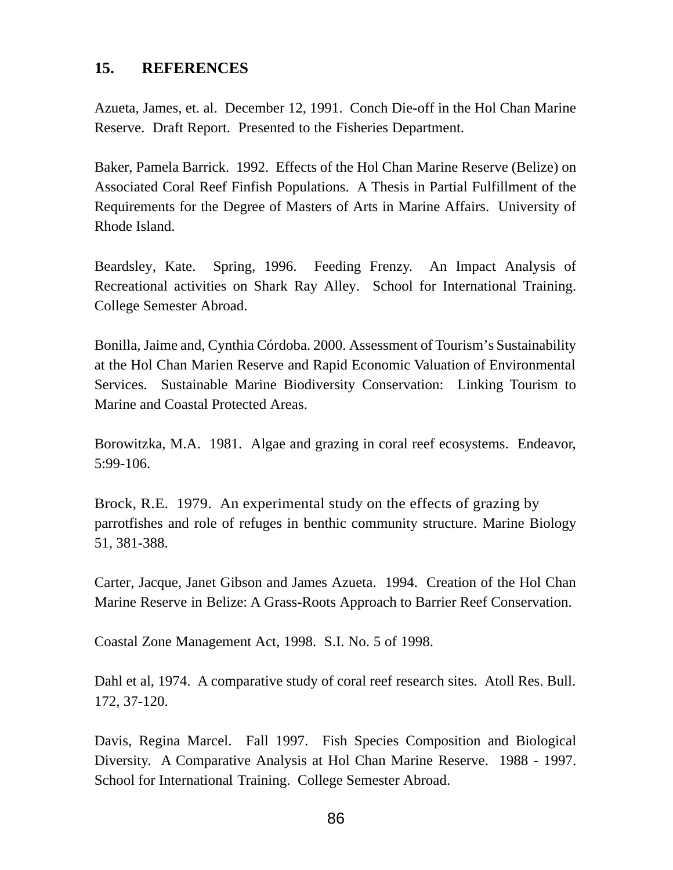### **15. REFERENCES**

Azueta, James, et. al. December 12, 1991. Conch Die-off in the Hol Chan Marine Reserve. Draft Report. Presented to the Fisheries Department.

Baker, Pamela Barrick. 1992. Effects of the Hol Chan Marine Reserve (Belize) on Associated Coral Reef Finfish Populations. A Thesis in Partial Fulfillment of the Requirements for the Degree of Masters of Arts in Marine Affairs. University of Rhode Island.

Beardsley, Kate. Spring, 1996. Feeding Frenzy. An Impact Analysis of Recreational activities on Shark Ray Alley. School for International Training. College Semester Abroad.

Bonilla, Jaime and, Cynthia Córdoba. 2000. Assessment of Tourism's Sustainability at the Hol Chan Marien Reserve and Rapid Economic Valuation of Environmental Services. Sustainable Marine Biodiversity Conservation: Linking Tourism to Marine and Coastal Protected Areas.

Borowitzka, M.A. 1981. Algae and grazing in coral reef ecosystems. Endeavor, 5:99-106.

Brock, R.E. 1979. An experimental study on the effects of grazing by parrotfishes and role of refuges in benthic community structure. Marine Biology 51, 381-388.

Carter, Jacque, Janet Gibson and James Azueta. 1994. Creation of the Hol Chan Marine Reserve in Belize: A Grass-Roots Approach to Barrier Reef Conservation.

Coastal Zone Management Act, 1998. S.I. No. 5 of 1998.

Dahl et al, 1974. A comparative study of coral reef research sites. Atoll Res. Bull. 172, 37-120.

Davis, Regina Marcel. Fall 1997. Fish Species Composition and Biological Diversity. A Comparative Analysis at Hol Chan Marine Reserve. 1988 - 1997. School for International Training. College Semester Abroad.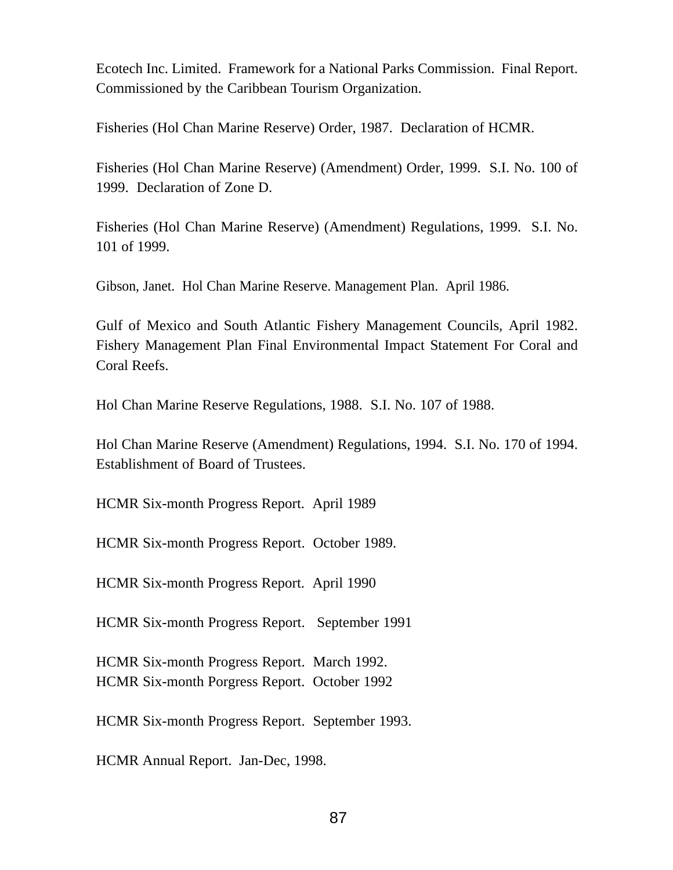Ecotech Inc. Limited. Framework for a National Parks Commission. Final Report. Commissioned by the Caribbean Tourism Organization.

Fisheries (Hol Chan Marine Reserve) Order, 1987. Declaration of HCMR.

Fisheries (Hol Chan Marine Reserve) (Amendment) Order, 1999. S.I. No. 100 of 1999. Declaration of Zone D.

Fisheries (Hol Chan Marine Reserve) (Amendment) Regulations, 1999. S.I. No. 101 of 1999.

Gibson, Janet. Hol Chan Marine Reserve. Management Plan. April 1986.

Gulf of Mexico and South Atlantic Fishery Management Councils, April 1982. Fishery Management Plan Final Environmental Impact Statement For Coral and Coral Reefs.

Hol Chan Marine Reserve Regulations, 1988. S.I. No. 107 of 1988.

Hol Chan Marine Reserve (Amendment) Regulations, 1994. S.I. No. 170 of 1994. Establishment of Board of Trustees.

HCMR Six-month Progress Report. April 1989

HCMR Six-month Progress Report. October 1989.

HCMR Six-month Progress Report. April 1990

HCMR Six-month Progress Report. September 1991

HCMR Six-month Progress Report. March 1992. HCMR Six-month Porgress Report. October 1992

HCMR Six-month Progress Report. September 1993.

HCMR Annual Report. Jan-Dec, 1998.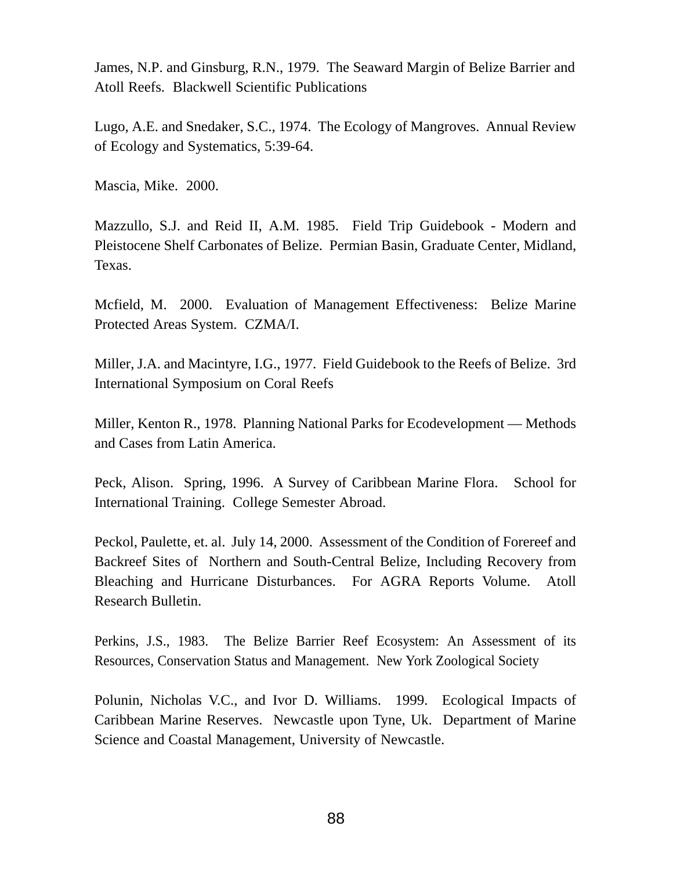James, N.P. and Ginsburg, R.N., 1979. The Seaward Margin of Belize Barrier and Atoll Reefs. Blackwell Scientific Publications

Lugo, A.E. and Snedaker, S.C., 1974. The Ecology of Mangroves. Annual Review of Ecology and Systematics, 5:39-64.

Mascia, Mike. 2000.

Mazzullo, S.J. and Reid II, A.M. 1985. Field Trip Guidebook - Modern and Pleistocene Shelf Carbonates of Belize. Permian Basin, Graduate Center, Midland, Texas.

Mcfield, M. 2000. Evaluation of Management Effectiveness: Belize Marine Protected Areas System. CZMA/I.

Miller, J.A. and Macintyre, I.G., 1977. Field Guidebook to the Reefs of Belize. 3rd International Symposium on Coral Reefs

Miller, Kenton R., 1978. Planning National Parks for Ecodevelopment — Methods and Cases from Latin America.

Peck, Alison. Spring, 1996. A Survey of Caribbean Marine Flora. School for International Training. College Semester Abroad.

Peckol, Paulette, et. al. July 14, 2000. Assessment of the Condition of Forereef and Backreef Sites of Northern and South-Central Belize, Including Recovery from Bleaching and Hurricane Disturbances. For AGRA Reports Volume. Atoll Research Bulletin.

Perkins, J.S., 1983. The Belize Barrier Reef Ecosystem: An Assessment of its Resources, Conservation Status and Management. New York Zoological Society

Polunin, Nicholas V.C., and Ivor D. Williams. 1999. Ecological Impacts of Caribbean Marine Reserves. Newcastle upon Tyne, Uk. Department of Marine Science and Coastal Management, University of Newcastle.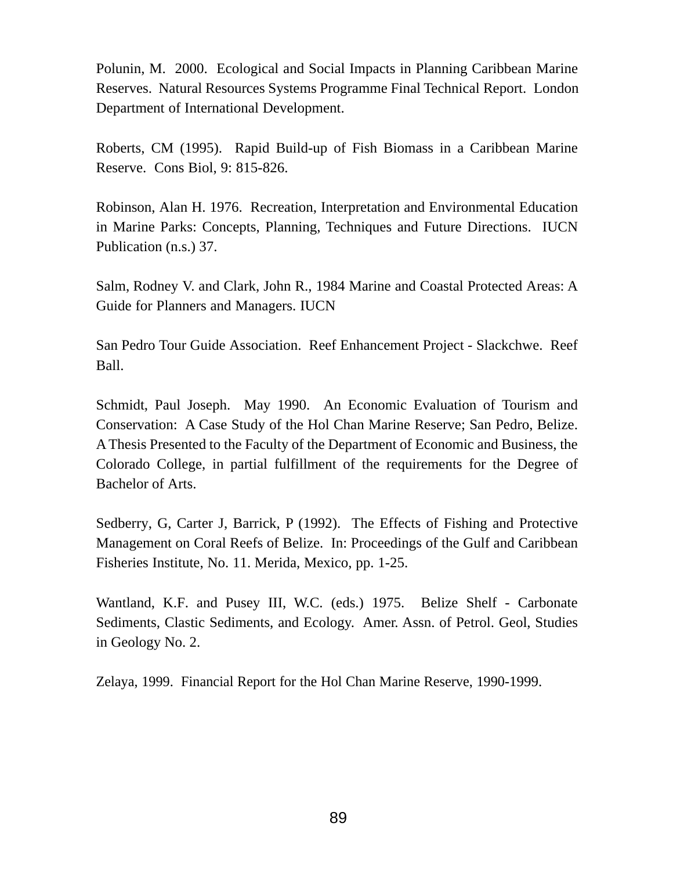Polunin, M. 2000. Ecological and Social Impacts in Planning Caribbean Marine Reserves. Natural Resources Systems Programme Final Technical Report. London Department of International Development.

Roberts, CM (1995). Rapid Build-up of Fish Biomass in a Caribbean Marine Reserve. Cons Biol, 9: 815-826.

Robinson, Alan H. 1976. Recreation, Interpretation and Environmental Education in Marine Parks: Concepts, Planning, Techniques and Future Directions. IUCN Publication (n.s.) 37.

Salm, Rodney V. and Clark, John R., 1984 Marine and Coastal Protected Areas: A Guide for Planners and Managers. IUCN

San Pedro Tour Guide Association. Reef Enhancement Project - Slackchwe. Reef Ball.

Schmidt, Paul Joseph. May 1990. An Economic Evaluation of Tourism and Conservation: A Case Study of the Hol Chan Marine Reserve; San Pedro, Belize. AThesis Presented to the Faculty of the Department of Economic and Business, the Colorado College, in partial fulfillment of the requirements for the Degree of Bachelor of Arts.

Sedberry, G, Carter J, Barrick, P (1992). The Effects of Fishing and Protective Management on Coral Reefs of Belize. In: Proceedings of the Gulf and Caribbean Fisheries Institute, No. 11. Merida, Mexico, pp. 1-25.

Wantland, K.F. and Pusey III, W.C. (eds.) 1975. Belize Shelf - Carbonate Sediments, Clastic Sediments, and Ecology. Amer. Assn. of Petrol. Geol, Studies in Geology No. 2.

Zelaya, 1999. Financial Report for the Hol Chan Marine Reserve, 1990-1999.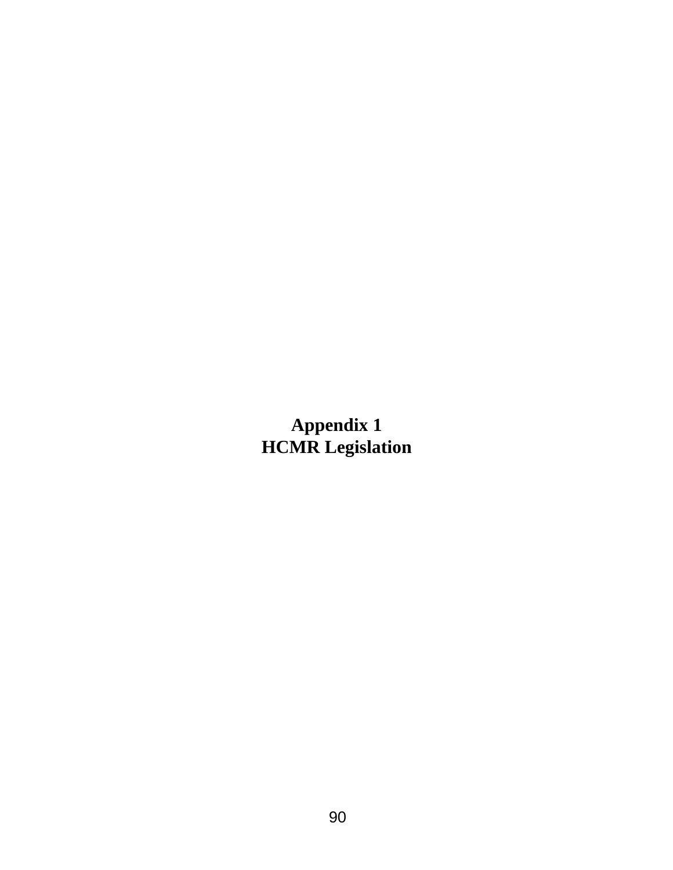**Appendix 1 HCMR Legislation**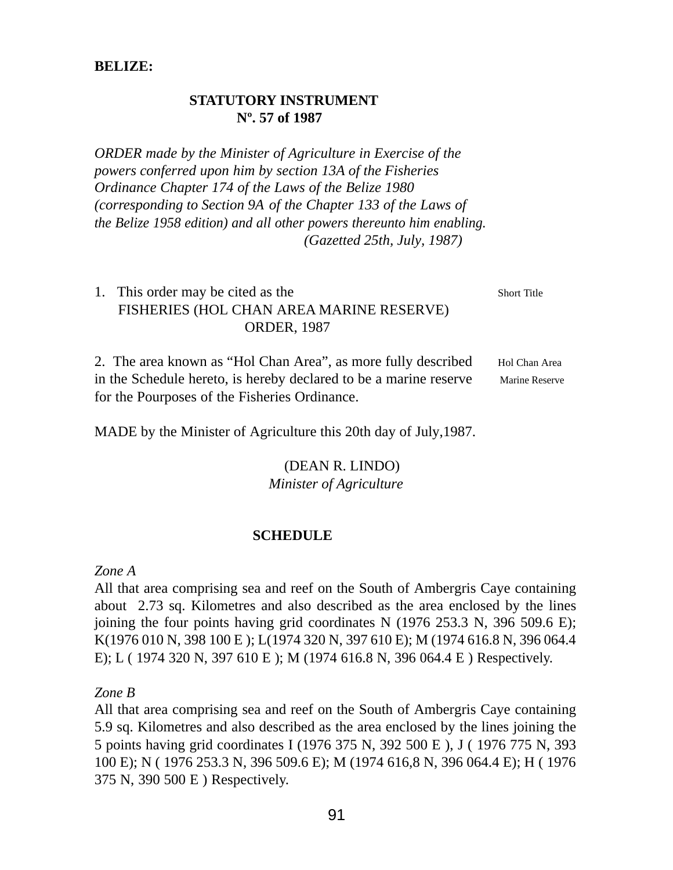#### **BELIZE:**

#### **STATUTORY INSTRUMENT Nº. 57 of 1987**

*ORDER made by the Minister of Agriculture in Exercise of the powers conferred upon him by section 13A of the Fisheries Ordinance Chapter 174 of the Laws of the Belize 1980 (corresponding to Section 9A of the Chapter 133 of the Laws of the Belize 1958 edition) and all other powers thereunto him enabling. (Gazetted 25th, July, 1987)*

## 1. This order may be cited as the Short Title FISHERIES (HOL CHAN AREA MARINE RESERVE) ORDER, 1987

2. The area known as "Hol Chan Area", as more fully described Hol Chan Area in the Schedule hereto, is hereby declared to be a marine reserve Marine Reserve for the Pourposes of the Fisheries Ordinance.

MADE by the Minister of Agriculture this 20th day of July,1987.

#### (DEAN R. LINDO) *Minister of Agriculture*

### **SCHEDULE**

#### *Zone A*

All that area comprising sea and reef on the South of Ambergris Caye containing about 2.73 sq. Kilometres and also described as the area enclosed by the lines joining the four points having grid coordinates N (1976 253.3 N, 396 509.6 E); K(1976 010 N, 398 100 E ); L(1974 320 N, 397 610 E); M (1974 616.8 N, 396 064.4 E); L ( 1974 320 N, 397 610 E ); M (1974 616.8 N, 396 064.4 E ) Respectively.

*Zone B*

All that area comprising sea and reef on the South of Ambergris Caye containing 5.9 sq. Kilometres and also described as the area enclosed by the lines joining the 5 points having grid coordinates I (1976 375 N, 392 500 E ), J ( 1976 775 N, 393 100 E); N ( 1976 253.3 N, 396 509.6 E); M (1974 616,8 N, 396 064.4 E); H ( 1976 375 N, 390 500 E ) Respectively.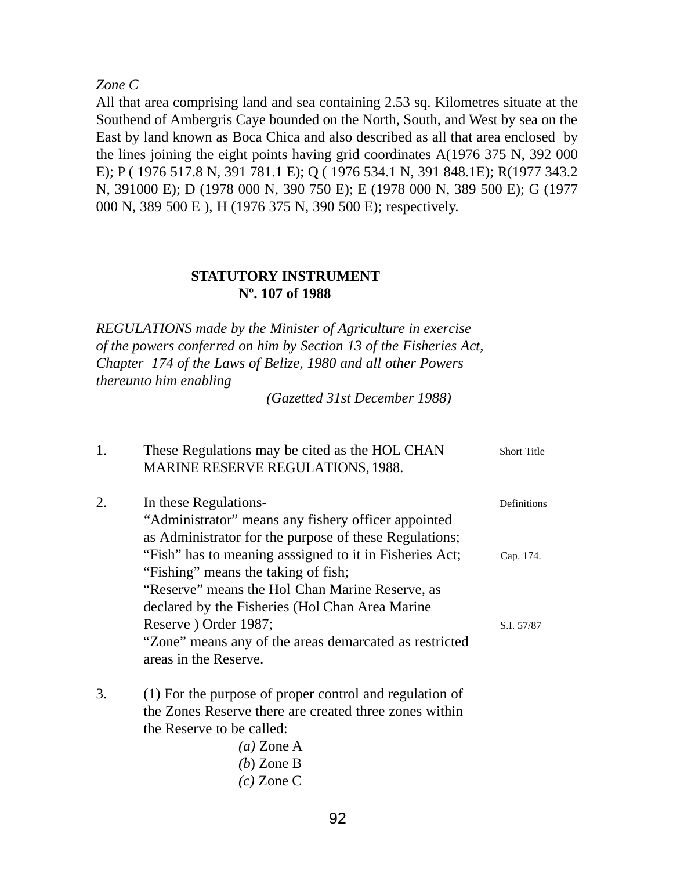#### *Zone C*

All that area comprising land and sea containing 2.53 sq. Kilometres situate at the Southend of Ambergris Caye bounded on the North, South, and West by sea on the East by land known as Boca Chica and also described as all that area enclosed by the lines joining the eight points having grid coordinates A(1976 375 N, 392 000 E); P ( 1976 517.8 N, 391 781.1 E); Q ( 1976 534.1 N, 391 848.1E); R(1977 343.2 N, 391000 E); D (1978 000 N, 390 750 E); E (1978 000 N, 389 500 E); G (1977 000 N, 389 500 E ), H (1976 375 N, 390 500 E); respectively.

### **STATUTORY INSTRUMENT Nº. 107 of 1988**

*REGULATIONS made by the Minister of Agriculture in exercise of the powers conferred on him by Section 13 of the Fisheries Act, Chapter 174 of the Laws of Belize, 1980 and all other Powers thereunto him enabling*

*(Gazetted 31st December 1988)*

| 1. | These Regulations may be cited as the HOL CHAN<br><b>MARINE RESERVE REGULATIONS, 1988.</b> | <b>Short Title</b> |
|----|--------------------------------------------------------------------------------------------|--------------------|
| 2. | In these Regulations-                                                                      | Definitions        |
|    | "Administrator" means any fishery officer appointed                                        |                    |
|    | as Administrator for the purpose of these Regulations;                                     |                    |
|    | "Fish" has to meaning asssigned to it in Fisheries Act;                                    | Cap. 174.          |
|    | "Fishing" means the taking of fish;                                                        |                    |
|    | "Reserve" means the Hol Chan Marine Reserve, as                                            |                    |
|    | declared by the Fisheries (Hol Chan Area Marine                                            |                    |
|    | Reserve ) Order 1987;                                                                      | S.I. 57/87         |
|    | "Zone" means any of the areas demarcated as restricted                                     |                    |
|    | areas in the Reserve.                                                                      |                    |
| 3. | (1) For the purpose of proper control and regulation of                                    |                    |
|    | the Zones Reserve there are created three zones within                                     |                    |
|    | the Reserve to be called:                                                                  |                    |
|    | $(a)$ Zone A                                                                               |                    |
|    | $(b)$ Zone B                                                                               |                    |
|    | $(c)$ Zone C                                                                               |                    |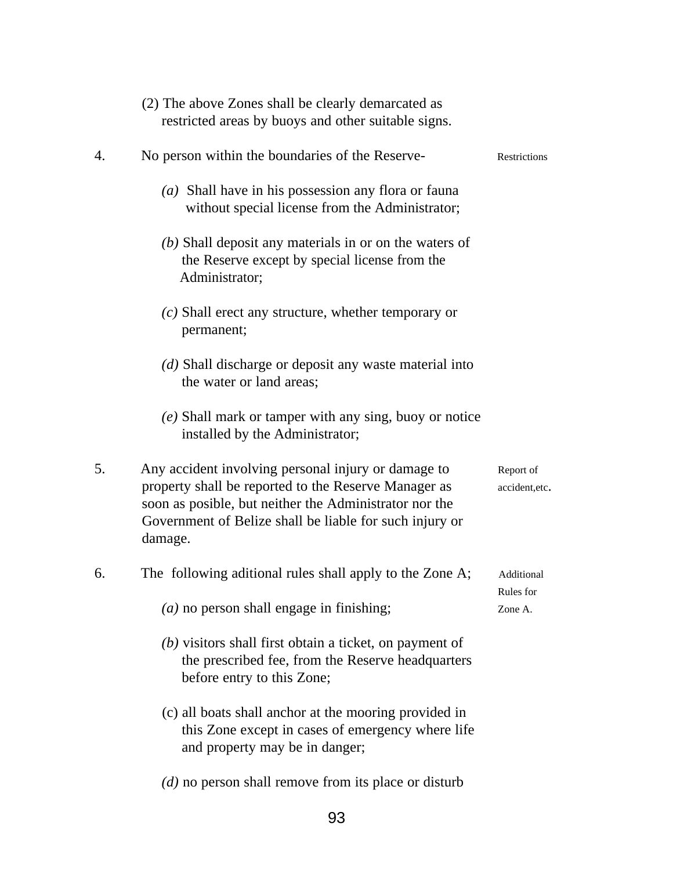|    | (2) The above Zones shall be clearly demarcated as<br>restricted areas by buoys and other suitable signs.                                                                                                                                   |                             |
|----|---------------------------------------------------------------------------------------------------------------------------------------------------------------------------------------------------------------------------------------------|-----------------------------|
| 4. | No person within the boundaries of the Reserve-                                                                                                                                                                                             | Restrictions                |
|    | (a) Shall have in his possession any flora or fauna<br>without special license from the Administrator;                                                                                                                                      |                             |
|    | $(b)$ Shall deposit any materials in or on the waters of<br>the Reserve except by special license from the<br>Administrator;                                                                                                                |                             |
|    | $(c)$ Shall erect any structure, whether temporary or<br>permanent;                                                                                                                                                                         |                             |
|    | $(d)$ Shall discharge or deposit any waste material into<br>the water or land areas;                                                                                                                                                        |                             |
|    | (e) Shall mark or tamper with any sing, buoy or notice<br>installed by the Administrator;                                                                                                                                                   |                             |
| 5. | Any accident involving personal injury or damage to<br>property shall be reported to the Reserve Manager as<br>soon as posible, but neither the Administrator nor the<br>Government of Belize shall be liable for such injury or<br>damage. | Report of<br>accident, etc. |
| 6. | The following aditional rules shall apply to the Zone A;                                                                                                                                                                                    | Additional<br>Rules for     |
|    | $(a)$ no person shall engage in finishing;                                                                                                                                                                                                  | Zone A.                     |
|    | $(b)$ visitors shall first obtain a ticket, on payment of<br>the prescribed fee, from the Reserve headquarters<br>before entry to this Zone;                                                                                                |                             |
|    | (c) all boats shall anchor at the mooring provided in<br>this Zone except in cases of emergency where life<br>and property may be in danger;                                                                                                |                             |
|    | $(d)$ no person shall remove from its place or disturb                                                                                                                                                                                      |                             |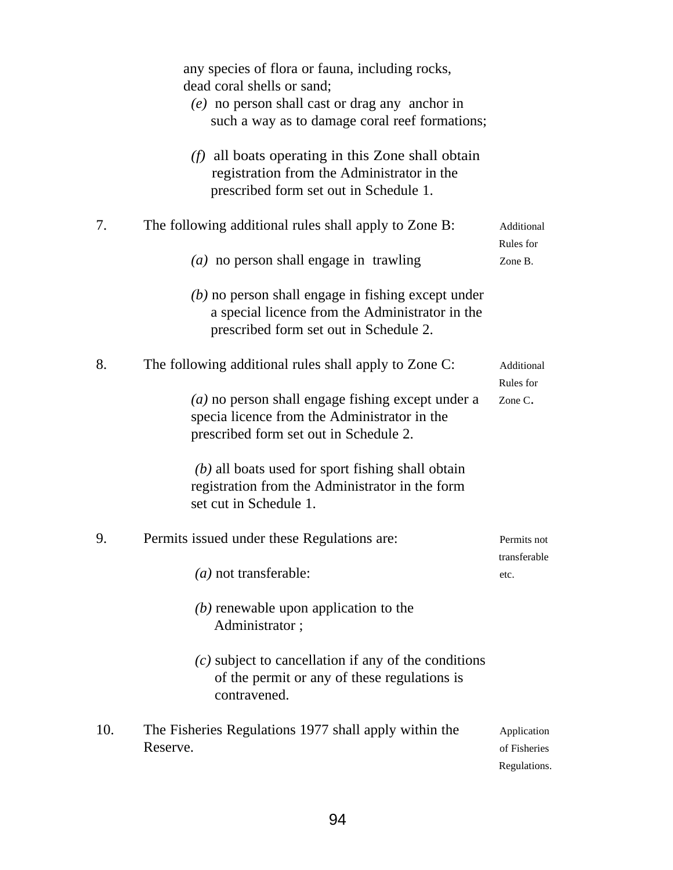|     | any species of flora or fauna, including rocks,<br>dead coral shells or sand;<br>$(e)$ no person shall cast or drag any anchor in<br>such a way as to damage coral reef formations; |                                             |
|-----|-------------------------------------------------------------------------------------------------------------------------------------------------------------------------------------|---------------------------------------------|
|     | $(f)$ all boats operating in this Zone shall obtain<br>registration from the Administrator in the<br>prescribed form set out in Schedule 1.                                         |                                             |
| 7.  | The following additional rules shall apply to Zone B:                                                                                                                               | Additional<br>Rules for                     |
|     | $(a)$ no person shall engage in trawling                                                                                                                                            | Zone B.                                     |
|     | $(b)$ no person shall engage in fishing except under<br>a special licence from the Administrator in the<br>prescribed form set out in Schedule 2.                                   |                                             |
| 8.  | The following additional rules shall apply to Zone C:                                                                                                                               | Additional<br>Rules for                     |
|     | $(a)$ no person shall engage fishing except under a<br>specia licence from the Administrator in the<br>prescribed form set out in Schedule 2.                                       | Zone C.                                     |
|     | $(b)$ all boats used for sport fishing shall obtain<br>registration from the Administrator in the form<br>set cut in Schedule 1.                                                    |                                             |
| 9.  | Permits issued under these Regulations are:                                                                                                                                         | Permits not<br>transferable                 |
|     | $(a)$ not transferable:                                                                                                                                                             | etc.                                        |
|     | $(b)$ renewable upon application to the<br>Administrator;                                                                                                                           |                                             |
|     | $(c)$ subject to cancellation if any of the conditions<br>of the permit or any of these regulations is<br>contravened.                                                              |                                             |
| 10. | The Fisheries Regulations 1977 shall apply within the<br>Reserve.                                                                                                                   | Application<br>of Fisheries<br>Regulations. |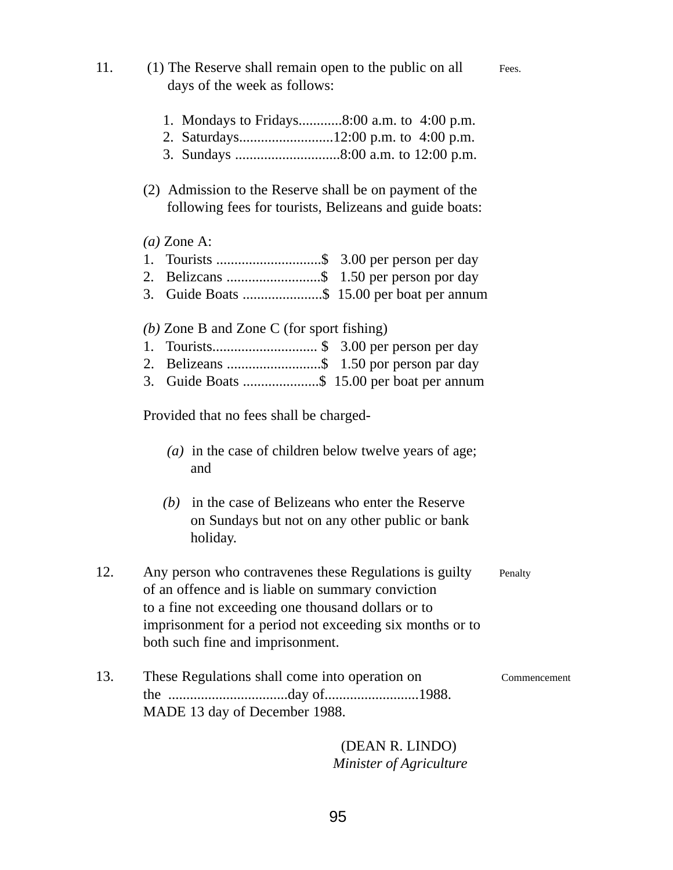| 11. | (1) The Reserve shall remain open to the public on all<br>days of the week as follows:                                                                                                                                                                            | Fees.        |
|-----|-------------------------------------------------------------------------------------------------------------------------------------------------------------------------------------------------------------------------------------------------------------------|--------------|
|     | 1. Mondays to Fridays8:00 a.m. to 4:00 p.m.                                                                                                                                                                                                                       |              |
|     | (2) Admission to the Reserve shall be on payment of the<br>following fees for tourists, Belizeans and guide boats:                                                                                                                                                |              |
|     | $(a)$ Zone A:<br>3. Guide Boats \$ 15.00 per boat per annum                                                                                                                                                                                                       |              |
|     | (b) Zone B and Zone C (for sport fishing)<br>1.<br>3. Guide Boats \$ 15.00 per boat per annum                                                                                                                                                                     |              |
|     | Provided that no fees shall be charged-                                                                                                                                                                                                                           |              |
|     | ( <i>a</i> ) in the case of children below twelve years of age;<br>and                                                                                                                                                                                            |              |
|     | in the case of Belizeans who enter the Reserve<br>(b)<br>on Sundays but not on any other public or bank<br>holiday.                                                                                                                                               |              |
| 12. | Any person who contravenes these Regulations is guilty<br>of an offence and is liable on summary conviction<br>to a fine not exceeding one thousand dollars or to<br>imprisonment for a period not exceeding six months or to<br>both such fine and imprisonment. | Penalty      |
| 13. | These Regulations shall come into operation on<br>MADE 13 day of December 1988.                                                                                                                                                                                   | Commencement |
|     | (DEAN R. LINDO)                                                                                                                                                                                                                                                   |              |

*Minister of Agriculture*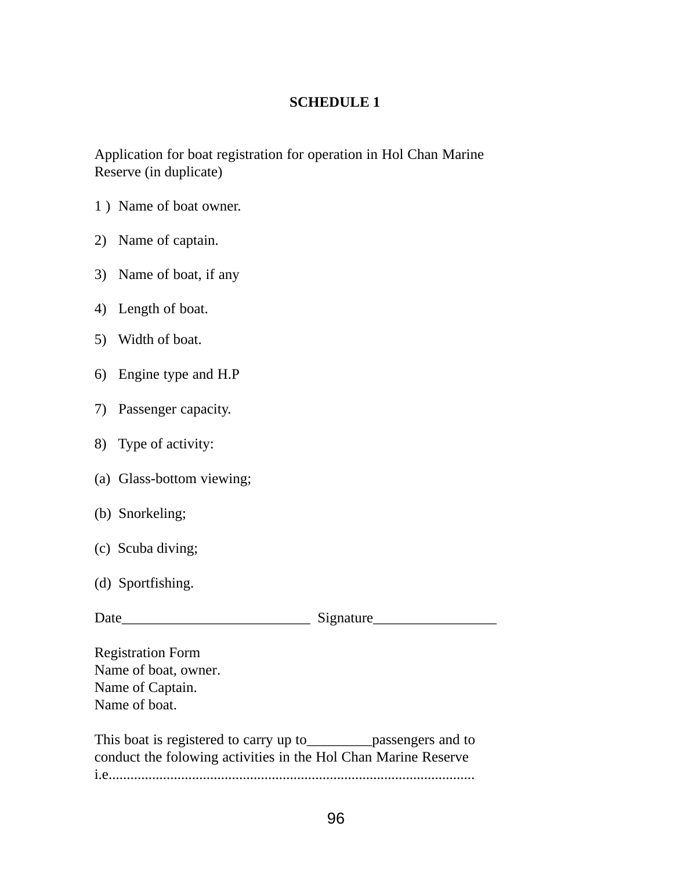### **SCHEDULE 1**

Application for boat registration for operation in Hol Chan Marine Reserve (in duplicate)

- 1 ) Name of boat owner.
- 2) Name of captain.
- 3) Name of boat, if any
- 4) Length of boat.
- 5) Width of boat.
- 6) Engine type and H.P
- 7) Passenger capacity.
- 8) Type of activity:
- (a) Glass-bottom viewing;
- (b) Snorkeling;
- (c) Scuba diving;
- (d) Sportfishing.

Date\_\_\_\_\_\_\_\_\_\_\_\_\_\_\_\_\_\_\_\_\_\_\_\_\_\_ Signature\_\_\_\_\_\_\_\_\_\_\_\_\_\_\_\_\_

Registration Form Name of boat, owner. Name of Captain. Name of boat.

This boat is registered to carry up to\_\_\_\_\_\_\_\_\_passengers and to conduct the folowing activities in the Hol Chan Marine Reserve i.e.....................................................................................................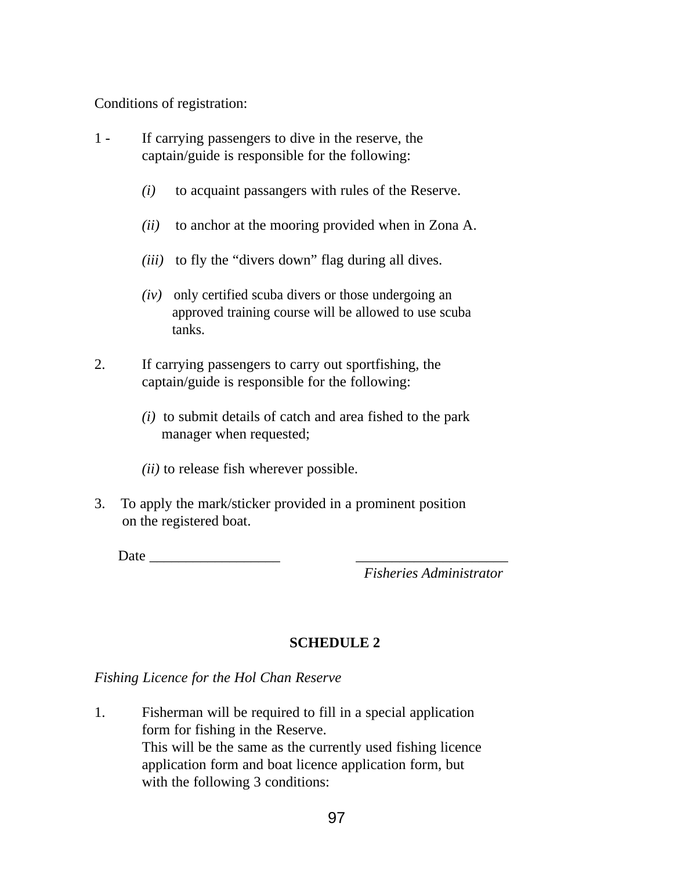Conditions of registration:

- 1 If carrying passengers to dive in the reserve, the captain/guide is responsible for the following:
	- *(i)* to acquaint passangers with rules of the Reserve.
	- *(ii)* to anchor at the mooring provided when in Zona A.
	- *(iii)* to fly the "divers down" flag during all dives.
	- *(iv)* only certified scuba divers or those undergoing an approved training course will be allowed to use scuba tanks.
- 2. If carrying passengers to carry out sportfishing, the captain/guide is responsible for the following:
	- *(i)* to submit details of catch and area fished to the park manager when requested;
	- *(ii)* to release fish wherever possible.
- 3. To apply the mark/sticker provided in a prominent position on the registered boat.

Date  $\qquad \qquad$ 

*Fisheries Administrator*

### **SCHEDULE 2**

### *Fishing Licence for the Hol Chan Reserve*

1. Fisherman will be required to fill in a special application form for fishing in the Reserve. This will be the same as the currently used fishing licence application form and boat licence application form, but with the following 3 conditions: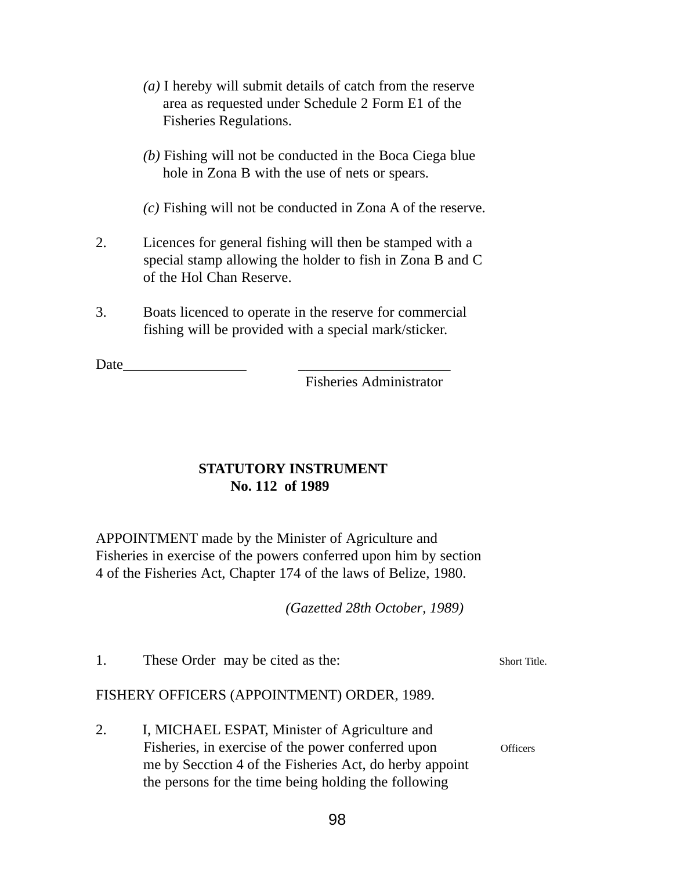- *(a)* I hereby will submit details of catch from the reserve area as requested under Schedule 2 Form E1 of the Fisheries Regulations.
- *(b)* Fishing will not be conducted in the Boca Ciega blue hole in Zona B with the use of nets or spears.
- *(c)* Fishing will not be conducted in Zona A of the reserve.
- 2. Licences for general fishing will then be stamped with a special stamp allowing the holder to fish in Zona B and C of the Hol Chan Reserve.
- 3. Boats licenced to operate in the reserve for commercial fishing will be provided with a special mark/sticker.

Date

Fisheries Administrator

### **STATUTORY INSTRUMENT No. 112 of 1989**

APPOINTMENT made by the Minister of Agriculture and Fisheries in exercise of the powers conferred upon him by section 4 of the Fisheries Act, Chapter 174 of the laws of Belize, 1980.

*(Gazetted 28th October, 1989)*

1. These Order may be cited as the: Short Title.

### FISHERY OFFICERS (APPOINTMENT) ORDER, 1989.

2. I, MICHAEL ESPAT, Minister of Agriculture and Fisheries, in exercise of the power conferred upon officers me by Secction 4 of the Fisheries Act, do herby appoint the persons for the time being holding the following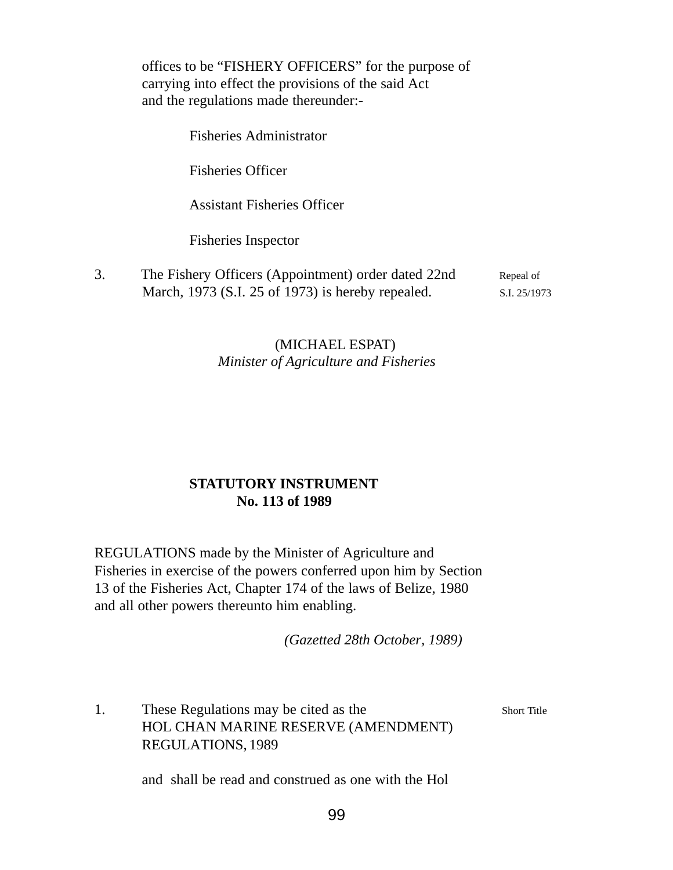offices to be "FISHERY OFFICERS" for the purpose of carrying into effect the provisions of the said Act and the regulations made thereunder:-

Fisheries Administrator

Fisheries Officer

Assistant Fisheries Officer

Fisheries Inspector

3. The Fishery Officers (Appointment) order dated 22nd Repeal of March, 1973 (S.I. 25 of 1973) is hereby repealed. S.I. 25/1973

### (MICHAEL ESPAT) *Minister of Agriculture and Fisheries*

### **STATUTORY INSTRUMENT No. 113 of 1989**

REGULATIONS made by the Minister of Agriculture and Fisheries in exercise of the powers conferred upon him by Section 13 of the Fisheries Act, Chapter 174 of the laws of Belize, 1980 and all other powers thereunto him enabling.

*(Gazetted 28th October, 1989)*

1. These Regulations may be cited as the Short Title HOL CHAN MARINE RESERVE (AMENDMENT) REGULATIONS, 1989

and shall be read and construed as one with the Hol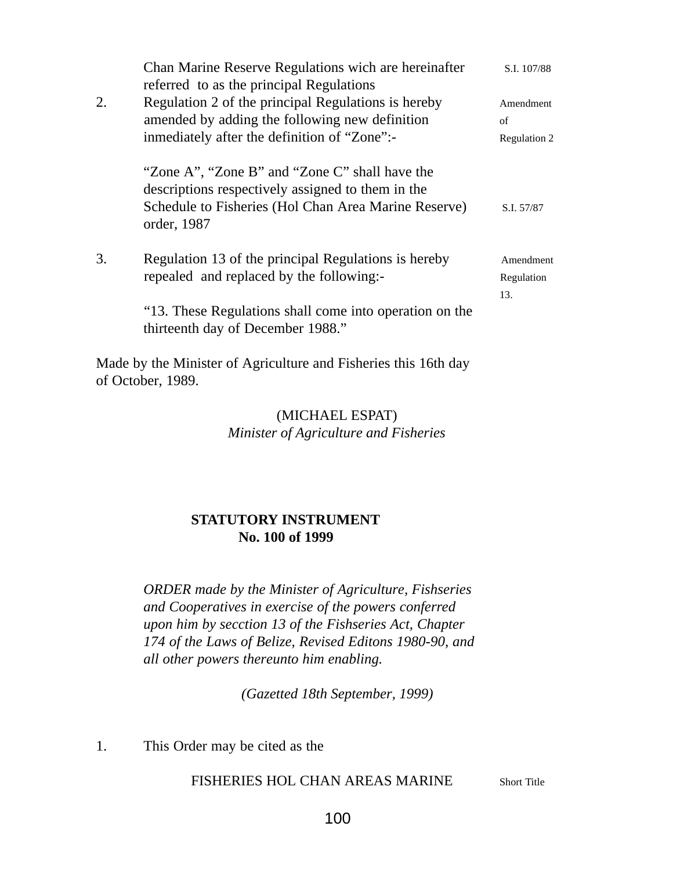|    | Chan Marine Reserve Regulations wich are hereinafter                                                | S.I. 107/88  |
|----|-----------------------------------------------------------------------------------------------------|--------------|
|    | referred to as the principal Regulations                                                            |              |
| 2. | Regulation 2 of the principal Regulations is hereby                                                 | Amendment    |
|    | amended by adding the following new definition                                                      | of           |
|    | inmediately after the definition of "Zone":-                                                        | Regulation 2 |
|    | "Zone A", "Zone B" and "Zone C" shall have the<br>descriptions respectively assigned to them in the |              |
|    | Schedule to Fisheries (Hol Chan Area Marine Reserve)<br>order, 1987                                 | S.I. 57/87   |
| 3. | Regulation 13 of the principal Regulations is hereby                                                | Amendment    |
|    | repealed and replaced by the following:-                                                            | Regulation   |
|    |                                                                                                     | 13.          |
|    | "13. These Regulations shall come into operation on the<br>thirteenth day of December 1988."        |              |
|    |                                                                                                     |              |

Made by the Minister of Agriculture and Fisheries this 16th day of October, 1989.

### (MICHAEL ESPAT) *Minister of Agriculture and Fisheries*

### **STATUTORY INSTRUMENT No. 100 of 1999**

*ORDER made by the Minister of Agriculture, Fishseries and Cooperatives in exercise of the powers conferred upon him by secction 13 of the Fishseries Act, Chapter 174 of the Laws of Belize, Revised Editons 1980-90, and all other powers thereunto him enabling.*

*(Gazetted 18th September, 1999)*

1. This Order may be cited as the

### FISHERIES HOL CHAN AREAS MARINE Short Title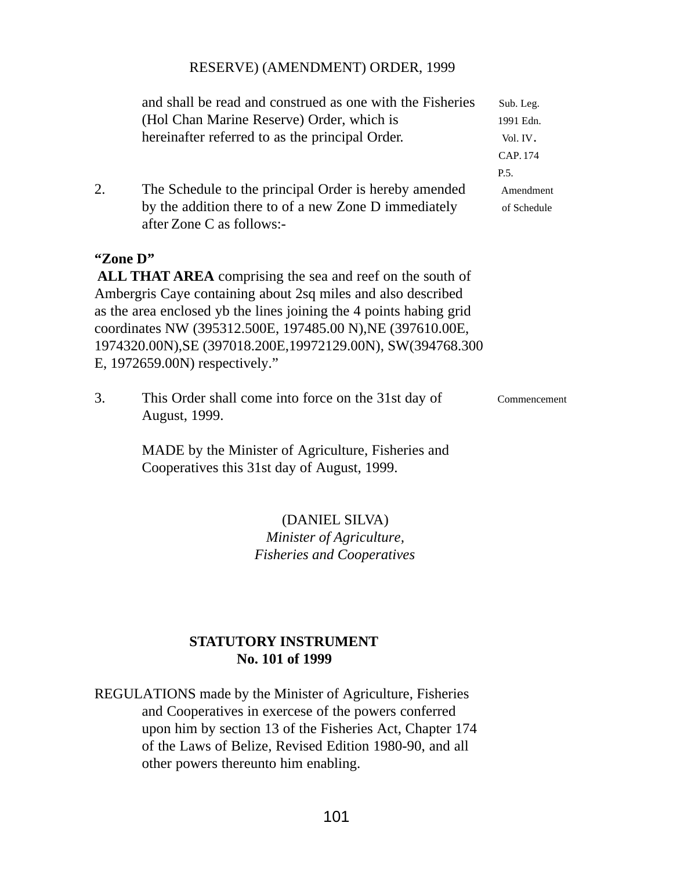#### RESERVE) (AMENDMENT) ORDER, 1999

|          | and shall be read and construed as one with the Fisheries                                                                                                                                                                                                                                         | Sub. Leg.    |
|----------|---------------------------------------------------------------------------------------------------------------------------------------------------------------------------------------------------------------------------------------------------------------------------------------------------|--------------|
|          | (Hol Chan Marine Reserve) Order, which is                                                                                                                                                                                                                                                         | 1991 Edn.    |
|          | hereinafter referred to as the principal Order.                                                                                                                                                                                                                                                   | Vol. IV.     |
|          |                                                                                                                                                                                                                                                                                                   | CAP. 174     |
|          |                                                                                                                                                                                                                                                                                                   | P.5.         |
| 2.       | The Schedule to the principal Order is hereby amended                                                                                                                                                                                                                                             | Amendment    |
|          | by the addition there to of a new Zone D immediately<br>after Zone C as follows:-                                                                                                                                                                                                                 | of Schedule  |
| "Zone D" | ALL THAT AREA comprising the sea and reef on the south of                                                                                                                                                                                                                                         |              |
|          | Ambergris Caye containing about 2sq miles and also described<br>as the area enclosed yb the lines joining the 4 points habing grid<br>coordinates NW (395312.500E, 197485.00 N), NE (397610.00E,<br>1974320.00N), SE (397018.200E, 19972129.00N), SW(394768.300<br>E, 1972659.00N) respectively." |              |
| 3.       | This Order shall come into force on the 31st day of<br>August, 1999.                                                                                                                                                                                                                              | Commencement |
|          | MADE by the Minister of Agriculture, Fisheries and<br>Cooperatives this 31st day of August, 1999.                                                                                                                                                                                                 |              |

## (DANIEL SILVA) *Minister of Agriculture, Fisheries and Cooperatives*

## **STATUTORY INSTRUMENT No. 101 of 1999**

REGULATIONS made by the Minister of Agriculture, Fisheries and Cooperatives in exercese of the powers conferred upon him by section 13 of the Fisheries Act, Chapter 174 of the Laws of Belize, Revised Edition 1980-90, and all other powers thereunto him enabling.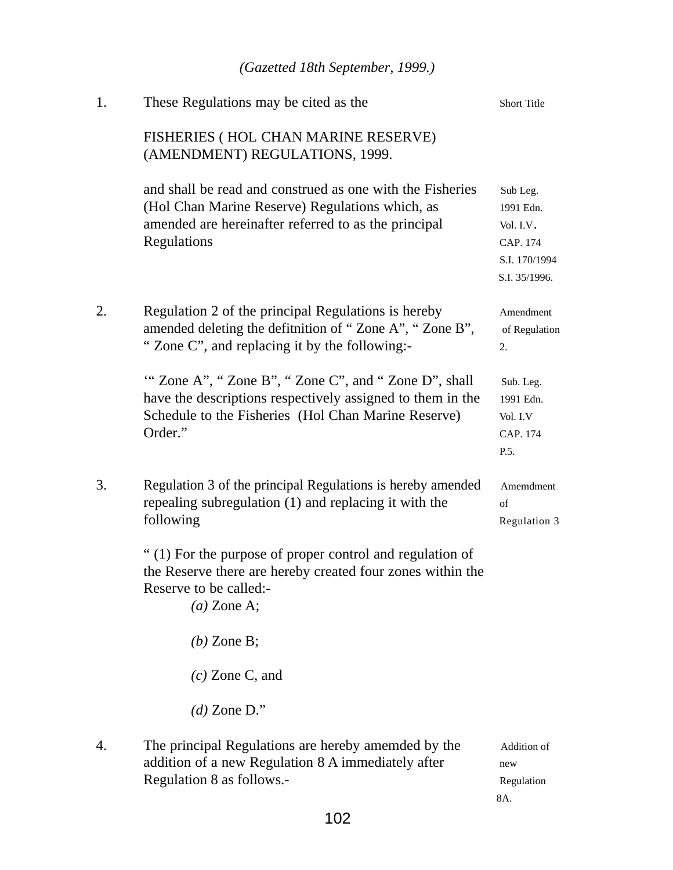|    | (Gazetted 18th September, 1999.)                                                                                                                                                    |                                                                                  |
|----|-------------------------------------------------------------------------------------------------------------------------------------------------------------------------------------|----------------------------------------------------------------------------------|
| 1. | These Regulations may be cited as the                                                                                                                                               | Short Title                                                                      |
|    | FISHERIES (HOL CHAN MARINE RESERVE)<br>(AMENDMENT) REGULATIONS, 1999.                                                                                                               |                                                                                  |
|    | and shall be read and construed as one with the Fisheries<br>(Hol Chan Marine Reserve) Regulations which, as<br>amended are hereinafter referred to as the principal<br>Regulations | Sub Leg.<br>1991 Edn.<br>Vol. I.V.<br>CAP. 174<br>S.I. 170/1994<br>S.I. 35/1996. |
| 2. | Regulation 2 of the principal Regulations is hereby<br>amended deleting the defitnition of "Zone A", "Zone B",<br>"Zone C", and replacing it by the following:-                     | Amendment<br>of Regulation<br>2.                                                 |
|    | "Zone A", "Zone B", "Zone C", and "Zone D", shall<br>have the descriptions respectively assigned to them in the<br>Schedule to the Fisheries (Hol Chan Marine Reserve)<br>Order."   | Sub. Leg.<br>1991 Edn.<br>Vol. I.V<br>CAP. 174<br>P.5.                           |
| 3. | Regulation 3 of the principal Regulations is hereby amended<br>repealing subregulation (1) and replacing it with the<br>following                                                   | Amemdment<br>of<br>Regulation 3                                                  |
|    | "(1) For the purpose of proper control and regulation of<br>the Reserve there are hereby created four zones within the<br>Reserve to be called:-<br>$(a)$ Zone A;                   |                                                                                  |
|    | $(b)$ Zone B;                                                                                                                                                                       |                                                                                  |
|    | $(c)$ Zone C, and                                                                                                                                                                   |                                                                                  |
|    | $(d)$ Zone D."                                                                                                                                                                      |                                                                                  |
| 4. | The principal Regulations are hereby amemded by the<br>addition of a new Regulation 8 A immediately after<br>Regulation 8 as follows.-                                              | Addition of<br>new<br>Regulation                                                 |

8A.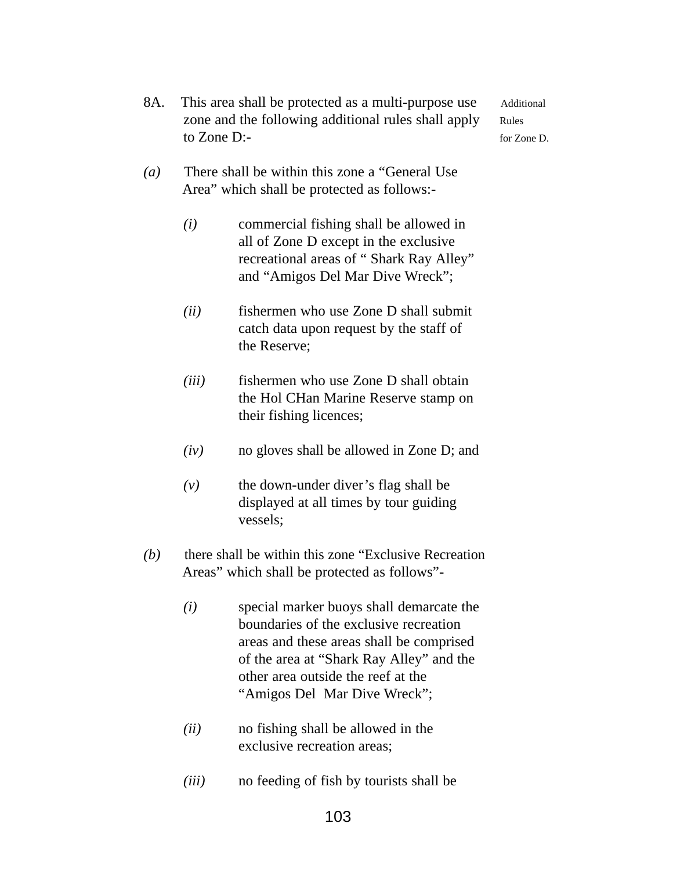- 8A. This area shall be protected as a multi-purpose use Additional zone and the following additional rules shall apply Rules to Zone D:- for Zone D.
- *(a)* There shall be within this zone a "General Use Area" which shall be protected as follows:-
	- *(i)* commercial fishing shall be allowed in all of Zone D except in the exclusive recreational areas of " Shark Ray Alley" and "Amigos Del Mar Dive Wreck";
	- *(ii)* fishermen who use Zone D shall submit catch data upon request by the staff of the Reserve;
	- *(iii)* fishermen who use Zone D shall obtain the Hol CHan Marine Reserve stamp on their fishing licences;
	- *(iv)* no gloves shall be allowed in Zone D; and
	- $(v)$  the down-under diver's flag shall be displayed at all times by tour guiding vessels;
- *(b)* there shall be within this zone "Exclusive Recreation Areas" which shall be protected as follows"-
	- *(i)* special marker buoys shall demarcate the boundaries of the exclusive recreation areas and these areas shall be comprised of the area at "Shark Ray Alley" and the other area outside the reef at the "Amigos Del Mar Dive Wreck";
	- *(ii)* no fishing shall be allowed in the exclusive recreation areas;
	- *(iii)* no feeding of fish by tourists shall be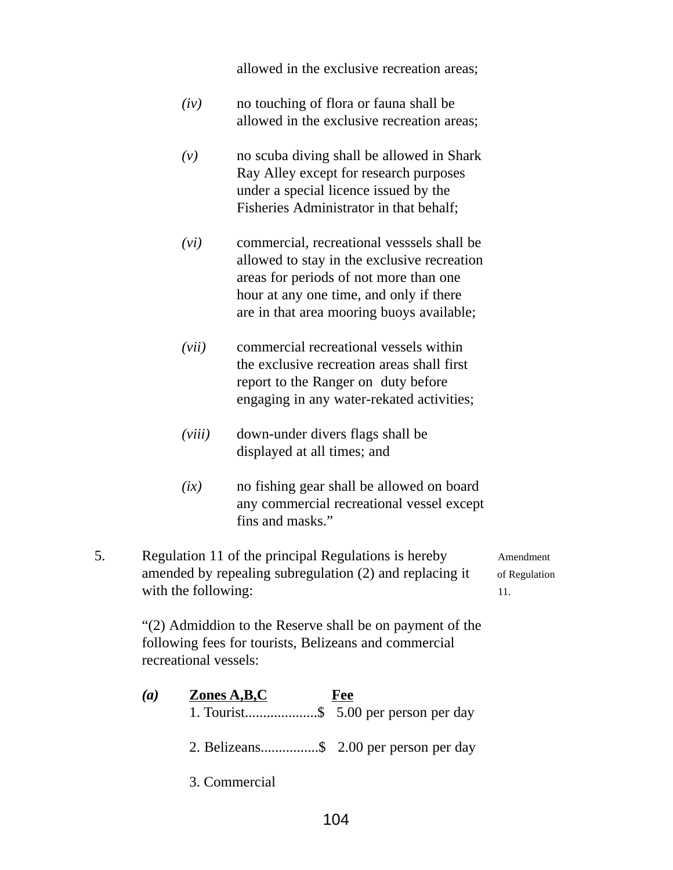allowed in the exclusive recreation areas;

- *(iv)* no touching of flora or fauna shall be allowed in the exclusive recreation areas;
- *(v)* no scuba diving shall be allowed in Shark Ray Alley except for research purposes under a special licence issued by the Fisheries Administrator in that behalf;
- *(vi)* commercial, recreational vesssels shall be allowed to stay in the exclusive recreation areas for periods of not more than one hour at any one time, and only if there are in that area mooring buoys available;
- *(vii)* commercial recreational vessels within the exclusive recreation areas shall first report to the Ranger on duty before engaging in any water-rekated activities;
- *(viii)* down-under divers flags shall be displayed at all times; and
- *(ix)* no fishing gear shall be allowed on board any commercial recreational vessel except fins and masks."
- 5. Regulation 11 of the principal Regulations is hereby Amendment amended by repealing subregulation  $(2)$  and replacing it of Regulation with the following: 11.

"(2) Admiddion to the Reserve shall be on payment of the following fees for tourists, Belizeans and commercial recreational vessels:

*(a)* **Zones A,B,C Fee** 1. Tourist....................\$ 5.00 per person per day

2. Belizeans................\$ 2.00 per person per day

3. Commercial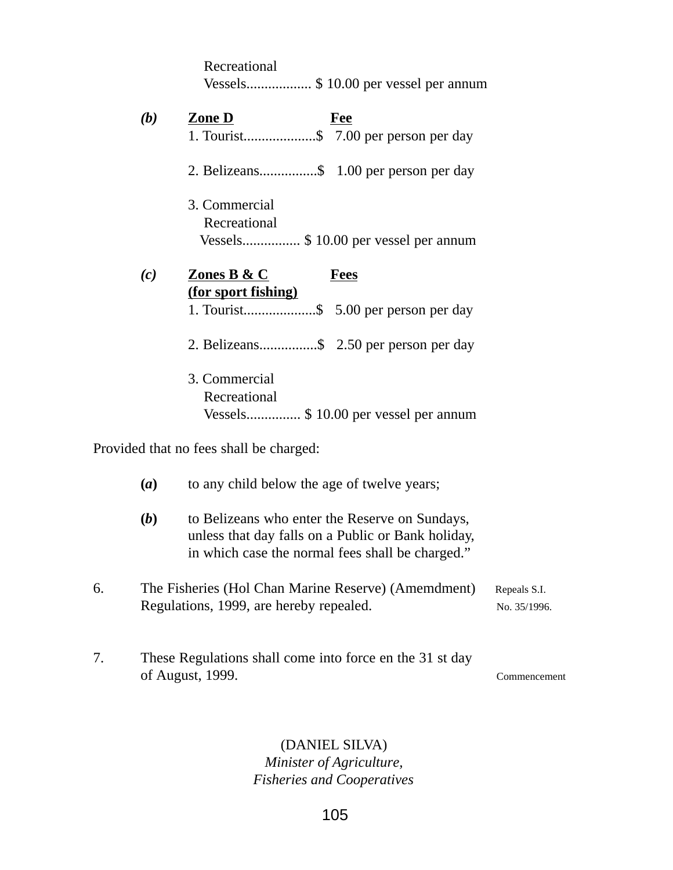|    |            | Recreational<br>Vessels \$ 10.00 per vessel per annum                                                                                                    |  |
|----|------------|----------------------------------------------------------------------------------------------------------------------------------------------------------|--|
|    | (b)        | Zone D<br><b>Fee</b><br>1. Tourist\$ 7.00 per person per day                                                                                             |  |
|    |            | 2. Belizeans\$ 1.00 per person per day                                                                                                                   |  |
|    |            | 3. Commercial<br>Recreational<br>Vessels\$ 10.00 per vessel per annum                                                                                    |  |
|    | (c)        | <b>Zones B &amp; C</b><br><b>Fees</b>                                                                                                                    |  |
|    |            | (for sport fishing)<br>1. Tourist\$ 5.00 per person per day                                                                                              |  |
|    |            | 2. Belizeans\$ 2.50 per person per day                                                                                                                   |  |
|    |            | 3. Commercial<br>Recreational<br>Vessels\$ 10.00 per vessel per annum                                                                                    |  |
|    |            | Provided that no fees shall be charged:                                                                                                                  |  |
|    | (a)        | to any child below the age of twelve years;                                                                                                              |  |
|    | <b>(b)</b> | to Belizeans who enter the Reserve on Sundays,<br>unless that day falls on a Public or Bank holiday,<br>in which case the normal fees shall be charged." |  |
| 6. |            | The Fisheries (Hol Chan Marine Reserve) (Amemdment)<br>Repeals S.I.<br>Regulations, 1999, are hereby repealed.<br>No. 35/1996.                           |  |

7. These Regulations shall come into force en the 31 st day of August, 1999. Commencement

# (DANIEL SILVA)

*Minister of Agriculture, Fisheries and Cooperatives*

105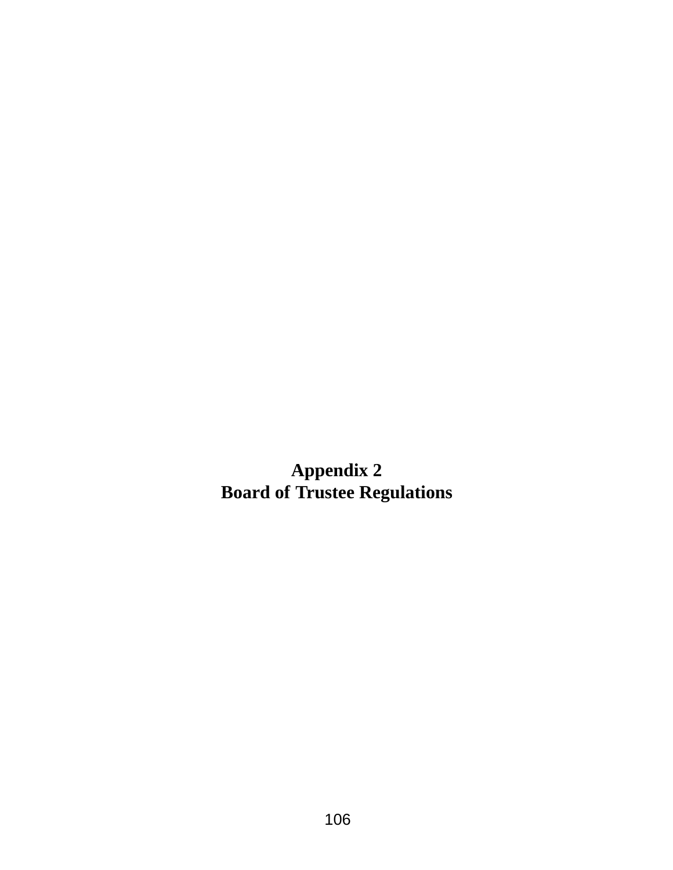**Appendix 2 Board of Trustee Regulations**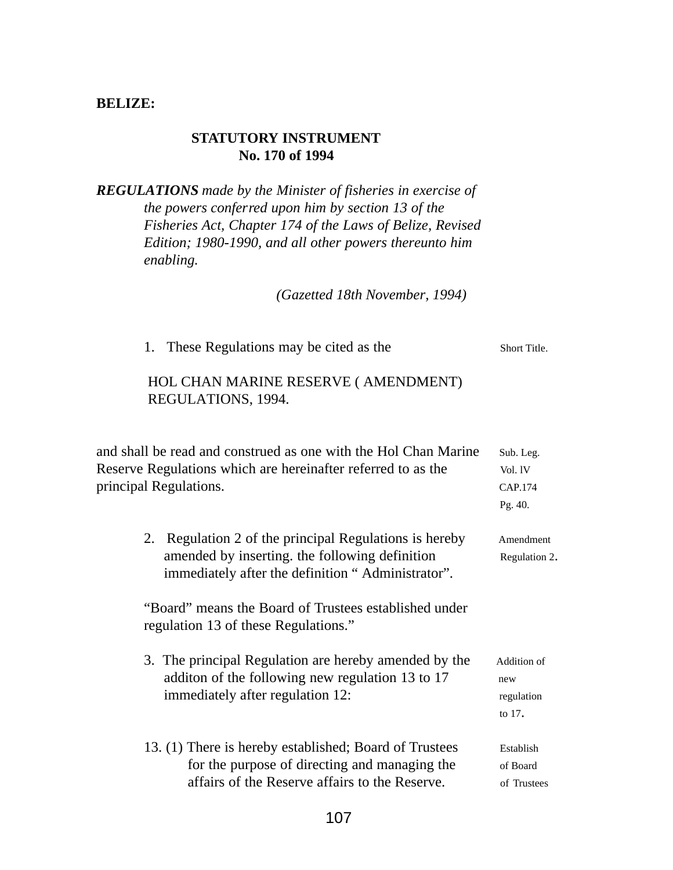#### **BELIZE:**

#### **STATUTORY INSTRUMENT No. 170 of 1994**

*REGULATIONS made by the Minister of fisheries in exercise of the powers conferred upon him by section 13 of the Fisheries Act, Chapter 174 of the Laws of Belize, Revised Edition; 1980-1990, and all other powers thereunto him enabling.*

*(Gazetted 18th November, 1994)*

|  | These Regulations may be cited as the | Short Title. |
|--|---------------------------------------|--------------|
|--|---------------------------------------|--------------|

## HOL CHAN MARINE RESERVE ( AMENDMENT) REGULATIONS, 1994.

| and shall be read and construed as one with the Hol Chan Marine<br>Sub. Leg. |                                                                                                                                                               |                                            |
|------------------------------------------------------------------------------|---------------------------------------------------------------------------------------------------------------------------------------------------------------|--------------------------------------------|
|                                                                              | Reserve Regulations which are hereinafter referred to as the                                                                                                  | Vol. 1V                                    |
| principal Regulations.                                                       |                                                                                                                                                               | CAP.174                                    |
|                                                                              |                                                                                                                                                               | Pg. 40.                                    |
|                                                                              | 2. Regulation 2 of the principal Regulations is hereby<br>amended by inserting, the following definition<br>immediately after the definition "Administrator". | Amendment<br>Regulation 2.                 |
|                                                                              | "Board" means the Board of Trustees established under<br>regulation 13 of these Regulations."                                                                 |                                            |
|                                                                              | 3. The principal Regulation are hereby amended by the<br>addition of the following new regulation 13 to 17<br>immediately after regulation 12:                | Addition of<br>new<br>regulation<br>to 17. |
|                                                                              | 13. (1) There is hereby established; Board of Trustees<br>for the purpose of directing and managing the<br>affairs of the Reserve affairs to the Reserve.     | Establish<br>of Board<br>of Trustees       |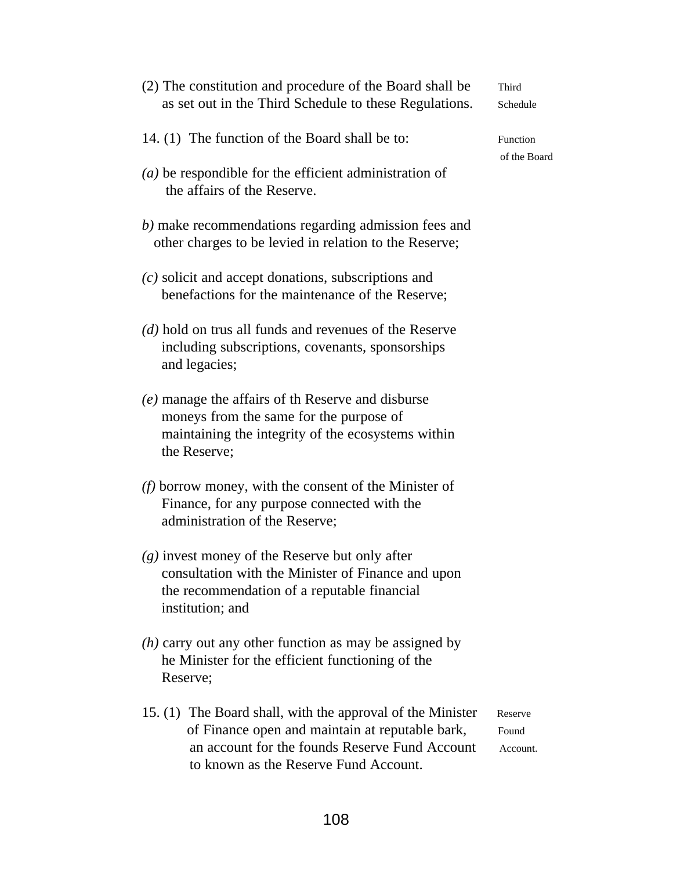| as set out in the Third Schedule to these Regulations.                                                                                                                                                   | Schedule                     |
|----------------------------------------------------------------------------------------------------------------------------------------------------------------------------------------------------------|------------------------------|
| 14. (1) The function of the Board shall be to:                                                                                                                                                           | Function                     |
| $(a)$ be respondible for the efficient administration of<br>the affairs of the Reserve.                                                                                                                  | of the Boa                   |
| b) make recommendations regarding admission fees and<br>other charges to be levied in relation to the Reserve;                                                                                           |                              |
| $(c)$ solicit and accept donations, subscriptions and<br>benefactions for the maintenance of the Reserve;                                                                                                |                              |
| (d) hold on trus all funds and revenues of the Reserve<br>including subscriptions, covenants, sponsorships<br>and legacies;                                                                              |                              |
| (e) manage the affairs of th Reserve and disburse<br>moneys from the same for the purpose of<br>maintaining the integrity of the ecosystems within<br>the Reserve;                                       |                              |
| $(f)$ borrow money, with the consent of the Minister of<br>Finance, for any purpose connected with the<br>administration of the Reserve;                                                                 |                              |
| $(g)$ invest money of the Reserve but only after<br>consultation with the Minister of Finance and upon<br>the recommendation of a reputable financial<br>institution; and                                |                              |
| $(h)$ carry out any other function as may be assigned by<br>he Minister for the efficient functioning of the<br>Reserve;                                                                                 |                              |
| 15. (1) The Board shall, with the approval of the Minister<br>of Finance open and maintain at reputable bark,<br>an account for the founds Reserve Fund Account<br>to known as the Reserve Fund Account. | Reserve<br>Found<br>Account. |

ard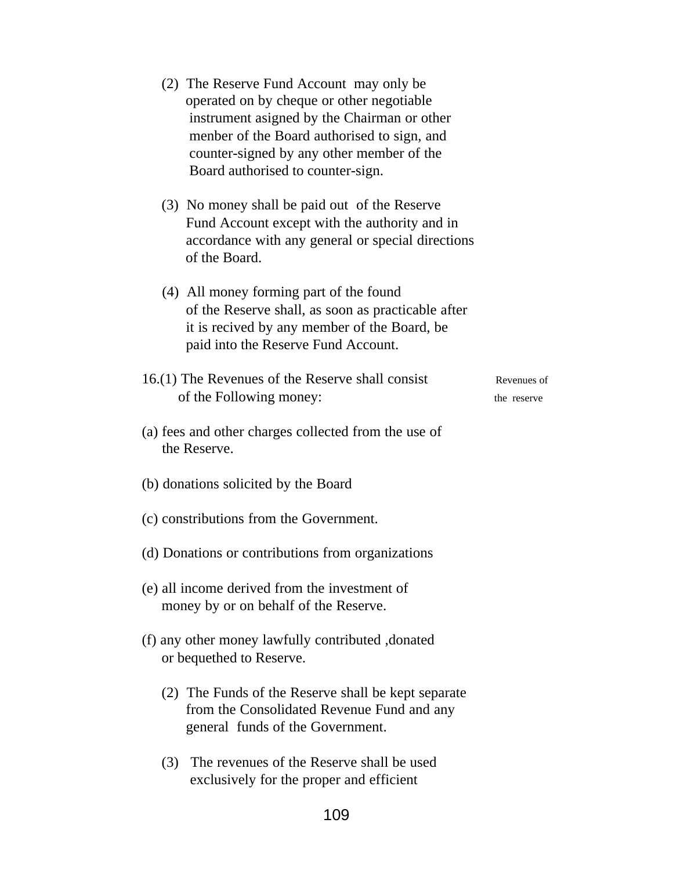| (2) The Reserve Fund Account may only be<br>operated on by cheque or other negotiable<br>instrument asigned by the Chairman or other<br>menber of the Board authorised to sign, and<br>counter-signed by any other member of the<br>Board authorised to counter-sign. |  |  |
|-----------------------------------------------------------------------------------------------------------------------------------------------------------------------------------------------------------------------------------------------------------------------|--|--|
| (3) No money shall be paid out of the Reserve<br>Fund Account except with the authority and in<br>accordance with any general or special directions<br>of the Board.                                                                                                  |  |  |
| (4) All money forming part of the found<br>of the Reserve shall, as soon as practicable after<br>it is recived by any member of the Board, be<br>paid into the Reserve Fund Account.                                                                                  |  |  |
| 16.(1) The Revenues of the Reserve shall consist<br>Revenues of<br>of the Following money:<br>the reserve                                                                                                                                                             |  |  |
| (a) fees and other charges collected from the use of<br>the Reserve.                                                                                                                                                                                                  |  |  |
| (b) donations solicited by the Board                                                                                                                                                                                                                                  |  |  |
| (c) constributions from the Government.                                                                                                                                                                                                                               |  |  |
| (d) Donations or contributions from organizations                                                                                                                                                                                                                     |  |  |
| (e) all income derived from the investment of<br>money by or on behalf of the Reserve.                                                                                                                                                                                |  |  |
| (f) any other money lawfully contributed, donated<br>or bequethed to Reserve.                                                                                                                                                                                         |  |  |
| (2) The Funds of the Reserve shall be kept separate<br>from the Consolidated Revenue Fund and any<br>general funds of the Government.                                                                                                                                 |  |  |
| (3) The revenues of the Reserve shall be used<br>exclusively for the proper and efficient                                                                                                                                                                             |  |  |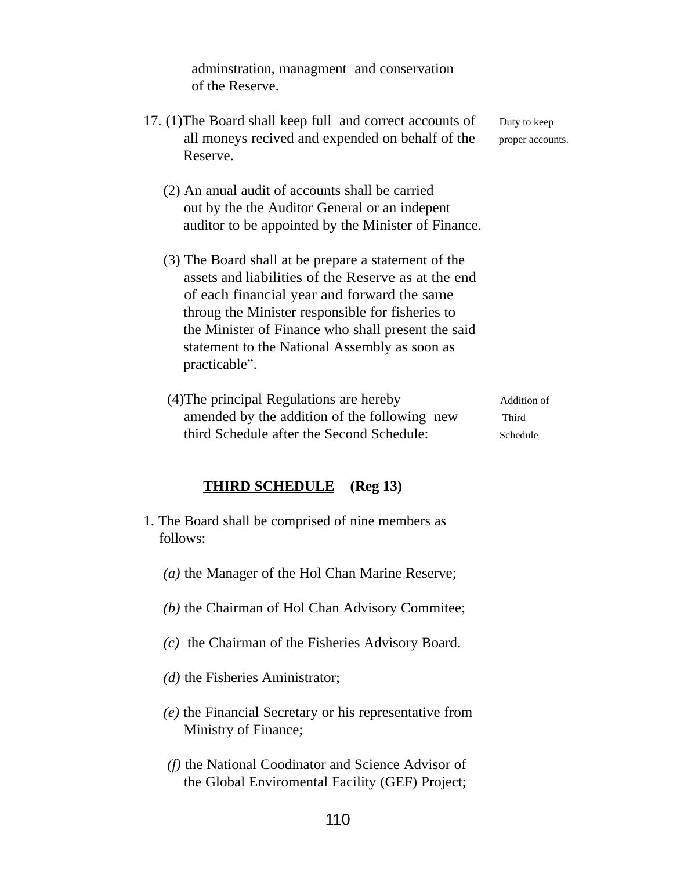adminstration, managment and conservation of the Reserve.

- 17. (1) The Board shall keep full and correct accounts of Duty to keep all moneys recived and expended on behalf of the proper accounts. Reserve.
	- (2) An anual audit of accounts shall be carried out by the the Auditor General or an indepent auditor to be appointed by the Minister of Finance.
	- (3) The Board shall at be prepare a statement of the assets and liabilities of the Reserve as at the end of each financial year and forward the same throug the Minister responsible for fisheries to the Minister of Finance who shall present the said statement to the National Assembly as soon as practicable".
	- (4) The principal Regulations are hereby Addition of amended by the addition of the following new Third third Schedule after the Second Schedule: Schedule

#### **THIRD SCHEDULE (Reg 13)**

- 1. The Board shall be comprised of nine members as follows:
	- *(a)* the Manager of the Hol Chan Marine Reserve;
	- *(b)* the Chairman of Hol Chan Advisory Commitee;
	- *(c)* the Chairman of the Fisheries Advisory Board.
	- *(d)* the Fisheries Aministrator;
	- *(e)* the Financial Secretary or his representative from Ministry of Finance;
	- *(f)* the National Coodinator and Science Advisor of the Global Enviromental Facility (GEF) Project;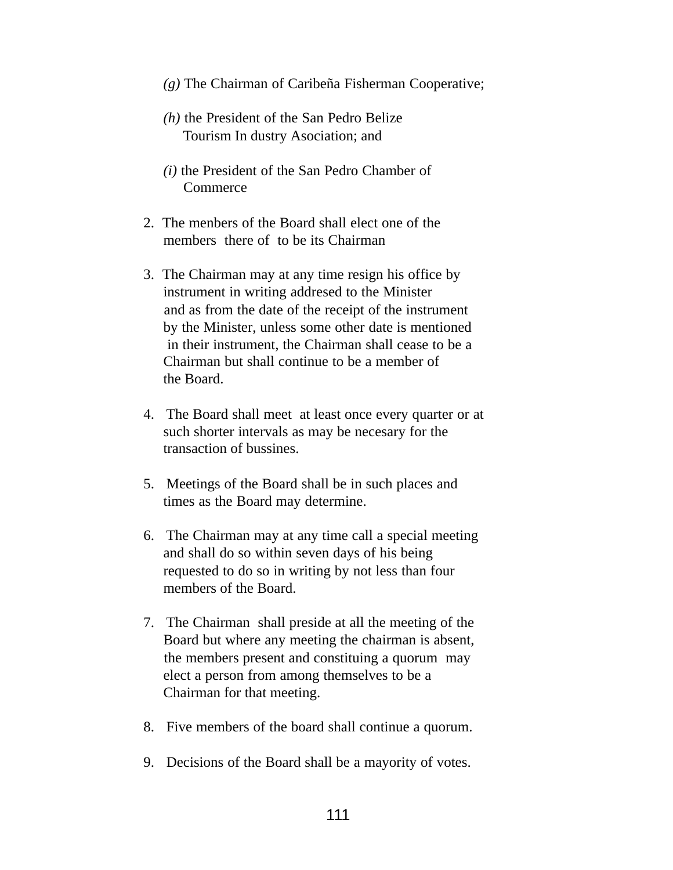- *(g)* The Chairman of Caribeña Fisherman Cooperative;
- *(h)* the President of the San Pedro Belize Tourism In dustry Asociation; and
- *(i)* the President of the San Pedro Chamber of **Commerce**
- 2. The menbers of the Board shall elect one of the members there of to be its Chairman
- 3. The Chairman may at any time resign his office by instrument in writing addresed to the Minister and as from the date of the receipt of the instrument by the Minister, unless some other date is mentioned in their instrument, the Chairman shall cease to be a Chairman but shall continue to be a member of the Board.
- 4. The Board shall meet at least once every quarter or at such shorter intervals as may be necesary for the transaction of bussines.
- 5. Meetings of the Board shall be in such places and times as the Board may determine.
- 6. The Chairman may at any time call a special meeting and shall do so within seven days of his being requested to do so in writing by not less than four members of the Board.
- 7. The Chairman shall preside at all the meeting of the Board but where any meeting the chairman is absent, the members present and constituing a quorum may elect a person from among themselves to be a Chairman for that meeting.
- 8. Five members of the board shall continue a quorum.
- 9. Decisions of the Board shall be a mayority of votes.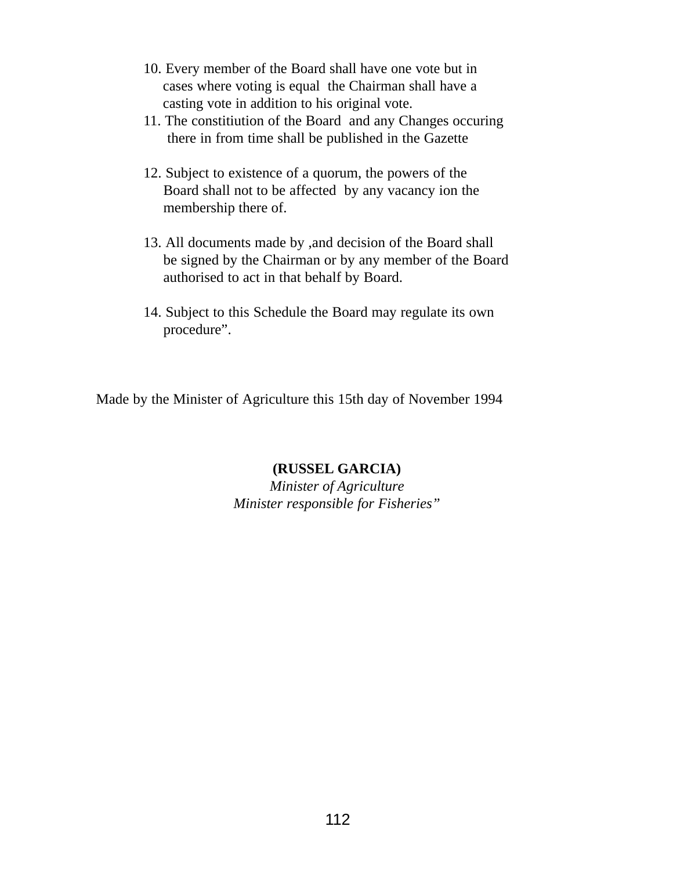- 10. Every member of the Board shall have one vote but in cases where voting is equal the Chairman shall have a casting vote in addition to his original vote.
- 11. The constitiution of the Board and any Changes occuring there in from time shall be published in the Gazette
- 12. Subject to existence of a quorum, the powers of the Board shall not to be affected by any vacancy ion the membership there of.
- 13. All documents made by ,and decision of the Board shall be signed by the Chairman or by any member of the Board authorised to act in that behalf by Board.
- 14. Subject to this Schedule the Board may regulate its own procedure".

Made by the Minister of Agriculture this 15th day of November 1994

## **(RUSSEL GARCIA)**

*Minister of Agriculture Minister responsible for Fisheries"*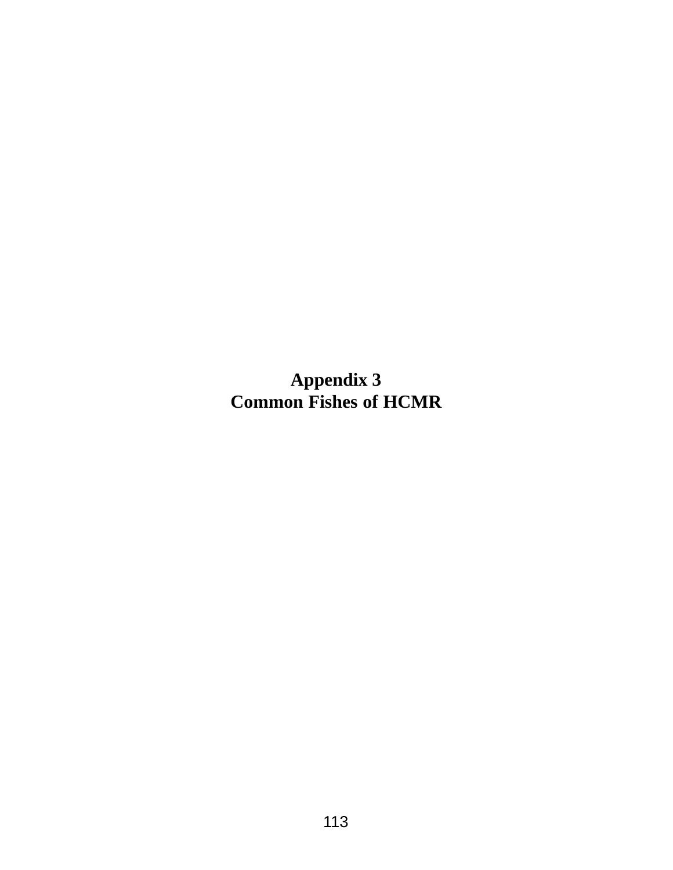**Appendix 3 Common Fishes of HCMR**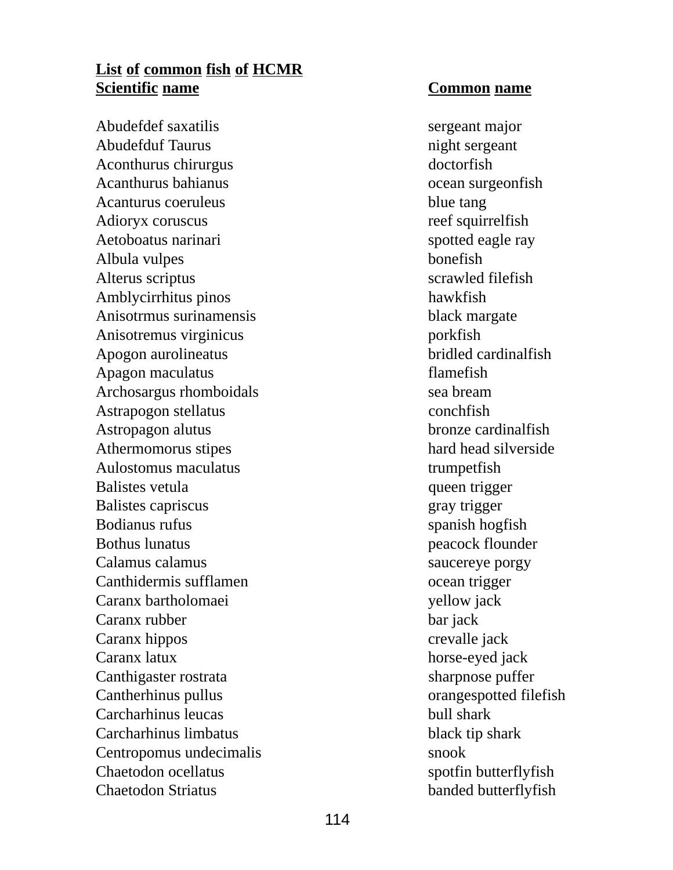# **List of common fish of HCMR Scientific name Common name**

Abudefdef saxatilis sergeant major Abudefduf Taurus night sergeant Aconthurus chirurgus doctorfish Acanthurus bahianus **ocean** surgeonfish Acanturus coeruleus blue tang Adioryx coruscus reef squirrelfish Aetoboatus narinari spotted eagle ray Albula vulpes bonefish Alterus scriptus scrawled filefish Amblycirrhitus pinos hawkfish Anisotrmus surinamensis black margate Anisotremus virginicus porkfish Apogon aurolineatus bridled cardinalfish Apagon maculatus flamefish Archosargus rhomboidals sea bream Astrapogon stellatus conchetish Astropagon alutus bronze cardinalfish Athermomorus stipes hard head silverside Aulostomus maculatus trumpetfish Balistes vetula queen trigger Balistes capriscus gray trigger Bodianus rufus spanish hogfish Bothus lunatus peacock flounder Calamus calamus saucereye porgy Canthidermis sufflamen ocean trigger Caranx bartholomaei yellow jack Caranx rubber bar jack Caranx hippos crevalle jack Caranx latux horse-eyed jack Canthigaster rostrata sharpnose puffer Cantherhinus pullus orangespotted filefish Carcharhinus leucas bull shark Carcharhinus limbatus black tip shark Centropomus undecimalis snook Chaetodon ocellatus spotfin butterflyfish Chaetodon Striatus banded butterflyfish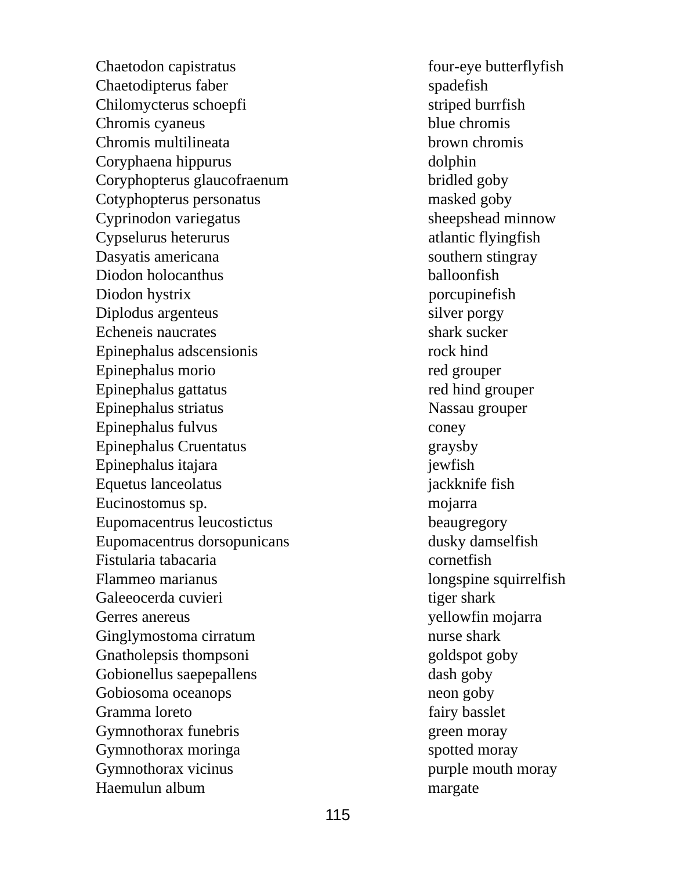Chaetodon capistratus four-eye butterflyfish Chaetodipterus faber spadefish Chilomycterus schoepfi striped burrfish Chromis cyaneus blue chromis Chromis multilineata brown chromis Coryphaena hippurus dolphin Coryphopterus glaucofraenum bridled goby Cotyphopterus personatus masked goby Cyprinodon variegatus sheepshead minnow Cypselurus heterurus atlantic flyingfish Dasyatis americana southern stingray Diodon holocanthus balloonfish Diodon hystrix porcupinefish Diplodus argenteus silver porgy Echeneis naucrates shark sucker Epinephalus adscensionis rock hind Epinephalus morio red grouper Epinephalus gattatus red hind grouper Epinephalus striatus Nassau grouper Epinephalus fulvus coney Epinephalus Cruentatus graysby Epinephalus itajara jewfish Equetus lanceolatus jackknife fish Eucinostomus sp. mojarra Eupomacentrus leucostictus beaugregory Eupomacentrus dorsopunicans dusky damselfish Fistularia tabacaria cornetfish Flammeo marianus longspine squirrelfish Galeeocerda cuvieri tiger shark Gerres anereus yellowfin mojarra Ginglymostoma cirratum nurse shark Gnatholepsis thompsoni goldspot goby Gobionellus saepepallens dash goby Gobiosoma oceanops neon goby Gramma loreto fairy basslet Gymnothorax funebris green moray Gymnothorax moringa spotted moray Gymnothorax vicinus purple mouth moray Haemulun album margate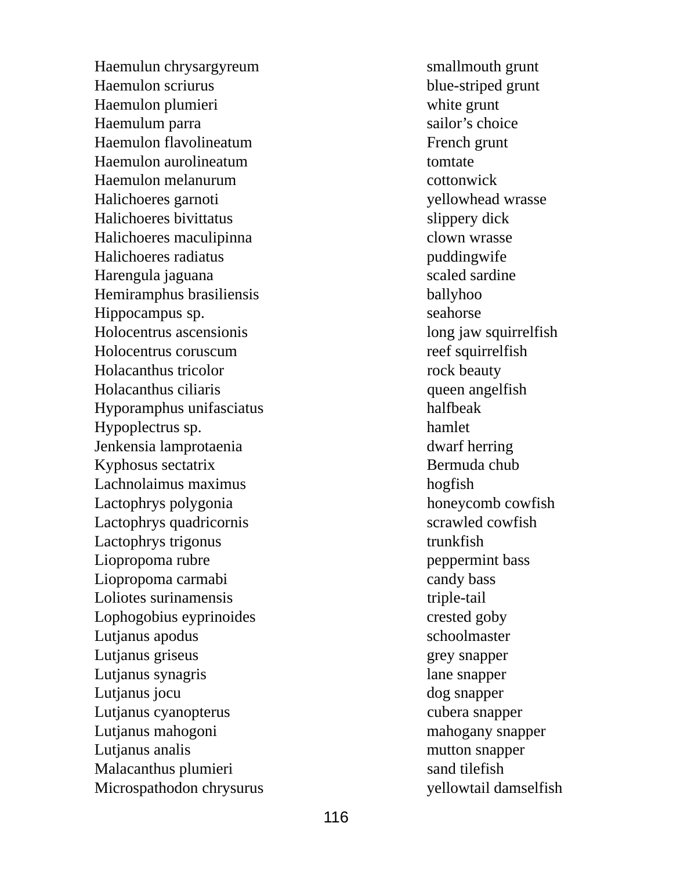Haemulun chrysargyreum smallmouth grunt Haemulon scriurus blue-striped grunt Haemulon plumieri white grunt Haemulum parra Haemulon flavolineatum French grunt Haemulon aurolineatum tomtate Haemulon melanurum cottonwick Halichoeres garnoti yellowhead wrasse Halichoeres bivittatus slippery dick Halichoeres maculipinna clown wrasse Halichoeres radiatus puddingwife Harengula jaguana scaled sardine Hemiramphus brasiliensis ballyhoo Hippocampus sp. seahorse Holocentrus ascensionis long jaw squirrelfish Holocentrus coruscum reef squirrelfish Holacanthus tricolor rock beauty Holacanthus ciliaris queen angelfish Hyporamphus unifasciatus halfbeak Hypoplectrus sp. hamlet Jenkensia lamprotaenia dwarf herring Kyphosus sectatrix Bermuda chub Lachnolaimus maximus hogfish Lactophrys polygonia honeycomb cowfish Lactophrys quadricornis scrawled cowfish Lactophrys trigonus trunkfish Liopropoma rubre peppermint bass Liopropoma carmabi candy bass Loliotes surinamensis triple-tail Lophogobius eyprinoides crested goby Lutjanus apodus schoolmaster Lutjanus griseus grey snapper Lutjanus synagris lane snapper Lutjanus jocu dog snapper Lutjanus cyanopterus cubera snapper Lutjanus mahogoni mahogany snapper Lutianus analis mutton snapper Malacanthus plumieri sand tilefish Microspathodon chrysurus yellowtail damselfish

sailor's choice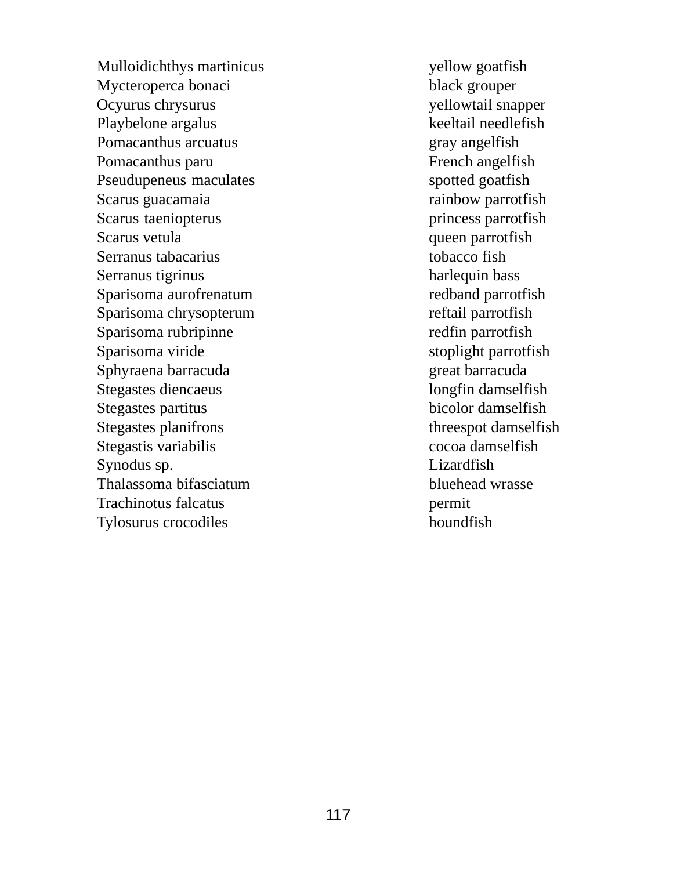Mulloidichthys martinicus yellow goatfish Mycteroperca bonaci black grouper Ocyurus chrysurus yellowtail snapper Playbelone argalus keeltail needlefish Pomacanthus arcuatus gray angelfish Pomacanthus paru French angelfish Pseudupeneus maculates spotted goatfish Scarus guacamaia rainbow parrotfish Scarus taeniopterus princess parrotfish Scarus vetula queen parrotfish Serranus tabacarius tobacco fish Serranus tigrinus harlequin bass Sparisoma aurofrenatum redband parrotfish Sparisoma chrysopterum reftail parrotfish Sparisoma rubripinne redfin parrotfish Sparisoma viride stoplight parrotfish Sphyraena barracuda great barracuda Stegastes diencaeus longfin damselfish Stegastes partitus bicolor damselfish Stegastes planifrons threespot damselfish Stegastis variabilis cocoa damselfish Synodus sp. Lizardfish Thalassoma bifasciatum bluehead wrasse Trachinotus falcatus permit Tylosurus crocodiles houndfish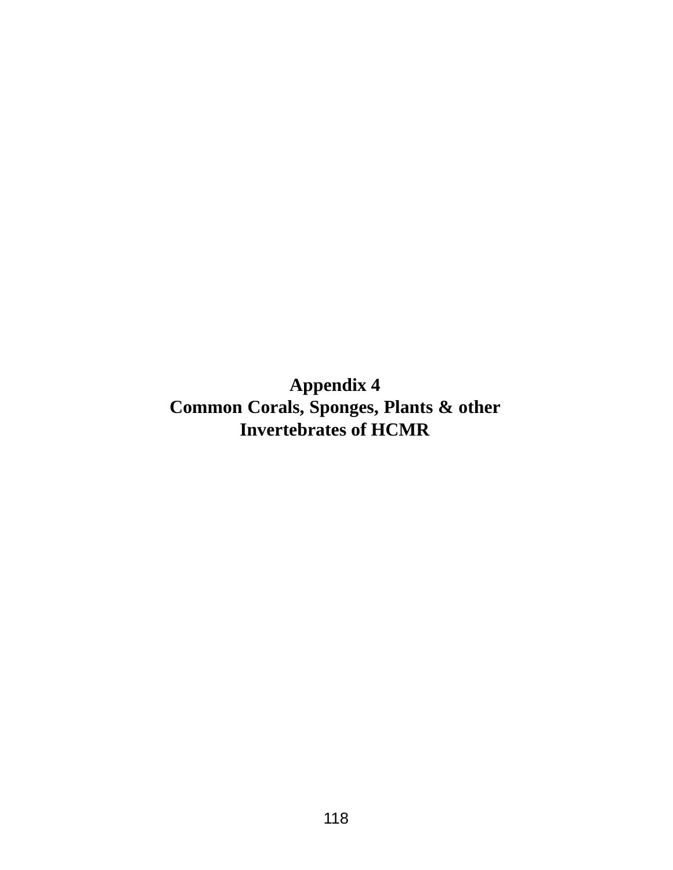**Appendix 4 Common Corals, Sponges, Plants & other Invertebrates of HCMR**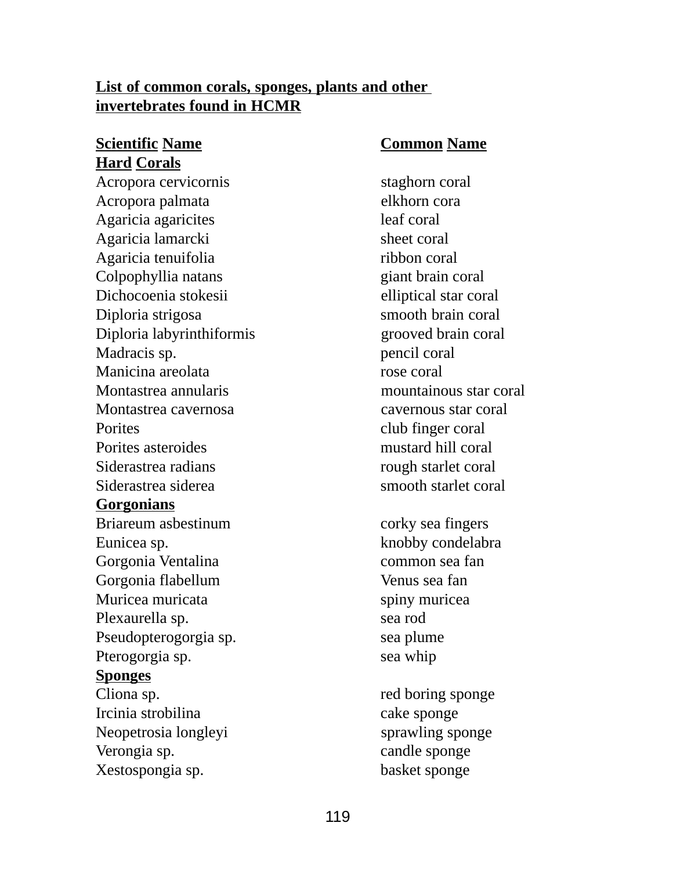# **List of common corals, sponges, plants and other invertebrates found in HCMR**

# **Scientific Name Common Name Hard Corals**

Acropora cervicornis staghorn coral Acropora palmata elkhorn cora Agaricia agaricites leaf coral Agaricia lamarcki sheet coral Agaricia tenuifolia ribbon coral Colpophyllia natans giant brain coral Dichocoenia stokesii elliptical star coral Diploria strigosa smooth brain coral Diploria labyrinthiformis grooved brain coral Madracis sp. pencil coral Manicina areolata rose coral Montastrea annularis mountainous star coral Montastrea cavernosa cavernous star coral Porites club finger coral Porites asteroides mustard hill coral Siderastrea radians rough starlet coral Siderastrea siderea somboth starlet coral **Gorgonians** Briareum asbestinum corky sea fingers Eunicea sp. knobby condelabra Gorgonia Ventalina common sea fan Gorgonia flabellum Venus sea fan Muricea muricata spiny muricea Plexaurella sp. sea rod Pseudopterogorgia sp. sea plume Pterogorgia sp. sea whip **Sponges** Cliona sp. red boring sponge Ircinia strobilina cake sponge Neopetrosia longleyi sprawling sponge

Verongia sp. candle sponge Xestospongia sp. basket sponge